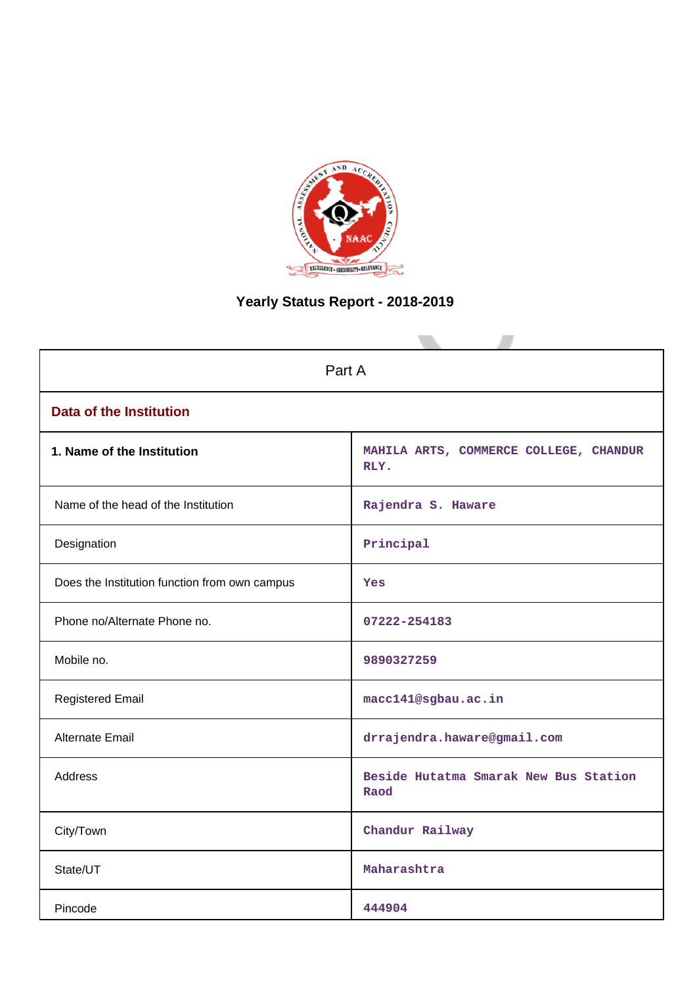

# **Yearly Status Report - 2018-2019**

| Part A                                        |                                                |  |  |  |  |
|-----------------------------------------------|------------------------------------------------|--|--|--|--|
| <b>Data of the Institution</b>                |                                                |  |  |  |  |
| 1. Name of the Institution                    | MAHILA ARTS, COMMERCE COLLEGE, CHANDUR<br>RLY. |  |  |  |  |
| Name of the head of the Institution           | Rajendra S. Haware                             |  |  |  |  |
| Designation                                   | Principal                                      |  |  |  |  |
| Does the Institution function from own campus | Yes                                            |  |  |  |  |
| Phone no/Alternate Phone no.                  | 07222-254183                                   |  |  |  |  |
| Mobile no.                                    | 9890327259                                     |  |  |  |  |
| <b>Registered Email</b>                       | macc141@sgbau.ac.in                            |  |  |  |  |
| Alternate Email                               | drrajendra.haware@gmail.com                    |  |  |  |  |
| <b>Address</b>                                | Beside Hutatma Smarak New Bus Station<br>Raod  |  |  |  |  |
| City/Town                                     | Chandur Railway                                |  |  |  |  |
| State/UT                                      | Maharashtra                                    |  |  |  |  |
| Pincode                                       | 444904                                         |  |  |  |  |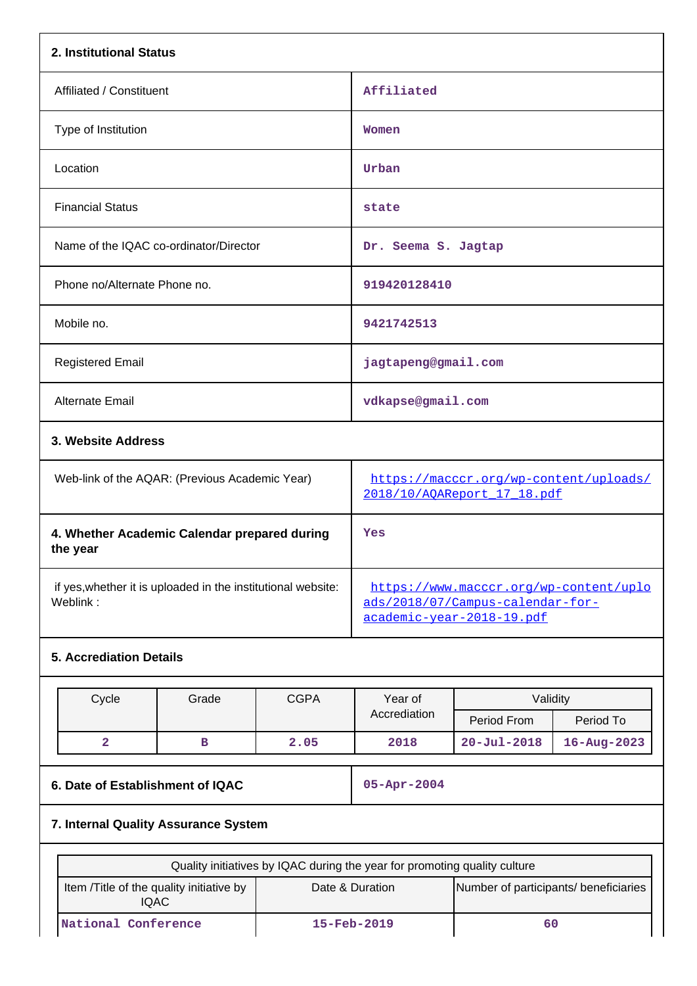| 2. Institutional Status                                                  |                                                |                                                                                                         |                   |                                                                       |  |  |  |
|--------------------------------------------------------------------------|------------------------------------------------|---------------------------------------------------------------------------------------------------------|-------------------|-----------------------------------------------------------------------|--|--|--|
| Affiliated / Constituent                                                 |                                                | Affiliated                                                                                              |                   |                                                                       |  |  |  |
| Type of Institution                                                      |                                                | Women                                                                                                   |                   |                                                                       |  |  |  |
| Location                                                                 |                                                | Urban                                                                                                   |                   |                                                                       |  |  |  |
| <b>Financial Status</b>                                                  |                                                | state                                                                                                   |                   |                                                                       |  |  |  |
| Name of the IQAC co-ordinator/Director                                   |                                                | Dr. Seema S. Jagtap                                                                                     |                   |                                                                       |  |  |  |
| Phone no/Alternate Phone no.                                             |                                                | 919420128410                                                                                            |                   |                                                                       |  |  |  |
| Mobile no.                                                               |                                                | 9421742513                                                                                              |                   |                                                                       |  |  |  |
| <b>Registered Email</b>                                                  |                                                | jagtapeng@gmail.com                                                                                     |                   |                                                                       |  |  |  |
| Alternate Email                                                          |                                                | vdkapse@gmail.com                                                                                       |                   |                                                                       |  |  |  |
| 3. Website Address                                                       |                                                |                                                                                                         |                   |                                                                       |  |  |  |
|                                                                          | Web-link of the AQAR: (Previous Academic Year) |                                                                                                         |                   | https://macccr.org/wp-content/uploads/<br>2018/10/AQAReport 17 18.pdf |  |  |  |
| 4. Whether Academic Calendar prepared during<br>the year                 |                                                | Yes                                                                                                     |                   |                                                                       |  |  |  |
| if yes, whether it is uploaded in the institutional website:<br>Weblink: |                                                | https://www.macccr.org/wp-content/uplo<br>ads/2018/07/Campus-calendar-for-<br>academic-year-2018-19.pdf |                   |                                                                       |  |  |  |
| <b>5. Accrediation Details</b>                                           |                                                |                                                                                                         |                   |                                                                       |  |  |  |
| Cycle<br>Grade                                                           | Year of<br>Accrediation                        | Validity<br>Period From                                                                                 | Period To         |                                                                       |  |  |  |
| $\overline{\mathbf{2}}$<br>$\mathbf B$                                   | 2.05                                           | 2018                                                                                                    | $20 - Ju1 - 2018$ | $16 - Aug - 2023$                                                     |  |  |  |
| 6. Date of Establishment of IQAC                                         |                                                | 05-Apr-2004                                                                                             |                   |                                                                       |  |  |  |
| 7. Internal Quality Assurance System                                     |                                                |                                                                                                         |                   |                                                                       |  |  |  |
|                                                                          |                                                | Quality initiatives by IQAC during the year for promoting quality culture                               |                   |                                                                       |  |  |  |
| Item /Title of the quality initiative by<br><b>IQAC</b>                  |                                                | Date & Duration<br>Number of participants/ beneficiaries                                                |                   |                                                                       |  |  |  |
| National Conference                                                      |                                                | 15-Feb-2019                                                                                             | 60                |                                                                       |  |  |  |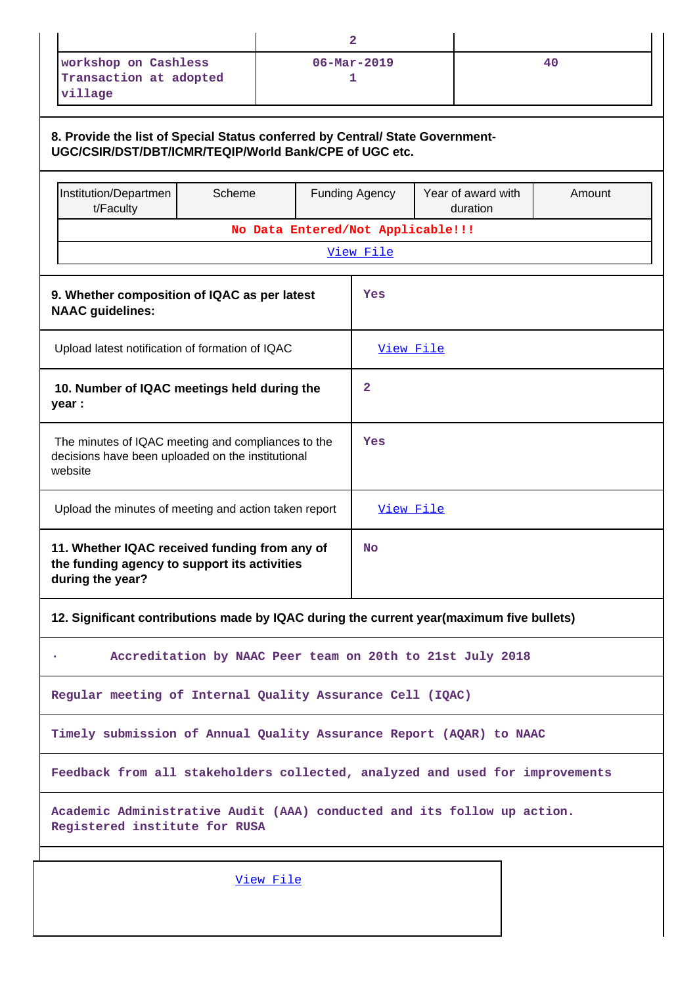|                                                                                                                                         |                                                                              |  | $\mathbf{2}$                      |                                |        |  |  |
|-----------------------------------------------------------------------------------------------------------------------------------------|------------------------------------------------------------------------------|--|-----------------------------------|--------------------------------|--------|--|--|
| workshop on Cashless<br>Transaction at adopted<br>village                                                                               |                                                                              |  | $06 - \text{Mar} - 2019$<br>1     |                                | 40     |  |  |
| 8. Provide the list of Special Status conferred by Central/ State Government-<br>UGC/CSIR/DST/DBT/ICMR/TEQIP/World Bank/CPE of UGC etc. |                                                                              |  |                                   |                                |        |  |  |
| Institution/Departmen<br>t/Faculty                                                                                                      | Scheme                                                                       |  | <b>Funding Agency</b>             | Year of award with<br>duration | Amount |  |  |
|                                                                                                                                         |                                                                              |  | No Data Entered/Not Applicable!!! |                                |        |  |  |
|                                                                                                                                         |                                                                              |  | View File                         |                                |        |  |  |
| 9. Whether composition of IQAC as per latest<br><b>NAAC</b> guidelines:                                                                 |                                                                              |  | Yes                               |                                |        |  |  |
| Upload latest notification of formation of IQAC                                                                                         |                                                                              |  | View File                         |                                |        |  |  |
| 10. Number of IQAC meetings held during the<br>year :                                                                                   |                                                                              |  | 2                                 |                                |        |  |  |
| The minutes of IQAC meeting and compliances to the<br>decisions have been uploaded on the institutional<br>website                      |                                                                              |  | Yes                               |                                |        |  |  |
| Upload the minutes of meeting and action taken report                                                                                   |                                                                              |  | <u>View File</u>                  |                                |        |  |  |
| 11. Whether IQAC received funding from any of<br>the funding agency to support its activities<br>during the year?                       |                                                                              |  | No                                |                                |        |  |  |
| 12. Significant contributions made by IQAC during the current year(maximum five bullets)                                                |                                                                              |  |                                   |                                |        |  |  |
|                                                                                                                                         | Accreditation by NAAC Peer team on 20th to 21st July 2018                    |  |                                   |                                |        |  |  |
| Regular meeting of Internal Quality Assurance Cell (IQAC)                                                                               |                                                                              |  |                                   |                                |        |  |  |
| Timely submission of Annual Quality Assurance Report (AQAR) to NAAC                                                                     |                                                                              |  |                                   |                                |        |  |  |
|                                                                                                                                         | Feedback from all stakeholders collected, analyzed and used for improvements |  |                                   |                                |        |  |  |
| Academic Administrative Audit (AAA) conducted and its follow up action.<br>Registered institute for RUSA                                |                                                                              |  |                                   |                                |        |  |  |
| View File                                                                                                                               |                                                                              |  |                                   |                                |        |  |  |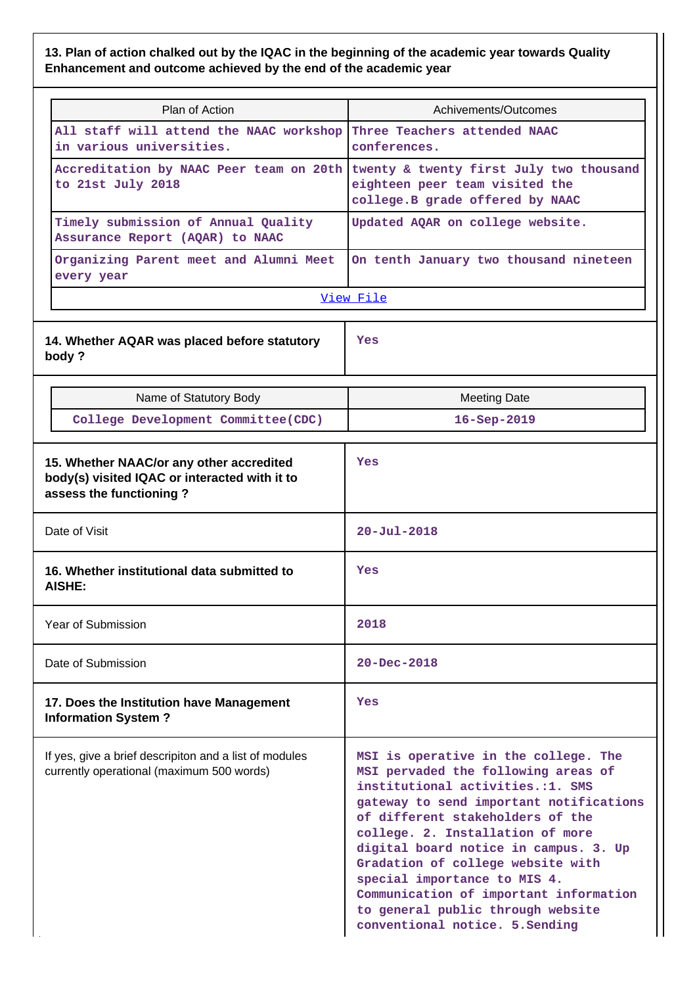# **13. Plan of action chalked out by the IQAC in the beginning of the academic year towards Quality Enhancement and outcome achieved by the end of the academic year**

| Plan of Action                                                                                                       | Achivements/Outcomes                                                                                                                                                                                                                                                                                                                                                                                                                                               |
|----------------------------------------------------------------------------------------------------------------------|--------------------------------------------------------------------------------------------------------------------------------------------------------------------------------------------------------------------------------------------------------------------------------------------------------------------------------------------------------------------------------------------------------------------------------------------------------------------|
| All staff will attend the NAAC workshop<br>in various universities.                                                  | Three Teachers attended NAAC<br>conferences.                                                                                                                                                                                                                                                                                                                                                                                                                       |
| to 21st July 2018                                                                                                    | Accreditation by NAAC Peer team on 20th twenty & twenty first July two thousand<br>eighteen peer team visited the<br>college. B grade offered by NAAC                                                                                                                                                                                                                                                                                                              |
| Timely submission of Annual Quality<br>Assurance Report (AQAR) to NAAC                                               | Updated AQAR on college website.                                                                                                                                                                                                                                                                                                                                                                                                                                   |
| Organizing Parent meet and Alumni Meet<br>every year                                                                 | On tenth January two thousand nineteen                                                                                                                                                                                                                                                                                                                                                                                                                             |
|                                                                                                                      | View File                                                                                                                                                                                                                                                                                                                                                                                                                                                          |
| 14. Whether AQAR was placed before statutory<br>body?                                                                | Yes                                                                                                                                                                                                                                                                                                                                                                                                                                                                |
| Name of Statutory Body                                                                                               | <b>Meeting Date</b>                                                                                                                                                                                                                                                                                                                                                                                                                                                |
| College Development Committee (CDC)                                                                                  | $16 - Sep-2019$                                                                                                                                                                                                                                                                                                                                                                                                                                                    |
| 15. Whether NAAC/or any other accredited<br>body(s) visited IQAC or interacted with it to<br>assess the functioning? | Yes                                                                                                                                                                                                                                                                                                                                                                                                                                                                |
| Date of Visit                                                                                                        | $20 - Ju1 - 2018$                                                                                                                                                                                                                                                                                                                                                                                                                                                  |
| 16. Whether institutional data submitted to<br>AISHE:                                                                | Yes                                                                                                                                                                                                                                                                                                                                                                                                                                                                |
| Year of Submission                                                                                                   | 2018                                                                                                                                                                                                                                                                                                                                                                                                                                                               |
| Date of Submission                                                                                                   | $20 - Dec - 2018$                                                                                                                                                                                                                                                                                                                                                                                                                                                  |
| 17. Does the Institution have Management<br><b>Information System?</b>                                               | Yes                                                                                                                                                                                                                                                                                                                                                                                                                                                                |
| If yes, give a brief descripiton and a list of modules<br>currently operational (maximum 500 words)                  | MSI is operative in the college. The<br>MSI pervaded the following areas of<br>institutional activities.:1. SMS<br>gateway to send important notifications<br>of different stakeholders of the<br>college. 2. Installation of more<br>digital board notice in campus. 3. Up<br>Gradation of college website with<br>special importance to MIS 4.<br>Communication of important information<br>to general public through website<br>conventional notice. 5. Sending |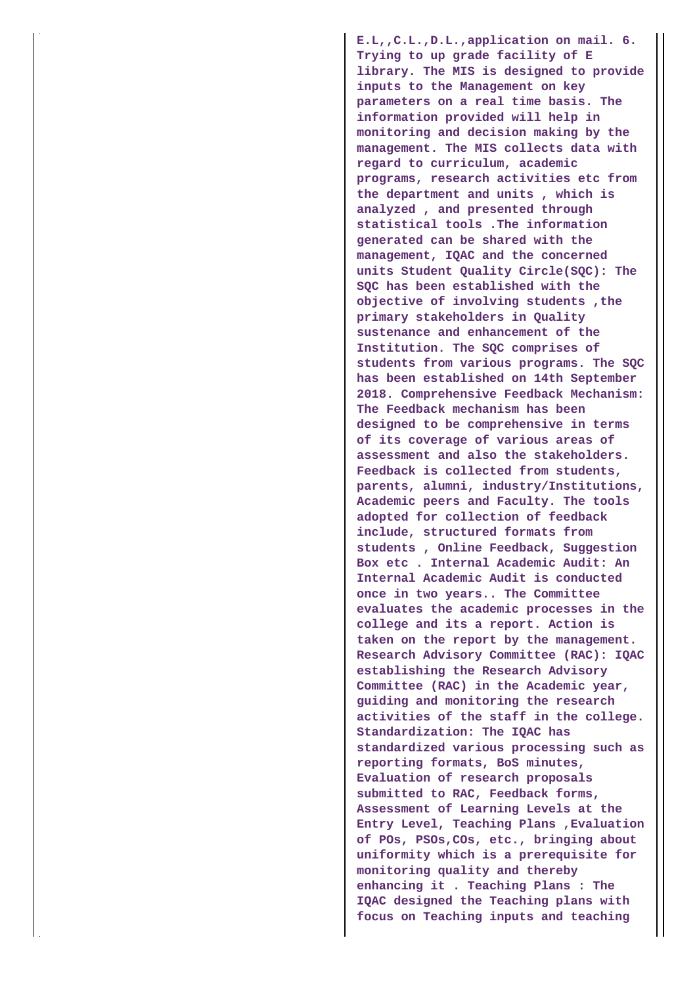**E.L,,C.L.,D.L.,application on mail. 6. Trying to up grade facility of E library. The MIS is designed to provide inputs to the Management on key parameters on a real time basis. The information provided will help in monitoring and decision making by the management. The MIS collects data with regard to curriculum, academic programs, research activities etc from the department and units , which is analyzed , and presented through statistical tools .The information generated can be shared with the management, IQAC and the concerned units Student Quality Circle(SQC): The SQC has been established with the objective of involving students ,the primary stakeholders in Quality sustenance and enhancement of the Institution. The SQC comprises of students from various programs. The SQC has been established on 14th September 2018. Comprehensive Feedback Mechanism: The Feedback mechanism has been designed to be comprehensive in terms of its coverage of various areas of assessment and also the stakeholders. Feedback is collected from students, parents, alumni, industry/Institutions, Academic peers and Faculty. The tools adopted for collection of feedback include, structured formats from students , Online Feedback, Suggestion Box etc . Internal Academic Audit: An Internal Academic Audit is conducted once in two years.. The Committee evaluates the academic processes in the college and its a report. Action is taken on the report by the management. Research Advisory Committee (RAC): IQAC establishing the Research Advisory Committee (RAC) in the Academic year, guiding and monitoring the research activities of the staff in the college. Standardization: The IQAC has standardized various processing such as reporting formats, BoS minutes, Evaluation of research proposals submitted to RAC, Feedback forms, Assessment of Learning Levels at the Entry Level, Teaching Plans ,Evaluation of POs, PSOs,COs, etc., bringing about uniformity which is a prerequisite for monitoring quality and thereby enhancing it . Teaching Plans : The IQAC designed the Teaching plans with focus on Teaching inputs and teaching**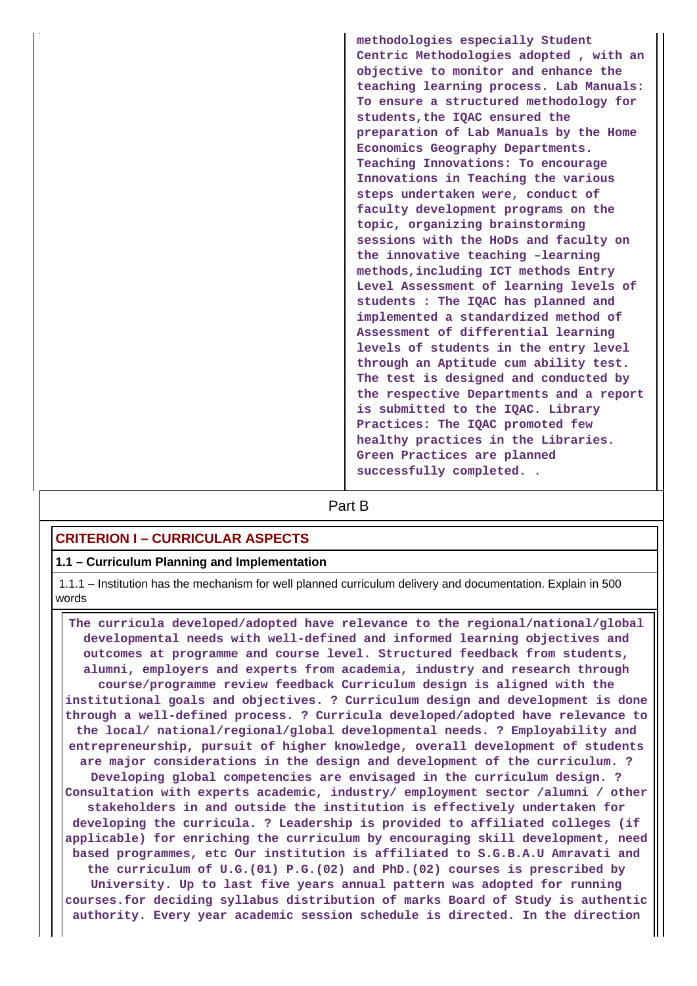**methodologies especially Student Centric Methodologies adopted , with an objective to monitor and enhance the teaching learning process. Lab Manuals: To ensure a structured methodology for students,the IQAC ensured the preparation of Lab Manuals by the Home Economics Geography Departments. Teaching Innovations: To encourage Innovations in Teaching the various steps undertaken were, conduct of faculty development programs on the topic, organizing brainstorming sessions with the HoDs and faculty on the innovative teaching –learning methods,including ICT methods Entry Level Assessment of learning levels of students : The IQAC has planned and implemented a standardized method of Assessment of differential learning levels of students in the entry level through an Aptitude cum ability test. The test is designed and conducted by the respective Departments and a report is submitted to the IQAC. Library Practices: The IQAC promoted few healthy practices in the Libraries. Green Practices are planned successfully completed. .**

# **Part B**

# **CRITERION I – CURRICULAR ASPECTS**

# **1.1 – Curriculum Planning and Implementation**

 1.1.1 – Institution has the mechanism for well planned curriculum delivery and documentation. Explain in 500 words

 **The curricula developed/adopted have relevance to the regional/national/global developmental needs with well-defined and informed learning objectives and outcomes at programme and course level. Structured feedback from students, alumni, employers and experts from academia, industry and research through course/programme review feedback Curriculum design is aligned with the institutional goals and objectives. ? Curriculum design and development is done through a well-defined process. ? Curricula developed/adopted have relevance to the local/ national/regional/global developmental needs. ? Employability and entrepreneurship, pursuit of higher knowledge, overall development of students are major considerations in the design and development of the curriculum. ? Developing global competencies are envisaged in the curriculum design. ? Consultation with experts academic, industry/ employment sector /alumni / other stakeholders in and outside the institution is effectively undertaken for developing the curricula. ? Leadership is provided to affiliated colleges (if applicable) for enriching the curriculum by encouraging skill development, need based programmes, etc Our institution is affiliated to S.G.B.A.U Amravati and the curriculum of U.G.(01) P.G.(02) and PhD.(02) courses is prescribed by University. Up to last five years annual pattern was adopted for running courses.for deciding syllabus distribution of marks Board of Study is authentic authority. Every year academic session schedule is directed. In the direction**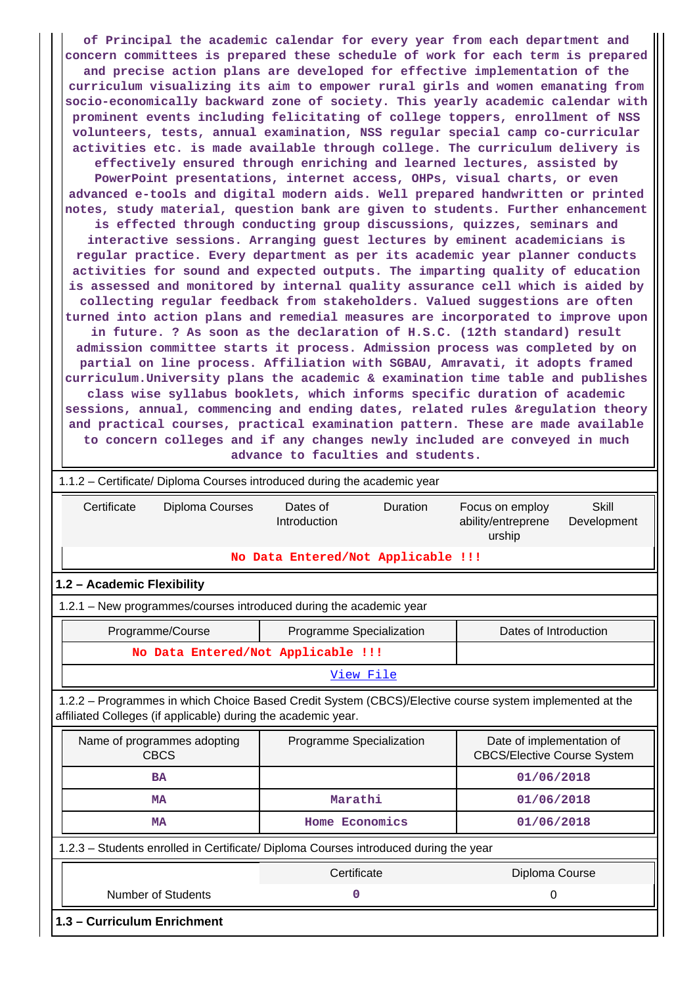**of Principal the academic calendar for every year from each department and concern committees is prepared these schedule of work for each term is prepared and precise action plans are developed for effective implementation of the curriculum visualizing its aim to empower rural girls and women emanating from socio-economically backward zone of society. This yearly academic calendar with prominent events including felicitating of college toppers, enrollment of NSS volunteers, tests, annual examination, NSS regular special camp co-curricular activities etc. is made available through college. The curriculum delivery is effectively ensured through enriching and learned lectures, assisted by PowerPoint presentations, internet access, OHPs, visual charts, or even advanced e-tools and digital modern aids. Well prepared handwritten or printed notes, study material, question bank are given to students. Further enhancement is effected through conducting group discussions, quizzes, seminars and interactive sessions. Arranging guest lectures by eminent academicians is regular practice. Every department as per its academic year planner conducts activities for sound and expected outputs. The imparting quality of education is assessed and monitored by internal quality assurance cell which is aided by collecting regular feedback from stakeholders. Valued suggestions are often turned into action plans and remedial measures are incorporated to improve upon in future. ? As soon as the declaration of H.S.C. (12th standard) result admission committee starts it process. Admission process was completed by on partial on line process. Affiliation with SGBAU, Amravati, it adopts framed curriculum.University plans the academic & examination time table and publishes class wise syllabus booklets, which informs specific duration of academic** sessions, annual, commencing and ending dates, related rules &regulation theory **and practical courses, practical examination pattern. These are made available to concern colleges and if any changes newly included are conveyed in much advance to faculties and students.**

| 1.1.2 – Certificate/ Diploma Courses introduced during the academic year                                                                                                 |                                             |                                                                         |  |  |  |  |  |  |  |  |
|--------------------------------------------------------------------------------------------------------------------------------------------------------------------------|---------------------------------------------|-------------------------------------------------------------------------|--|--|--|--|--|--|--|--|
| Certificate<br>Diploma Courses                                                                                                                                           | Dates of<br><b>Duration</b><br>Introduction | Skill<br>Focus on employ<br>ability/entreprene<br>Development<br>urship |  |  |  |  |  |  |  |  |
|                                                                                                                                                                          | No Data Entered/Not Applicable !!!          |                                                                         |  |  |  |  |  |  |  |  |
| 1.2 - Academic Flexibility                                                                                                                                               |                                             |                                                                         |  |  |  |  |  |  |  |  |
| 1.2.1 - New programmes/courses introduced during the academic year                                                                                                       |                                             |                                                                         |  |  |  |  |  |  |  |  |
| Programme/Course<br>Programme Specialization<br>Dates of Introduction                                                                                                    |                                             |                                                                         |  |  |  |  |  |  |  |  |
| No Data Entered/Not Applicable !!!                                                                                                                                       |                                             |                                                                         |  |  |  |  |  |  |  |  |
|                                                                                                                                                                          | View File                                   |                                                                         |  |  |  |  |  |  |  |  |
| 1.2.2 - Programmes in which Choice Based Credit System (CBCS)/Elective course system implemented at the<br>affiliated Colleges (if applicable) during the academic year. |                                             |                                                                         |  |  |  |  |  |  |  |  |
| Name of programmes adopting<br><b>CBCS</b>                                                                                                                               | Programme Specialization                    | Date of implementation of<br><b>CBCS/Elective Course System</b>         |  |  |  |  |  |  |  |  |
| <b>BA</b>                                                                                                                                                                |                                             | 01/06/2018                                                              |  |  |  |  |  |  |  |  |
| <b>MA</b>                                                                                                                                                                | Marathi                                     | 01/06/2018                                                              |  |  |  |  |  |  |  |  |
| Home Economics<br>01/06/2018<br><b>MA</b>                                                                                                                                |                                             |                                                                         |  |  |  |  |  |  |  |  |
| 1.2.3 - Students enrolled in Certificate/ Diploma Courses introduced during the year                                                                                     |                                             |                                                                         |  |  |  |  |  |  |  |  |
|                                                                                                                                                                          | Certificate                                 | Diploma Course                                                          |  |  |  |  |  |  |  |  |
| <b>Number of Students</b>                                                                                                                                                | 0                                           | $\mathbf 0$                                                             |  |  |  |  |  |  |  |  |
| 1.3 - Curriculum Enrichment                                                                                                                                              |                                             |                                                                         |  |  |  |  |  |  |  |  |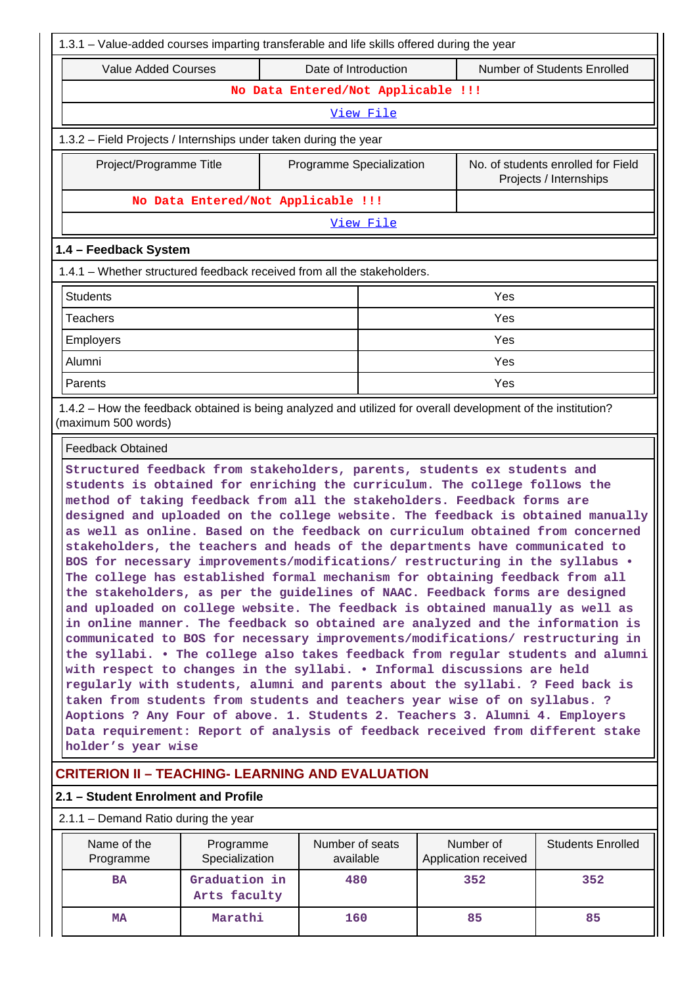| 1.3.1 - Value-added courses imparting transferable and life skills offered during the year                                                                                                                                                                                                                                                                                                                                                                                                                                                                                                                                                                                                                                                                                                                                                                                                                                                                                                                                                                                                                                                                                                                                                                                                                                                                                                                                                                                                                        |                                                                                                              |                 |  |           |                   |  |
|-------------------------------------------------------------------------------------------------------------------------------------------------------------------------------------------------------------------------------------------------------------------------------------------------------------------------------------------------------------------------------------------------------------------------------------------------------------------------------------------------------------------------------------------------------------------------------------------------------------------------------------------------------------------------------------------------------------------------------------------------------------------------------------------------------------------------------------------------------------------------------------------------------------------------------------------------------------------------------------------------------------------------------------------------------------------------------------------------------------------------------------------------------------------------------------------------------------------------------------------------------------------------------------------------------------------------------------------------------------------------------------------------------------------------------------------------------------------------------------------------------------------|--------------------------------------------------------------------------------------------------------------|-----------------|--|-----------|-------------------|--|
| <b>Value Added Courses</b><br>Date of Introduction<br>Number of Students Enrolled                                                                                                                                                                                                                                                                                                                                                                                                                                                                                                                                                                                                                                                                                                                                                                                                                                                                                                                                                                                                                                                                                                                                                                                                                                                                                                                                                                                                                                 |                                                                                                              |                 |  |           |                   |  |
|                                                                                                                                                                                                                                                                                                                                                                                                                                                                                                                                                                                                                                                                                                                                                                                                                                                                                                                                                                                                                                                                                                                                                                                                                                                                                                                                                                                                                                                                                                                   | No Data Entered/Not Applicable !!!                                                                           |                 |  |           |                   |  |
|                                                                                                                                                                                                                                                                                                                                                                                                                                                                                                                                                                                                                                                                                                                                                                                                                                                                                                                                                                                                                                                                                                                                                                                                                                                                                                                                                                                                                                                                                                                   |                                                                                                              | View File       |  |           |                   |  |
| 1.3.2 - Field Projects / Internships under taken during the year                                                                                                                                                                                                                                                                                                                                                                                                                                                                                                                                                                                                                                                                                                                                                                                                                                                                                                                                                                                                                                                                                                                                                                                                                                                                                                                                                                                                                                                  |                                                                                                              |                 |  |           |                   |  |
| Project/Programme Title                                                                                                                                                                                                                                                                                                                                                                                                                                                                                                                                                                                                                                                                                                                                                                                                                                                                                                                                                                                                                                                                                                                                                                                                                                                                                                                                                                                                                                                                                           | No. of students enrolled for Field<br>Programme Specialization<br>Projects / Internships                     |                 |  |           |                   |  |
|                                                                                                                                                                                                                                                                                                                                                                                                                                                                                                                                                                                                                                                                                                                                                                                                                                                                                                                                                                                                                                                                                                                                                                                                                                                                                                                                                                                                                                                                                                                   | No Data Entered/Not Applicable !!!                                                                           |                 |  |           |                   |  |
|                                                                                                                                                                                                                                                                                                                                                                                                                                                                                                                                                                                                                                                                                                                                                                                                                                                                                                                                                                                                                                                                                                                                                                                                                                                                                                                                                                                                                                                                                                                   | View File                                                                                                    |                 |  |           |                   |  |
| 1.4 - Feedback System                                                                                                                                                                                                                                                                                                                                                                                                                                                                                                                                                                                                                                                                                                                                                                                                                                                                                                                                                                                                                                                                                                                                                                                                                                                                                                                                                                                                                                                                                             |                                                                                                              |                 |  |           |                   |  |
| 1.4.1 – Whether structured feedback received from all the stakeholders.                                                                                                                                                                                                                                                                                                                                                                                                                                                                                                                                                                                                                                                                                                                                                                                                                                                                                                                                                                                                                                                                                                                                                                                                                                                                                                                                                                                                                                           |                                                                                                              |                 |  |           |                   |  |
| <b>Students</b><br>Yes                                                                                                                                                                                                                                                                                                                                                                                                                                                                                                                                                                                                                                                                                                                                                                                                                                                                                                                                                                                                                                                                                                                                                                                                                                                                                                                                                                                                                                                                                            |                                                                                                              |                 |  |           |                   |  |
| <b>Teachers</b><br>Yes                                                                                                                                                                                                                                                                                                                                                                                                                                                                                                                                                                                                                                                                                                                                                                                                                                                                                                                                                                                                                                                                                                                                                                                                                                                                                                                                                                                                                                                                                            |                                                                                                              |                 |  |           |                   |  |
| Employers<br>Yes                                                                                                                                                                                                                                                                                                                                                                                                                                                                                                                                                                                                                                                                                                                                                                                                                                                                                                                                                                                                                                                                                                                                                                                                                                                                                                                                                                                                                                                                                                  |                                                                                                              |                 |  |           |                   |  |
| Alumni<br>Yes                                                                                                                                                                                                                                                                                                                                                                                                                                                                                                                                                                                                                                                                                                                                                                                                                                                                                                                                                                                                                                                                                                                                                                                                                                                                                                                                                                                                                                                                                                     |                                                                                                              |                 |  |           |                   |  |
| Yes<br>Parents                                                                                                                                                                                                                                                                                                                                                                                                                                                                                                                                                                                                                                                                                                                                                                                                                                                                                                                                                                                                                                                                                                                                                                                                                                                                                                                                                                                                                                                                                                    |                                                                                                              |                 |  |           |                   |  |
| (maximum 500 words)                                                                                                                                                                                                                                                                                                                                                                                                                                                                                                                                                                                                                                                                                                                                                                                                                                                                                                                                                                                                                                                                                                                                                                                                                                                                                                                                                                                                                                                                                               | 1.4.2 - How the feedback obtained is being analyzed and utilized for overall development of the institution? |                 |  |           |                   |  |
| <b>Feedback Obtained</b>                                                                                                                                                                                                                                                                                                                                                                                                                                                                                                                                                                                                                                                                                                                                                                                                                                                                                                                                                                                                                                                                                                                                                                                                                                                                                                                                                                                                                                                                                          |                                                                                                              |                 |  |           |                   |  |
| Structured feedback from stakeholders, parents, students ex students and<br>students is obtained for enriching the curriculum. The college follows the<br>method of taking feedback from all the stakeholders. Feedback forms are<br>designed and uploaded on the college website. The feedback is obtained manually<br>as well as online. Based on the feedback on curriculum obtained from concerned<br>stakeholders, the teachers and heads of the departments have communicated to<br>BOS for necessary improvements/modifications/ restructuring in the syllabus .<br>The college has established formal mechanism for obtaining feedback from all<br>the stakeholders, as per the guidelines of NAAC. Feedback forms are designed<br>and uploaded on college website. The feedback is obtained manually as well as<br>in online manner. The feedback so obtained are analyzed and the information is<br>communicated to BOS for necessary improvements/modifications/ restructuring in<br>the syllabi. . The college also takes feedback from regular students and alumni<br>with respect to changes in the syllabi. . Informal discussions are held<br>regularly with students, alumni and parents about the syllabi. ? Feed back is<br>taken from students from students and teachers year wise of on syllabus. ?<br>Aoptions ? Any Four of above. 1. Students 2. Teachers 3. Alumni 4. Employers<br>Data requirement: Report of analysis of feedback received from different stake<br>holder's year wise |                                                                                                              |                 |  |           |                   |  |
| <b>CRITERION II - TEACHING- LEARNING AND EVALUATION</b>                                                                                                                                                                                                                                                                                                                                                                                                                                                                                                                                                                                                                                                                                                                                                                                                                                                                                                                                                                                                                                                                                                                                                                                                                                                                                                                                                                                                                                                           |                                                                                                              |                 |  |           |                   |  |
| 2.1 - Student Enrolment and Profile                                                                                                                                                                                                                                                                                                                                                                                                                                                                                                                                                                                                                                                                                                                                                                                                                                                                                                                                                                                                                                                                                                                                                                                                                                                                                                                                                                                                                                                                               |                                                                                                              |                 |  |           |                   |  |
| $2.1.1 -$ Demand Ratio during the year<br>Name of the<br><b>Programme</b>                                                                                                                                                                                                                                                                                                                                                                                                                                                                                                                                                                                                                                                                                                                                                                                                                                                                                                                                                                                                                                                                                                                                                                                                                                                                                                                                                                                                                                         |                                                                                                              | Number of seats |  | Number of | Students Enrolled |  |

| Name of the<br>Programme | Programme<br>Specialization          | Number of seats<br>available | Number of<br>Application received | <b>Students Enrolled</b> |
|--------------------------|--------------------------------------|------------------------------|-----------------------------------|--------------------------|
| <b>BA</b>                | Graduation in<br>480<br>Arts faculty |                              | 352                               | 352                      |
| MA                       | Marathi                              | 160                          | 85                                | 85                       |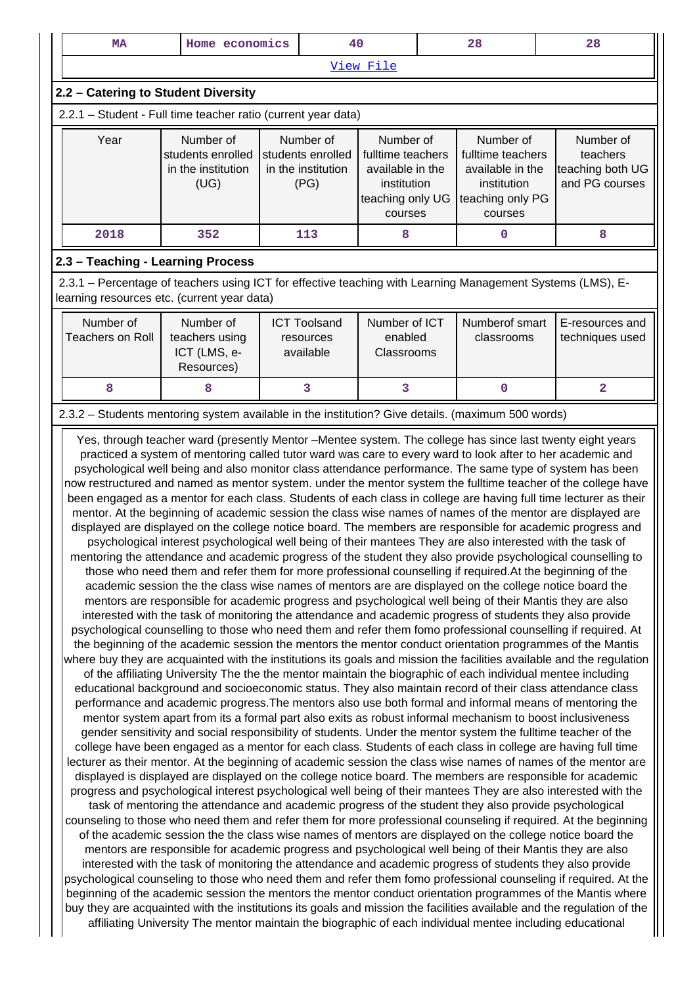| <b>MA</b>                                                                                                                                                                                                                                                                                                                                                                                                                                                                                                                                                                                                                                                                                                                                                                                                                                                                                                                                                                                                                                                                                                                                                                                                                                                                                                                                                                                                                                                                                                                                                                                                                                                                                                                                                                                                                                                                                                                                                                                                                                                                                                                                                                                                                                                                                                                                                                                                                                                                                                                                                                                                                                                                                                                                                                                                                                                                                                                                                                                                                                                                                                                                                                                                                                                                                                                                                                                                                                                                                                                                                                                                                                                                                                                                                                                                                                                                                                                                                                                                                             | Home economics                                               |  | 40                                                           |                                                                                                  |  | 28                                                                                               |  | 28                                                          |
|---------------------------------------------------------------------------------------------------------------------------------------------------------------------------------------------------------------------------------------------------------------------------------------------------------------------------------------------------------------------------------------------------------------------------------------------------------------------------------------------------------------------------------------------------------------------------------------------------------------------------------------------------------------------------------------------------------------------------------------------------------------------------------------------------------------------------------------------------------------------------------------------------------------------------------------------------------------------------------------------------------------------------------------------------------------------------------------------------------------------------------------------------------------------------------------------------------------------------------------------------------------------------------------------------------------------------------------------------------------------------------------------------------------------------------------------------------------------------------------------------------------------------------------------------------------------------------------------------------------------------------------------------------------------------------------------------------------------------------------------------------------------------------------------------------------------------------------------------------------------------------------------------------------------------------------------------------------------------------------------------------------------------------------------------------------------------------------------------------------------------------------------------------------------------------------------------------------------------------------------------------------------------------------------------------------------------------------------------------------------------------------------------------------------------------------------------------------------------------------------------------------------------------------------------------------------------------------------------------------------------------------------------------------------------------------------------------------------------------------------------------------------------------------------------------------------------------------------------------------------------------------------------------------------------------------------------------------------------------------------------------------------------------------------------------------------------------------------------------------------------------------------------------------------------------------------------------------------------------------------------------------------------------------------------------------------------------------------------------------------------------------------------------------------------------------------------------------------------------------------------------------------------------------------------------------------------------------------------------------------------------------------------------------------------------------------------------------------------------------------------------------------------------------------------------------------------------------------------------------------------------------------------------------------------------------------------------------------------------------------------------------------------------------|--------------------------------------------------------------|--|--------------------------------------------------------------|--------------------------------------------------------------------------------------------------|--|--------------------------------------------------------------------------------------------------|--|-------------------------------------------------------------|
| View File                                                                                                                                                                                                                                                                                                                                                                                                                                                                                                                                                                                                                                                                                                                                                                                                                                                                                                                                                                                                                                                                                                                                                                                                                                                                                                                                                                                                                                                                                                                                                                                                                                                                                                                                                                                                                                                                                                                                                                                                                                                                                                                                                                                                                                                                                                                                                                                                                                                                                                                                                                                                                                                                                                                                                                                                                                                                                                                                                                                                                                                                                                                                                                                                                                                                                                                                                                                                                                                                                                                                                                                                                                                                                                                                                                                                                                                                                                                                                                                                                             |                                                              |  |                                                              |                                                                                                  |  |                                                                                                  |  |                                                             |
| 2.2 - Catering to Student Diversity                                                                                                                                                                                                                                                                                                                                                                                                                                                                                                                                                                                                                                                                                                                                                                                                                                                                                                                                                                                                                                                                                                                                                                                                                                                                                                                                                                                                                                                                                                                                                                                                                                                                                                                                                                                                                                                                                                                                                                                                                                                                                                                                                                                                                                                                                                                                                                                                                                                                                                                                                                                                                                                                                                                                                                                                                                                                                                                                                                                                                                                                                                                                                                                                                                                                                                                                                                                                                                                                                                                                                                                                                                                                                                                                                                                                                                                                                                                                                                                                   |                                                              |  |                                                              |                                                                                                  |  |                                                                                                  |  |                                                             |
| 2.2.1 - Student - Full time teacher ratio (current year data)                                                                                                                                                                                                                                                                                                                                                                                                                                                                                                                                                                                                                                                                                                                                                                                                                                                                                                                                                                                                                                                                                                                                                                                                                                                                                                                                                                                                                                                                                                                                                                                                                                                                                                                                                                                                                                                                                                                                                                                                                                                                                                                                                                                                                                                                                                                                                                                                                                                                                                                                                                                                                                                                                                                                                                                                                                                                                                                                                                                                                                                                                                                                                                                                                                                                                                                                                                                                                                                                                                                                                                                                                                                                                                                                                                                                                                                                                                                                                                         |                                                              |  |                                                              |                                                                                                  |  |                                                                                                  |  |                                                             |
| Year                                                                                                                                                                                                                                                                                                                                                                                                                                                                                                                                                                                                                                                                                                                                                                                                                                                                                                                                                                                                                                                                                                                                                                                                                                                                                                                                                                                                                                                                                                                                                                                                                                                                                                                                                                                                                                                                                                                                                                                                                                                                                                                                                                                                                                                                                                                                                                                                                                                                                                                                                                                                                                                                                                                                                                                                                                                                                                                                                                                                                                                                                                                                                                                                                                                                                                                                                                                                                                                                                                                                                                                                                                                                                                                                                                                                                                                                                                                                                                                                                                  | Number of<br>students enrolled<br>in the institution<br>(UG) |  | Number of<br>students enrolled<br>in the institution<br>(PG) | Number of<br>fulltime teachers<br>available in the<br>institution<br>teaching only UG<br>courses |  | Number of<br>fulltime teachers<br>available in the<br>institution<br>teaching only PG<br>courses |  | Number of<br>teachers<br>teaching both UG<br>and PG courses |
| 2018                                                                                                                                                                                                                                                                                                                                                                                                                                                                                                                                                                                                                                                                                                                                                                                                                                                                                                                                                                                                                                                                                                                                                                                                                                                                                                                                                                                                                                                                                                                                                                                                                                                                                                                                                                                                                                                                                                                                                                                                                                                                                                                                                                                                                                                                                                                                                                                                                                                                                                                                                                                                                                                                                                                                                                                                                                                                                                                                                                                                                                                                                                                                                                                                                                                                                                                                                                                                                                                                                                                                                                                                                                                                                                                                                                                                                                                                                                                                                                                                                                  | 352                                                          |  | 113                                                          | 8                                                                                                |  | 0                                                                                                |  | 8                                                           |
| 2.3 - Teaching - Learning Process                                                                                                                                                                                                                                                                                                                                                                                                                                                                                                                                                                                                                                                                                                                                                                                                                                                                                                                                                                                                                                                                                                                                                                                                                                                                                                                                                                                                                                                                                                                                                                                                                                                                                                                                                                                                                                                                                                                                                                                                                                                                                                                                                                                                                                                                                                                                                                                                                                                                                                                                                                                                                                                                                                                                                                                                                                                                                                                                                                                                                                                                                                                                                                                                                                                                                                                                                                                                                                                                                                                                                                                                                                                                                                                                                                                                                                                                                                                                                                                                     |                                                              |  |                                                              |                                                                                                  |  |                                                                                                  |  |                                                             |
| 2.3.1 - Percentage of teachers using ICT for effective teaching with Learning Management Systems (LMS), E-<br>learning resources etc. (current year data)                                                                                                                                                                                                                                                                                                                                                                                                                                                                                                                                                                                                                                                                                                                                                                                                                                                                                                                                                                                                                                                                                                                                                                                                                                                                                                                                                                                                                                                                                                                                                                                                                                                                                                                                                                                                                                                                                                                                                                                                                                                                                                                                                                                                                                                                                                                                                                                                                                                                                                                                                                                                                                                                                                                                                                                                                                                                                                                                                                                                                                                                                                                                                                                                                                                                                                                                                                                                                                                                                                                                                                                                                                                                                                                                                                                                                                                                             |                                                              |  |                                                              |                                                                                                  |  |                                                                                                  |  |                                                             |
| Number of<br><b>Teachers on Roll</b>                                                                                                                                                                                                                                                                                                                                                                                                                                                                                                                                                                                                                                                                                                                                                                                                                                                                                                                                                                                                                                                                                                                                                                                                                                                                                                                                                                                                                                                                                                                                                                                                                                                                                                                                                                                                                                                                                                                                                                                                                                                                                                                                                                                                                                                                                                                                                                                                                                                                                                                                                                                                                                                                                                                                                                                                                                                                                                                                                                                                                                                                                                                                                                                                                                                                                                                                                                                                                                                                                                                                                                                                                                                                                                                                                                                                                                                                                                                                                                                                  | Number of<br>teachers using<br>ICT (LMS, e-<br>Resources)    |  | <b>ICT Toolsand</b><br>resources<br>available                | Number of ICT<br>enabled<br>Classrooms                                                           |  | Numberof smart<br>classrooms                                                                     |  | E-resources and<br>techniques used                          |
| 8                                                                                                                                                                                                                                                                                                                                                                                                                                                                                                                                                                                                                                                                                                                                                                                                                                                                                                                                                                                                                                                                                                                                                                                                                                                                                                                                                                                                                                                                                                                                                                                                                                                                                                                                                                                                                                                                                                                                                                                                                                                                                                                                                                                                                                                                                                                                                                                                                                                                                                                                                                                                                                                                                                                                                                                                                                                                                                                                                                                                                                                                                                                                                                                                                                                                                                                                                                                                                                                                                                                                                                                                                                                                                                                                                                                                                                                                                                                                                                                                                                     | 8                                                            |  | 3                                                            | 3                                                                                                |  | $\mathbf 0$                                                                                      |  | 2                                                           |
|                                                                                                                                                                                                                                                                                                                                                                                                                                                                                                                                                                                                                                                                                                                                                                                                                                                                                                                                                                                                                                                                                                                                                                                                                                                                                                                                                                                                                                                                                                                                                                                                                                                                                                                                                                                                                                                                                                                                                                                                                                                                                                                                                                                                                                                                                                                                                                                                                                                                                                                                                                                                                                                                                                                                                                                                                                                                                                                                                                                                                                                                                                                                                                                                                                                                                                                                                                                                                                                                                                                                                                                                                                                                                                                                                                                                                                                                                                                                                                                                                                       |                                                              |  |                                                              |                                                                                                  |  |                                                                                                  |  |                                                             |
| 2.3.2 - Students mentoring system available in the institution? Give details. (maximum 500 words)<br>Yes, through teacher ward (presently Mentor - Mentee system. The college has since last twenty eight years<br>practiced a system of mentoring called tutor ward was care to every ward to look after to her academic and<br>psychological well being and also monitor class attendance performance. The same type of system has been<br>now restructured and named as mentor system. under the mentor system the fulltime teacher of the college have<br>been engaged as a mentor for each class. Students of each class in college are having full time lecturer as their<br>mentor. At the beginning of academic session the class wise names of names of the mentor are displayed are<br>displayed are displayed on the college notice board. The members are responsible for academic progress and<br>psychological interest psychological well being of their mantees They are also interested with the task of<br>mentoring the attendance and academic progress of the student they also provide psychological counselling to<br>those who need them and refer them for more professional counselling if required. At the beginning of the<br>academic session the the class wise names of mentors are are displayed on the college notice board the<br>mentors are responsible for academic progress and psychological well being of their Mantis they are also<br>interested with the task of monitoring the attendance and academic progress of students they also provide<br>psychological counselling to those who need them and refer them fomo professional counselling if required. At<br>the beginning of the academic session the mentors the mentor conduct orientation programmes of the Mantis<br>where buy they are acquainted with the institutions its goals and mission the facilities available and the regulation<br>of the affiliating University The the the mentor maintain the biographic of each individual mentee including<br>educational background and socioeconomic status. They also maintain record of their class attendance class<br>performance and academic progress. The mentors also use both formal and informal means of mentoring the<br>mentor system apart from its a formal part also exits as robust informal mechanism to boost inclusiveness<br>gender sensitivity and social responsibility of students. Under the mentor system the fulltime teacher of the<br>college have been engaged as a mentor for each class. Students of each class in college are having full time<br>lecturer as their mentor. At the beginning of academic session the class wise names of names of the mentor are<br>displayed is displayed are displayed on the college notice board. The members are responsible for academic<br>progress and psychological interest psychological well being of their mantees They are also interested with the<br>task of mentoring the attendance and academic progress of the student they also provide psychological<br>counseling to those who need them and refer them for more professional counseling if required. At the beginning<br>of the academic session the the class wise names of mentors are displayed on the college notice board the<br>mentors are responsible for academic progress and psychological well being of their Mantis they are also<br>interested with the task of monitoring the attendance and academic progress of students they also provide<br>psychological counseling to those who need them and refer them fomo professional counseling if required. At the<br>beginning of the academic session the mentors the mentor conduct orientation programmes of the Mantis where<br>buy they are acquainted with the institutions its goals and mission the facilities available and the regulation of the<br>affiliating University The mentor maintain the biographic of each individual mentee including educational |                                                              |  |                                                              |                                                                                                  |  |                                                                                                  |  |                                                             |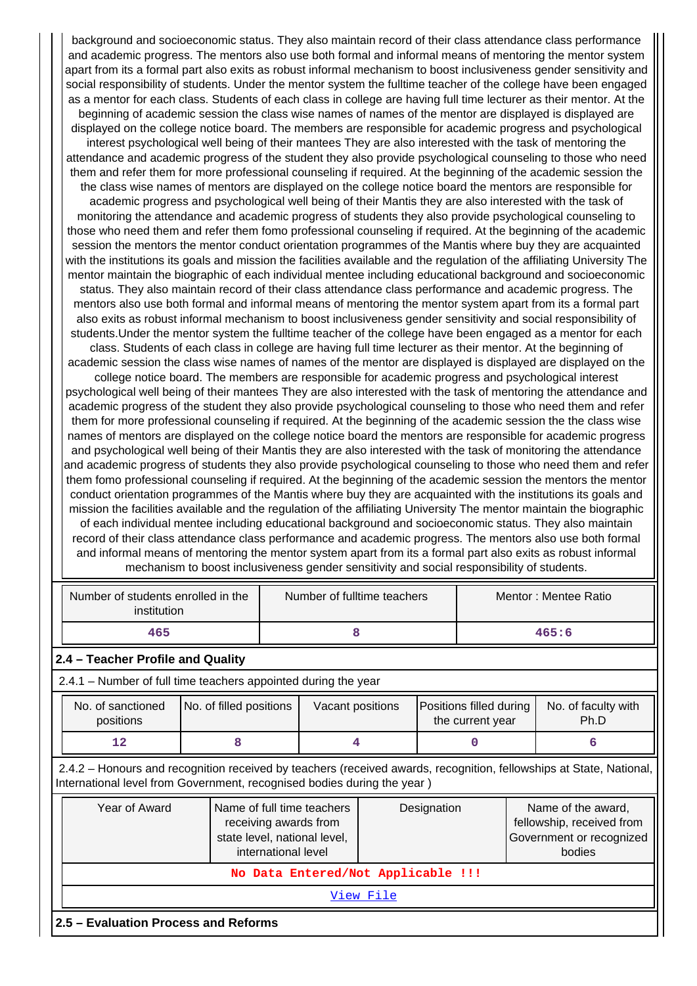background and socioeconomic status. They also maintain record of their class attendance class performance and academic progress. The mentors also use both formal and informal means of mentoring the mentor system apart from its a formal part also exits as robust informal mechanism to boost inclusiveness gender sensitivity and social responsibility of students. Under the mentor system the fulltime teacher of the college have been engaged as a mentor for each class. Students of each class in college are having full time lecturer as their mentor. At the beginning of academic session the class wise names of names of the mentor are displayed is displayed are displayed on the college notice board. The members are responsible for academic progress and psychological interest psychological well being of their mantees They are also interested with the task of mentoring the attendance and academic progress of the student they also provide psychological counseling to those who need them and refer them for more professional counseling if required. At the beginning of the academic session the the class wise names of mentors are displayed on the college notice board the mentors are responsible for academic progress and psychological well being of their Mantis they are also interested with the task of monitoring the attendance and academic progress of students they also provide psychological counseling to those who need them and refer them fomo professional counseling if required. At the beginning of the academic session the mentors the mentor conduct orientation programmes of the Mantis where buy they are acquainted with the institutions its goals and mission the facilities available and the regulation of the affiliating University The mentor maintain the biographic of each individual mentee including educational background and socioeconomic status. They also maintain record of their class attendance class performance and academic progress. The mentors also use both formal and informal means of mentoring the mentor system apart from its a formal part also exits as robust informal mechanism to boost inclusiveness gender sensitivity and social responsibility of students.Under the mentor system the fulltime teacher of the college have been engaged as a mentor for each class. Students of each class in college are having full time lecturer as their mentor. At the beginning of academic session the class wise names of names of the mentor are displayed is displayed are displayed on the college notice board. The members are responsible for academic progress and psychological interest psychological well being of their mantees They are also interested with the task of mentoring the attendance and academic progress of the student they also provide psychological counseling to those who need them and refer them for more professional counseling if required. At the beginning of the academic session the the class wise names of mentors are displayed on the college notice board the mentors are responsible for academic progress and psychological well being of their Mantis they are also interested with the task of monitoring the attendance and academic progress of students they also provide psychological counseling to those who need them and refer them fomo professional counseling if required. At the beginning of the academic session the mentors the mentor conduct orientation programmes of the Mantis where buy they are acquainted with the institutions its goals and mission the facilities available and the regulation of the affiliating University The mentor maintain the biographic of each individual mentee including educational background and socioeconomic status. They also maintain record of their class attendance class performance and academic progress. The mentors also use both formal and informal means of mentoring the mentor system apart from its a formal part also exits as robust informal mechanism to boost inclusiveness gender sensitivity and social responsibility of students.

| Number of students enrolled in the<br>institution                                                                                                                                                                                   |                                   | Number of fulltime teachers |                  | Mentor: Mentee Ratio |       |                                             |  |                             |
|-------------------------------------------------------------------------------------------------------------------------------------------------------------------------------------------------------------------------------------|-----------------------------------|-----------------------------|------------------|----------------------|-------|---------------------------------------------|--|-----------------------------|
| 465                                                                                                                                                                                                                                 |                                   |                             | 8                |                      | 465:6 |                                             |  |                             |
|                                                                                                                                                                                                                                     | 2.4 - Teacher Profile and Quality |                             |                  |                      |       |                                             |  |                             |
| 2.4.1 – Number of full time teachers appointed during the year                                                                                                                                                                      |                                   |                             |                  |                      |       |                                             |  |                             |
| No. of filled positions<br>No. of sanctioned<br>positions                                                                                                                                                                           |                                   |                             | Vacant positions |                      |       | Positions filled during<br>the current year |  | No. of faculty with<br>Ph.D |
| 12                                                                                                                                                                                                                                  | 8                                 | 4                           |                  |                      | 0     |                                             |  | 6                           |
| 2.4.2 – Honours and recognition received by teachers (received awards, recognition, fellowships at State, National,<br>International level from Government, recognised bodies during the year)                                      |                                   |                             |                  |                      |       |                                             |  |                             |
| Year of Award<br>Name of full time teachers<br>Name of the award,<br>Designation<br>fellowship, received from<br>receiving awards from<br>state level, national level,<br>Government or recognized<br>international level<br>bodies |                                   |                             |                  |                      |       |                                             |  |                             |
| No Data Entered/Not Applicable !!!                                                                                                                                                                                                  |                                   |                             |                  |                      |       |                                             |  |                             |
| View File                                                                                                                                                                                                                           |                                   |                             |                  |                      |       |                                             |  |                             |
| 2.5 - Evaluation Process and Reforms                                                                                                                                                                                                |                                   |                             |                  |                      |       |                                             |  |                             |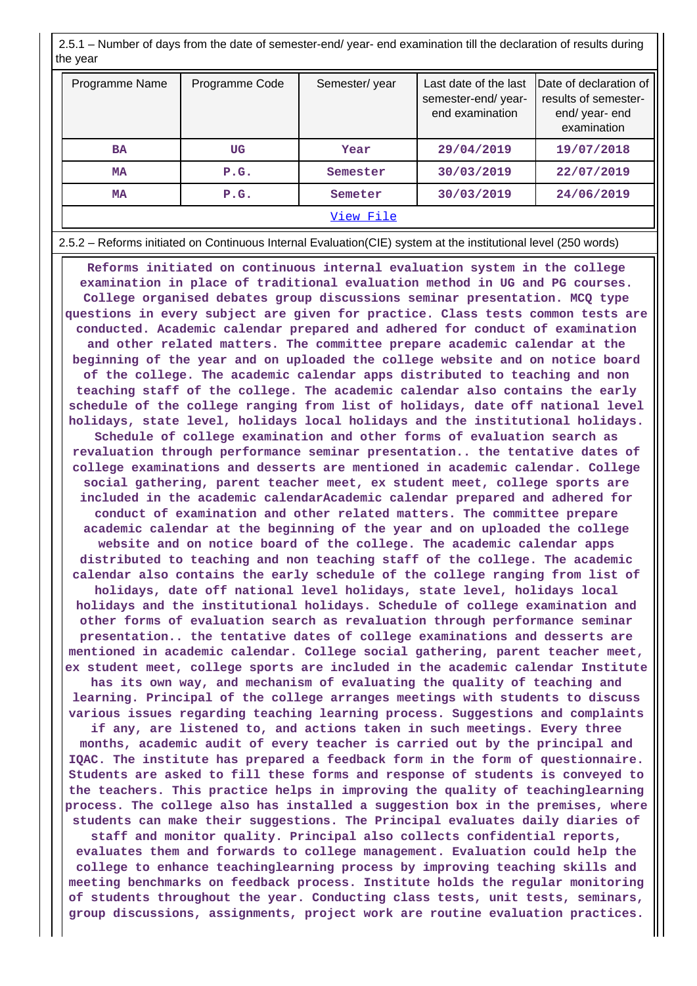2.5.1 – Number of days from the date of semester-end/ year- end examination till the declaration of results during the year

| Programme Name | Programme Code | Semester/year | Last date of the last<br>semester-end/year-<br>end examination | Date of declaration of<br>results of semester-<br>end/ year- end<br>examination |  |  |
|----------------|----------------|---------------|----------------------------------------------------------------|---------------------------------------------------------------------------------|--|--|
| <b>BA</b>      | UG             | Year          | 29/04/2019                                                     | 19/07/2018                                                                      |  |  |
| MA             | P.G.           | Semester      | 30/03/2019                                                     | 22/07/2019                                                                      |  |  |
| MA             | P.G.           | Semeter       | 30/03/2019                                                     | 24/06/2019                                                                      |  |  |
| View File      |                |               |                                                                |                                                                                 |  |  |

2.5.2 – Reforms initiated on Continuous Internal Evaluation(CIE) system at the institutional level (250 words)

 **Reforms initiated on continuous internal evaluation system in the college examination in place of traditional evaluation method in UG and PG courses. College organised debates group discussions seminar presentation. MCQ type questions in every subject are given for practice. Class tests common tests are conducted. Academic calendar prepared and adhered for conduct of examination and other related matters. The committee prepare academic calendar at the beginning of the year and on uploaded the college website and on notice board of the college. The academic calendar apps distributed to teaching and non teaching staff of the college. The academic calendar also contains the early schedule of the college ranging from list of holidays, date off national level holidays, state level, holidays local holidays and the institutional holidays. Schedule of college examination and other forms of evaluation search as revaluation through performance seminar presentation.. the tentative dates of college examinations and desserts are mentioned in academic calendar. College social gathering, parent teacher meet, ex student meet, college sports are included in the academic calendarAcademic calendar prepared and adhered for conduct of examination and other related matters. The committee prepare academic calendar at the beginning of the year and on uploaded the college website and on notice board of the college. The academic calendar apps distributed to teaching and non teaching staff of the college. The academic calendar also contains the early schedule of the college ranging from list of holidays, date off national level holidays, state level, holidays local holidays and the institutional holidays. Schedule of college examination and other forms of evaluation search as revaluation through performance seminar presentation.. the tentative dates of college examinations and desserts are mentioned in academic calendar. College social gathering, parent teacher meet, ex student meet, college sports are included in the academic calendar Institute has its own way, and mechanism of evaluating the quality of teaching and learning. Principal of the college arranges meetings with students to discuss various issues regarding teaching learning process. Suggestions and complaints if any, are listened to, and actions taken in such meetings. Every three months, academic audit of every teacher is carried out by the principal and IQAC. The institute has prepared a feedback form in the form of questionnaire. Students are asked to fill these forms and response of students is conveyed to the teachers. This practice helps in improving the quality of teachinglearning process. The college also has installed a suggestion box in the premises, where students can make their suggestions. The Principal evaluates daily diaries of staff and monitor quality. Principal also collects confidential reports, evaluates them and forwards to college management. Evaluation could help the college to enhance teachinglearning process by improving teaching skills and meeting benchmarks on feedback process. Institute holds the regular monitoring of students throughout the year. Conducting class tests, unit tests, seminars, group discussions, assignments, project work are routine evaluation practices.**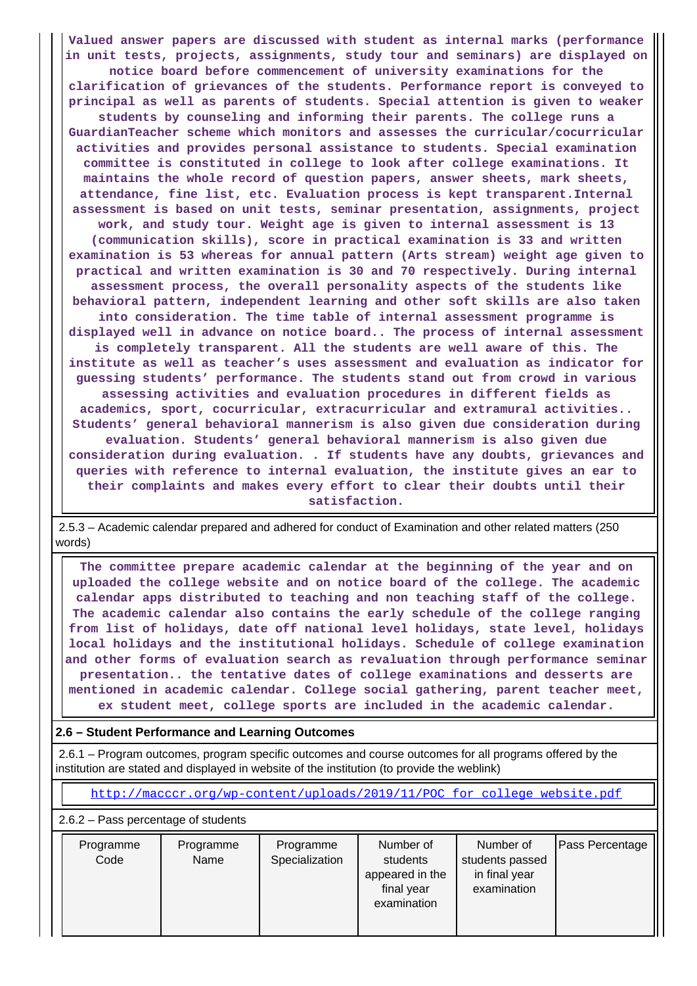**Valued answer papers are discussed with student as internal marks (performance in unit tests, projects, assignments, study tour and seminars) are displayed on notice board before commencement of university examinations for the clarification of grievances of the students. Performance report is conveyed to principal as well as parents of students. Special attention is given to weaker students by counseling and informing their parents. The college runs a GuardianTeacher scheme which monitors and assesses the curricular/cocurricular activities and provides personal assistance to students. Special examination committee is constituted in college to look after college examinations. It maintains the whole record of question papers, answer sheets, mark sheets, attendance, fine list, etc. Evaluation process is kept transparent.Internal assessment is based on unit tests, seminar presentation, assignments, project work, and study tour. Weight age is given to internal assessment is 13 (communication skills), score in practical examination is 33 and written examination is 53 whereas for annual pattern (Arts stream) weight age given to practical and written examination is 30 and 70 respectively. During internal assessment process, the overall personality aspects of the students like behavioral pattern, independent learning and other soft skills are also taken into consideration. The time table of internal assessment programme is displayed well in advance on notice board.. The process of internal assessment is completely transparent. All the students are well aware of this. The institute as well as teacher's uses assessment and evaluation as indicator for guessing students' performance. The students stand out from crowd in various assessing activities and evaluation procedures in different fields as academics, sport, cocurricular, extracurricular and extramural activities.. Students' general behavioral mannerism is also given due consideration during evaluation. Students' general behavioral mannerism is also given due consideration during evaluation. . If students have any doubts, grievances and queries with reference to internal evaluation, the institute gives an ear to their complaints and makes every effort to clear their doubts until their satisfaction.**

 2.5.3 – Academic calendar prepared and adhered for conduct of Examination and other related matters (250 words)

 **The committee prepare academic calendar at the beginning of the year and on uploaded the college website and on notice board of the college. The academic calendar apps distributed to teaching and non teaching staff of the college. The academic calendar also contains the early schedule of the college ranging from list of holidays, date off national level holidays, state level, holidays local holidays and the institutional holidays. Schedule of college examination and other forms of evaluation search as revaluation through performance seminar presentation.. the tentative dates of college examinations and desserts are mentioned in academic calendar. College social gathering, parent teacher meet, ex student meet, college sports are included in the academic calendar.**

## **2.6 – Student Performance and Learning Outcomes**

 2.6.1 – Program outcomes, program specific outcomes and course outcomes for all programs offered by the institution are stated and displayed in website of the institution (to provide the weblink)

[http://macccr.org/wp-content/uploads/2019/11/POC\\_for\\_college\\_website.pdf](http://macccr.org/wp-content/uploads/2019/11/POC_for_college_website.pdf)

2.6.2 – Pass percentage of students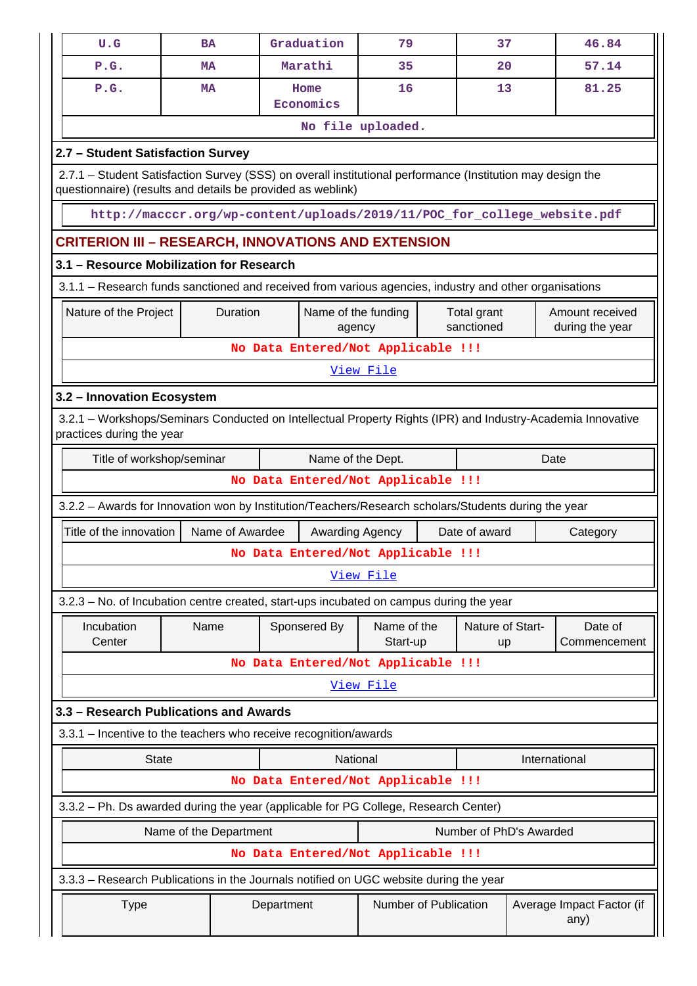| U.G                                                                                                                                                                       | <b>BA</b>                                           | Graduation                                                               | 79                      |                           | 37                     | 46.84                              |  |  |  |
|---------------------------------------------------------------------------------------------------------------------------------------------------------------------------|-----------------------------------------------------|--------------------------------------------------------------------------|-------------------------|---------------------------|------------------------|------------------------------------|--|--|--|
| P.G.                                                                                                                                                                      | <b>MA</b>                                           | Marathi                                                                  | 35                      |                           | 20                     | 57.14                              |  |  |  |
| P.G.                                                                                                                                                                      | MA                                                  | Home<br>Economics                                                        | 16                      |                           | 13                     | 81.25                              |  |  |  |
|                                                                                                                                                                           |                                                     |                                                                          | No file uploaded.       |                           |                        |                                    |  |  |  |
|                                                                                                                                                                           | 2.7 - Student Satisfaction Survey                   |                                                                          |                         |                           |                        |                                    |  |  |  |
| 2.7.1 - Student Satisfaction Survey (SSS) on overall institutional performance (Institution may design the<br>questionnaire) (results and details be provided as weblink) |                                                     |                                                                          |                         |                           |                        |                                    |  |  |  |
|                                                                                                                                                                           |                                                     | http://macccr.org/wp-content/uploads/2019/11/POC_for_college_website.pdf |                         |                           |                        |                                    |  |  |  |
|                                                                                                                                                                           | CRITERION III – RESEARCH, INNOVATIONS AND EXTENSION |                                                                          |                         |                           |                        |                                    |  |  |  |
| 3.1 - Resource Mobilization for Research                                                                                                                                  |                                                     |                                                                          |                         |                           |                        |                                    |  |  |  |
| 3.1.1 – Research funds sanctioned and received from various agencies, industry and other organisations                                                                    |                                                     |                                                                          |                         |                           |                        |                                    |  |  |  |
| Nature of the Project                                                                                                                                                     | Duration                                            | Name of the funding<br>agency                                            |                         | Total grant<br>sanctioned |                        | Amount received<br>during the year |  |  |  |
|                                                                                                                                                                           |                                                     | No Data Entered/Not Applicable !!!                                       |                         |                           |                        |                                    |  |  |  |
| View File                                                                                                                                                                 |                                                     |                                                                          |                         |                           |                        |                                    |  |  |  |
| 3.2 - Innovation Ecosystem                                                                                                                                                |                                                     |                                                                          |                         |                           |                        |                                    |  |  |  |
| 3.2.1 - Workshops/Seminars Conducted on Intellectual Property Rights (IPR) and Industry-Academia Innovative<br>practices during the year                                  |                                                     |                                                                          |                         |                           |                        |                                    |  |  |  |
| Title of workshop/seminar<br>Name of the Dept.<br>Date                                                                                                                    |                                                     |                                                                          |                         |                           |                        |                                    |  |  |  |
| No Data Entered/Not Applicable !!!                                                                                                                                        |                                                     |                                                                          |                         |                           |                        |                                    |  |  |  |
| 3.2.2 - Awards for Innovation won by Institution/Teachers/Research scholars/Students during the year                                                                      |                                                     |                                                                          |                         |                           |                        |                                    |  |  |  |
| Title of the innovation                                                                                                                                                   | Name of Awardee                                     | Awarding Agency                                                          |                         | Date of award             |                        | Category                           |  |  |  |
|                                                                                                                                                                           |                                                     | No Data Entered/Not Applicable !!!                                       |                         |                           |                        |                                    |  |  |  |
|                                                                                                                                                                           |                                                     |                                                                          | View File               |                           |                        |                                    |  |  |  |
| 3.2.3 - No. of Incubation centre created, start-ups incubated on campus during the year                                                                                   |                                                     |                                                                          |                         |                           |                        |                                    |  |  |  |
| Incubation<br>Center                                                                                                                                                      | Name                                                | Sponsered By                                                             | Name of the<br>Start-up |                           | Nature of Start-<br>up | Date of<br>Commencement            |  |  |  |
|                                                                                                                                                                           |                                                     | No Data Entered/Not Applicable !!!                                       |                         |                           |                        |                                    |  |  |  |
|                                                                                                                                                                           |                                                     |                                                                          | View File               |                           |                        |                                    |  |  |  |
| 3.3 - Research Publications and Awards                                                                                                                                    |                                                     |                                                                          |                         |                           |                        |                                    |  |  |  |
| 3.3.1 - Incentive to the teachers who receive recognition/awards                                                                                                          |                                                     |                                                                          |                         |                           |                        |                                    |  |  |  |
| <b>State</b>                                                                                                                                                              |                                                     | National                                                                 |                         |                           |                        | International                      |  |  |  |
| No Data Entered/Not Applicable !!!                                                                                                                                        |                                                     |                                                                          |                         |                           |                        |                                    |  |  |  |
| 3.3.2 - Ph. Ds awarded during the year (applicable for PG College, Research Center)                                                                                       |                                                     |                                                                          |                         |                           |                        |                                    |  |  |  |
| Name of the Department<br>Number of PhD's Awarded                                                                                                                         |                                                     |                                                                          |                         |                           |                        |                                    |  |  |  |
| No Data Entered/Not Applicable !!!                                                                                                                                        |                                                     |                                                                          |                         |                           |                        |                                    |  |  |  |
| 3.3.3 – Research Publications in the Journals notified on UGC website during the year                                                                                     |                                                     |                                                                          |                         |                           |                        |                                    |  |  |  |
|                                                                                                                                                                           |                                                     |                                                                          |                         |                           |                        |                                    |  |  |  |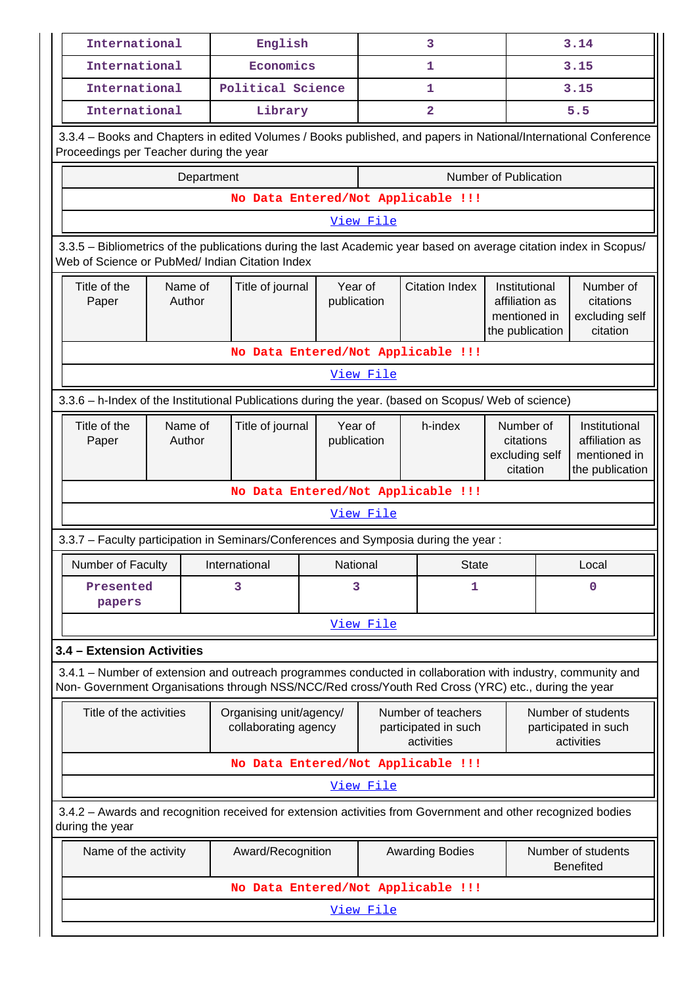| International                                   |  |               | English                                         |                        |           | 3                                                                                                                                                                                                                  |                                                                    | 3.14 |                                                                                                                 |  |  |
|-------------------------------------------------|--|---------------|-------------------------------------------------|------------------------|-----------|--------------------------------------------------------------------------------------------------------------------------------------------------------------------------------------------------------------------|--------------------------------------------------------------------|------|-----------------------------------------------------------------------------------------------------------------|--|--|
| International                                   |  |               | Economics                                       |                        |           | 1                                                                                                                                                                                                                  |                                                                    |      | 3.15                                                                                                            |  |  |
| International                                   |  |               | Political Science                               |                        |           | 1                                                                                                                                                                                                                  |                                                                    |      | 3.15                                                                                                            |  |  |
| International                                   |  |               | Library                                         |                        |           | $\overline{a}$                                                                                                                                                                                                     |                                                                    | 5.5  |                                                                                                                 |  |  |
| Proceedings per Teacher during the year         |  |               |                                                 |                        |           |                                                                                                                                                                                                                    |                                                                    |      | 3.3.4 - Books and Chapters in edited Volumes / Books published, and papers in National/International Conference |  |  |
|                                                 |  | Department    |                                                 |                        |           |                                                                                                                                                                                                                    | Number of Publication                                              |      |                                                                                                                 |  |  |
|                                                 |  |               |                                                 |                        |           | No Data Entered/Not Applicable !!!                                                                                                                                                                                 |                                                                    |      |                                                                                                                 |  |  |
| View File                                       |  |               |                                                 |                        |           |                                                                                                                                                                                                                    |                                                                    |      |                                                                                                                 |  |  |
| Web of Science or PubMed/ Indian Citation Index |  |               |                                                 |                        |           | 3.3.5 - Bibliometrics of the publications during the last Academic year based on average citation index in Scopus/                                                                                                 |                                                                    |      |                                                                                                                 |  |  |
| Title of the<br>Name of<br>Author<br>Paper      |  |               | Title of journal                                | Year of<br>publication |           | <b>Citation Index</b>                                                                                                                                                                                              | Institutional<br>affiliation as<br>mentioned in<br>the publication |      | Number of<br>citations<br>excluding self<br>citation                                                            |  |  |
| No Data Entered/Not Applicable !!!              |  |               |                                                 |                        |           |                                                                                                                                                                                                                    |                                                                    |      |                                                                                                                 |  |  |
| View File                                       |  |               |                                                 |                        |           |                                                                                                                                                                                                                    |                                                                    |      |                                                                                                                 |  |  |
|                                                 |  |               |                                                 |                        |           | 3.3.6 - h-Index of the Institutional Publications during the year. (based on Scopus/ Web of science)                                                                                                               |                                                                    |      |                                                                                                                 |  |  |
| Title of the<br>Name of<br>Author<br>Paper      |  |               | Title of journal                                | Year of<br>publication |           | h-index                                                                                                                                                                                                            | Number of<br>citations<br>excluding self<br>citation               |      | Institutional<br>affiliation as<br>mentioned in<br>the publication                                              |  |  |
|                                                 |  |               |                                                 |                        |           | No Data Entered/Not Applicable !!!                                                                                                                                                                                 |                                                                    |      |                                                                                                                 |  |  |
|                                                 |  |               |                                                 |                        | View File |                                                                                                                                                                                                                    |                                                                    |      |                                                                                                                 |  |  |
|                                                 |  |               |                                                 |                        |           | 3.3.7 - Faculty participation in Seminars/Conferences and Symposia during the year:                                                                                                                                |                                                                    |      |                                                                                                                 |  |  |
| Number of Faculty                               |  | International |                                                 | National               |           | <b>State</b>                                                                                                                                                                                                       |                                                                    |      | Local                                                                                                           |  |  |
| Presented<br>papers                             |  | 3             |                                                 | 3                      |           | 1                                                                                                                                                                                                                  |                                                                    | 0    |                                                                                                                 |  |  |
|                                                 |  |               |                                                 |                        | View File |                                                                                                                                                                                                                    |                                                                    |      |                                                                                                                 |  |  |
| 3.4 - Extension Activities                      |  |               |                                                 |                        |           |                                                                                                                                                                                                                    |                                                                    |      |                                                                                                                 |  |  |
|                                                 |  |               |                                                 |                        |           | 3.4.1 – Number of extension and outreach programmes conducted in collaboration with industry, community and<br>Non- Government Organisations through NSS/NCC/Red cross/Youth Red Cross (YRC) etc., during the year |                                                                    |      |                                                                                                                 |  |  |
| Title of the activities                         |  |               | Organising unit/agency/<br>collaborating agency |                        |           | Number of teachers<br>participated in such<br>activities                                                                                                                                                           |                                                                    |      | Number of students<br>participated in such<br>activities                                                        |  |  |
|                                                 |  |               |                                                 |                        |           | No Data Entered/Not Applicable !!!                                                                                                                                                                                 |                                                                    |      |                                                                                                                 |  |  |
|                                                 |  |               |                                                 |                        | View File |                                                                                                                                                                                                                    |                                                                    |      |                                                                                                                 |  |  |
| during the year                                 |  |               |                                                 |                        |           | 3.4.2 - Awards and recognition received for extension activities from Government and other recognized bodies                                                                                                       |                                                                    |      |                                                                                                                 |  |  |
| Name of the activity                            |  |               | Award/Recognition                               |                        |           | <b>Awarding Bodies</b>                                                                                                                                                                                             |                                                                    |      | Number of students<br><b>Benefited</b>                                                                          |  |  |
|                                                 |  |               |                                                 |                        |           | No Data Entered/Not Applicable !!!                                                                                                                                                                                 |                                                                    |      |                                                                                                                 |  |  |
|                                                 |  |               |                                                 |                        | View File |                                                                                                                                                                                                                    |                                                                    |      |                                                                                                                 |  |  |
|                                                 |  |               |                                                 |                        |           |                                                                                                                                                                                                                    |                                                                    |      |                                                                                                                 |  |  |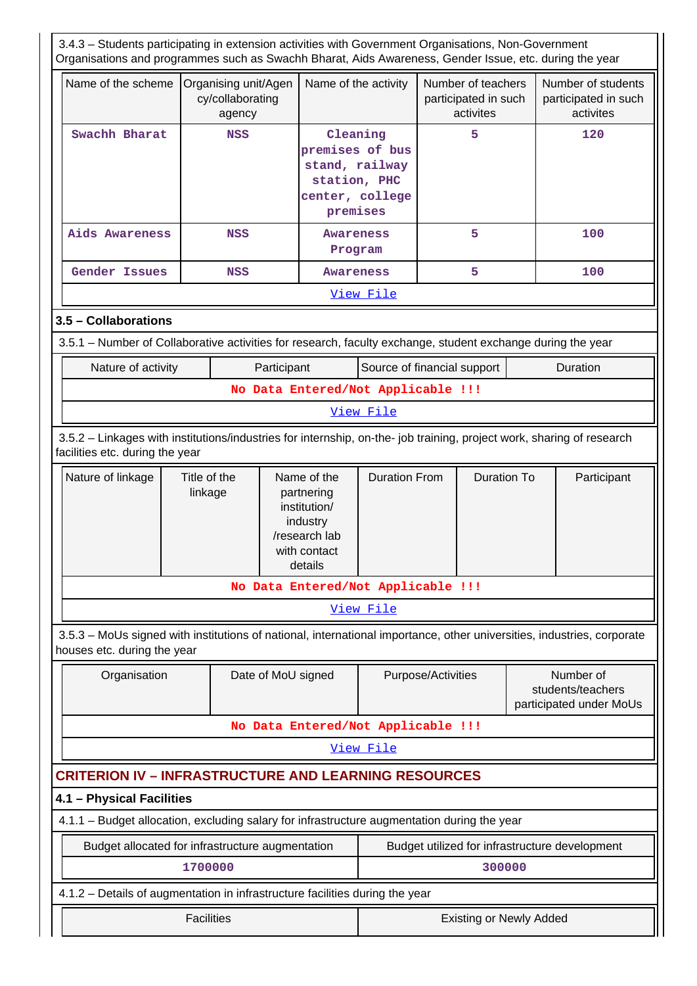| 3.4.3 - Students participating in extension activities with Government Organisations, Non-Government<br>Organisations and programmes such as Swachh Bharat, Aids Awareness, Gender Issue, etc. during the year |                         |                                                    |                                                                                                   |                                                                                  |                    |                                                         |                                                           |                                                         |
|----------------------------------------------------------------------------------------------------------------------------------------------------------------------------------------------------------------|-------------------------|----------------------------------------------------|---------------------------------------------------------------------------------------------------|----------------------------------------------------------------------------------|--------------------|---------------------------------------------------------|-----------------------------------------------------------|---------------------------------------------------------|
| Name of the scheme                                                                                                                                                                                             |                         | Organising unit/Agen<br>cy/collaborating<br>agency |                                                                                                   | Name of the activity                                                             |                    | Number of teachers<br>participated in such<br>activites |                                                           | Number of students<br>participated in such<br>activites |
| Swachh Bharat                                                                                                                                                                                                  |                         | <b>NSS</b>                                         | premises                                                                                          | Cleaning<br>premises of bus<br>stand, railway<br>station, PHC<br>center, college |                    | 5                                                       |                                                           | 120                                                     |
| Aids Awareness                                                                                                                                                                                                 |                         | <b>NSS</b>                                         |                                                                                                   | <b>Awareness</b><br>Program                                                      |                    | 5                                                       |                                                           | 100                                                     |
| Gender Issues                                                                                                                                                                                                  |                         | <b>NSS</b>                                         | <b>Awareness</b>                                                                                  |                                                                                  |                    | 5                                                       |                                                           | 100                                                     |
|                                                                                                                                                                                                                |                         |                                                    |                                                                                                   | View File                                                                        |                    |                                                         |                                                           |                                                         |
| 3.5 - Collaborations                                                                                                                                                                                           |                         |                                                    |                                                                                                   |                                                                                  |                    |                                                         |                                                           |                                                         |
| 3.5.1 – Number of Collaborative activities for research, faculty exchange, student exchange during the year                                                                                                    |                         |                                                    |                                                                                                   |                                                                                  |                    |                                                         |                                                           |                                                         |
| Nature of activity                                                                                                                                                                                             |                         |                                                    | Participant                                                                                       | Source of financial support                                                      |                    |                                                         |                                                           | Duration                                                |
|                                                                                                                                                                                                                |                         |                                                    | No Data Entered/Not Applicable !!!                                                                |                                                                                  |                    |                                                         |                                                           |                                                         |
|                                                                                                                                                                                                                |                         |                                                    |                                                                                                   | View File                                                                        |                    |                                                         |                                                           |                                                         |
| 3.5.2 - Linkages with institutions/industries for internship, on-the- job training, project work, sharing of research<br>facilities etc. during the year                                                       |                         |                                                    |                                                                                                   |                                                                                  |                    |                                                         |                                                           |                                                         |
| Nature of linkage                                                                                                                                                                                              | Title of the<br>linkage |                                                    | Name of the<br>partnering<br>institution/<br>industry<br>/research lab<br>with contact<br>details | <b>Duration From</b>                                                             |                    | <b>Duration To</b>                                      |                                                           | Participant                                             |
|                                                                                                                                                                                                                |                         |                                                    | No Data Entered/Not Applicable !!!                                                                |                                                                                  |                    |                                                         |                                                           |                                                         |
|                                                                                                                                                                                                                |                         |                                                    |                                                                                                   | View File                                                                        |                    |                                                         |                                                           |                                                         |
| 3.5.3 – MoUs signed with institutions of national, international importance, other universities, industries, corporate<br>houses etc. during the year                                                          |                         |                                                    |                                                                                                   |                                                                                  |                    |                                                         |                                                           |                                                         |
| Organisation                                                                                                                                                                                                   |                         |                                                    | Date of MoU signed                                                                                |                                                                                  | Purpose/Activities |                                                         | Number of<br>students/teachers<br>participated under MoUs |                                                         |
|                                                                                                                                                                                                                |                         |                                                    | No Data Entered/Not Applicable !!!                                                                |                                                                                  |                    |                                                         |                                                           |                                                         |
|                                                                                                                                                                                                                |                         |                                                    |                                                                                                   | <u>View File</u>                                                                 |                    |                                                         |                                                           |                                                         |
| <b>CRITERION IV - INFRASTRUCTURE AND LEARNING RESOURCES</b>                                                                                                                                                    |                         |                                                    |                                                                                                   |                                                                                  |                    |                                                         |                                                           |                                                         |
| 4.1 - Physical Facilities                                                                                                                                                                                      |                         |                                                    |                                                                                                   |                                                                                  |                    |                                                         |                                                           |                                                         |
| 4.1.1 - Budget allocation, excluding salary for infrastructure augmentation during the year                                                                                                                    |                         |                                                    |                                                                                                   |                                                                                  |                    |                                                         |                                                           |                                                         |
| Budget allocated for infrastructure augmentation                                                                                                                                                               |                         |                                                    |                                                                                                   |                                                                                  |                    | Budget utilized for infrastructure development          |                                                           |                                                         |
|                                                                                                                                                                                                                | 1700000                 |                                                    |                                                                                                   |                                                                                  |                    | 300000                                                  |                                                           |                                                         |
| 4.1.2 – Details of augmentation in infrastructure facilities during the year                                                                                                                                   |                         |                                                    |                                                                                                   |                                                                                  |                    |                                                         |                                                           |                                                         |
|                                                                                                                                                                                                                | <b>Facilities</b>       |                                                    |                                                                                                   |                                                                                  |                    | <b>Existing or Newly Added</b>                          |                                                           |                                                         |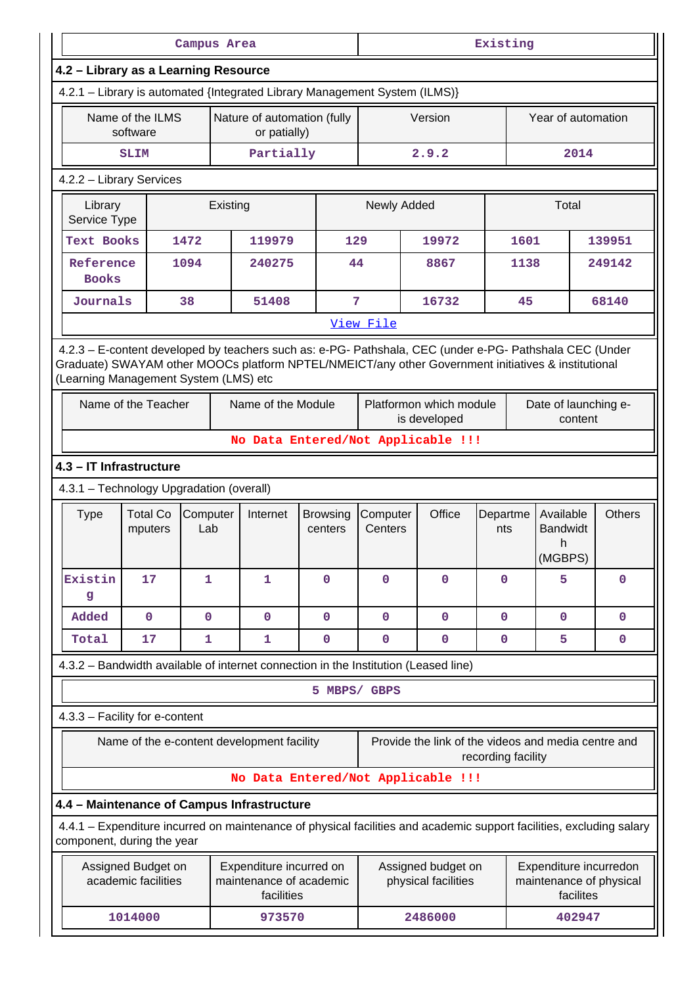|                                                                                                                                                                                                                                                         |                                            | Campus Area     |          |                                                                  |                            | Existing            |                                                     |                    |                                               |                                                                                                                      |  |  |
|---------------------------------------------------------------------------------------------------------------------------------------------------------------------------------------------------------------------------------------------------------|--------------------------------------------|-----------------|----------|------------------------------------------------------------------|----------------------------|---------------------|-----------------------------------------------------|--------------------|-----------------------------------------------|----------------------------------------------------------------------------------------------------------------------|--|--|
| 4.2 - Library as a Learning Resource                                                                                                                                                                                                                    |                                            |                 |          |                                                                  |                            |                     |                                                     |                    |                                               |                                                                                                                      |  |  |
| 4.2.1 - Library is automated {Integrated Library Management System (ILMS)}                                                                                                                                                                              |                                            |                 |          |                                                                  |                            |                     |                                                     |                    |                                               |                                                                                                                      |  |  |
|                                                                                                                                                                                                                                                         | Name of the ILMS<br>software               |                 |          | Nature of automation (fully<br>or patially)                      |                            |                     | Version                                             |                    | Year of automation                            |                                                                                                                      |  |  |
|                                                                                                                                                                                                                                                         | <b>SLIM</b>                                |                 |          | Partially                                                        |                            |                     | 2.9.2                                               |                    | 2014                                          |                                                                                                                      |  |  |
| 4.2.2 - Library Services                                                                                                                                                                                                                                |                                            |                 |          |                                                                  |                            |                     |                                                     |                    |                                               |                                                                                                                      |  |  |
| Library<br>Service Type                                                                                                                                                                                                                                 |                                            |                 | Existing |                                                                  |                            | Newly Added         |                                                     |                    | Total                                         |                                                                                                                      |  |  |
| Text Books                                                                                                                                                                                                                                              |                                            | 1472            |          | 119979                                                           | 129                        |                     | 19972                                               | 1601               |                                               | 139951                                                                                                               |  |  |
| Reference<br><b>Books</b>                                                                                                                                                                                                                               |                                            | 1094            |          | 240275                                                           | 44                         |                     | 8867                                                | 1138               |                                               | 249142                                                                                                               |  |  |
|                                                                                                                                                                                                                                                         | Journals<br>38                             |                 |          | 51408                                                            | 7                          |                     | 16732                                               | 45                 |                                               | 68140                                                                                                                |  |  |
|                                                                                                                                                                                                                                                         |                                            |                 |          |                                                                  |                            | View File           |                                                     |                    |                                               |                                                                                                                      |  |  |
| 4.2.3 - E-content developed by teachers such as: e-PG- Pathshala, CEC (under e-PG- Pathshala CEC (Under<br>Graduate) SWAYAM other MOOCs platform NPTEL/NMEICT/any other Government initiatives & institutional<br>(Learning Management System (LMS) etc |                                            |                 |          |                                                                  |                            |                     |                                                     |                    |                                               |                                                                                                                      |  |  |
|                                                                                                                                                                                                                                                         | Name of the Teacher                        |                 |          | Name of the Module                                               |                            |                     | Platformon which module<br>is developed             |                    | Date of launching e-<br>content               |                                                                                                                      |  |  |
|                                                                                                                                                                                                                                                         |                                            |                 |          |                                                                  |                            |                     | No Data Entered/Not Applicable !!!                  |                    |                                               |                                                                                                                      |  |  |
| 4.3 - IT Infrastructure                                                                                                                                                                                                                                 |                                            |                 |          |                                                                  |                            |                     |                                                     |                    |                                               |                                                                                                                      |  |  |
| 4.3.1 - Technology Upgradation (overall)                                                                                                                                                                                                                |                                            |                 |          |                                                                  |                            |                     |                                                     |                    |                                               |                                                                                                                      |  |  |
| <b>Type</b>                                                                                                                                                                                                                                             | <b>Total Co</b><br>mputers                 | Computer<br>Lab |          | Internet                                                         | <b>Browsing</b><br>centers | Computer<br>Centers | Office                                              | Departme<br>nts    | Available<br><b>Bandwidt</b><br>h.<br>(MGBPS) | <b>Others</b>                                                                                                        |  |  |
| Existin<br>g                                                                                                                                                                                                                                            | 17                                         | $\mathbf{1}$    |          | 1                                                                | $\mathbf{O}$               | $\mathbf 0$         | $\mathbf 0$                                         | $\mathbf 0$        | 5                                             | $\mathbf 0$                                                                                                          |  |  |
| Added                                                                                                                                                                                                                                                   | $\mathbf 0$                                | $\mathbf 0$     |          | $\mathbf 0$                                                      | $\mathbf 0$                | $\mathbf 0$         | $\mathbf 0$                                         | $\mathbf 0$        | $\mathbf 0$                                   | $\mathbf 0$                                                                                                          |  |  |
| Total                                                                                                                                                                                                                                                   | 17                                         | 1               |          | 1                                                                | $\mathbf 0$                | $\mathbf 0$         | $\mathbf 0$                                         | $\mathbf 0$        | 5                                             | $\mathbf 0$                                                                                                          |  |  |
| 4.3.2 - Bandwidth available of internet connection in the Institution (Leased line)                                                                                                                                                                     |                                            |                 |          |                                                                  |                            |                     |                                                     |                    |                                               |                                                                                                                      |  |  |
|                                                                                                                                                                                                                                                         |                                            |                 |          |                                                                  | 5 MBPS/ GBPS               |                     |                                                     |                    |                                               |                                                                                                                      |  |  |
| 4.3.3 - Facility for e-content                                                                                                                                                                                                                          |                                            |                 |          |                                                                  |                            |                     |                                                     |                    |                                               |                                                                                                                      |  |  |
|                                                                                                                                                                                                                                                         | Name of the e-content development facility |                 |          |                                                                  |                            |                     | Provide the link of the videos and media centre and | recording facility |                                               |                                                                                                                      |  |  |
|                                                                                                                                                                                                                                                         |                                            |                 |          |                                                                  |                            |                     | No Data Entered/Not Applicable !!!                  |                    |                                               |                                                                                                                      |  |  |
| 4.4 - Maintenance of Campus Infrastructure                                                                                                                                                                                                              |                                            |                 |          |                                                                  |                            |                     |                                                     |                    |                                               |                                                                                                                      |  |  |
| component, during the year                                                                                                                                                                                                                              |                                            |                 |          |                                                                  |                            |                     |                                                     |                    |                                               | 4.4.1 - Expenditure incurred on maintenance of physical facilities and academic support facilities, excluding salary |  |  |
|                                                                                                                                                                                                                                                         | Assigned Budget on<br>academic facilities  |                 |          | Expenditure incurred on<br>maintenance of academic<br>facilities |                            |                     | Assigned budget on<br>physical facilities           |                    | Expenditure incurredon<br>facilites           | maintenance of physical                                                                                              |  |  |
|                                                                                                                                                                                                                                                         | 1014000                                    |                 |          | 973570                                                           |                            |                     | 2486000                                             |                    | 402947                                        |                                                                                                                      |  |  |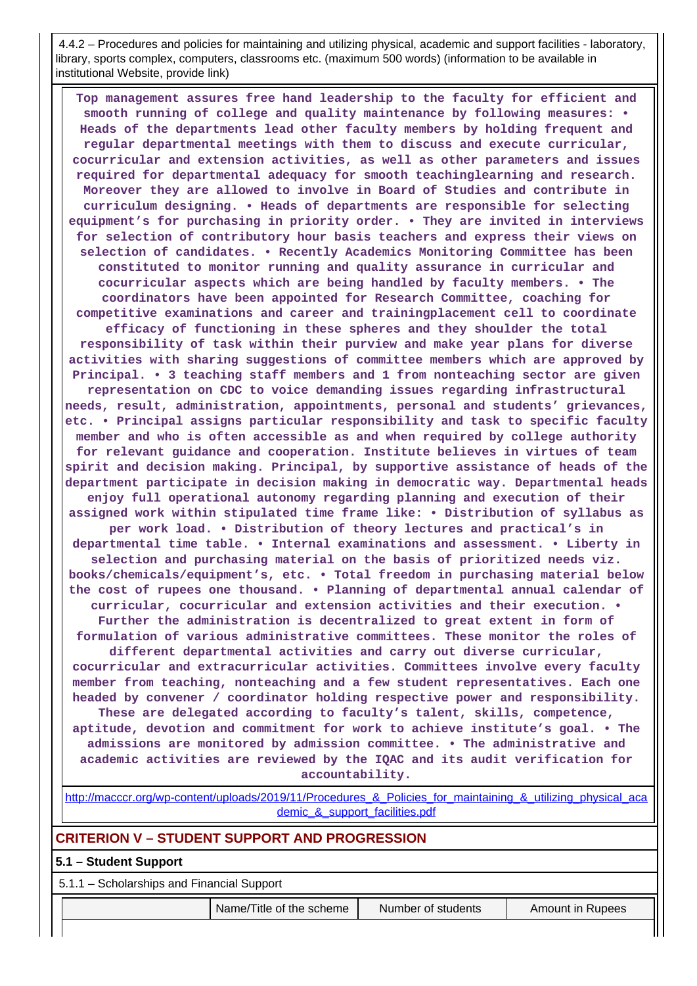4.4.2 – Procedures and policies for maintaining and utilizing physical, academic and support facilities - laboratory, library, sports complex, computers, classrooms etc. (maximum 500 words) (information to be available in institutional Website, provide link)

 **Top management assures free hand leadership to the faculty for efficient and smooth running of college and quality maintenance by following measures: • Heads of the departments lead other faculty members by holding frequent and regular departmental meetings with them to discuss and execute curricular, cocurricular and extension activities, as well as other parameters and issues required for departmental adequacy for smooth teachinglearning and research. Moreover they are allowed to involve in Board of Studies and contribute in curriculum designing. • Heads of departments are responsible for selecting equipment's for purchasing in priority order. • They are invited in interviews for selection of contributory hour basis teachers and express their views on selection of candidates. • Recently Academics Monitoring Committee has been constituted to monitor running and quality assurance in curricular and cocurricular aspects which are being handled by faculty members. • The coordinators have been appointed for Research Committee, coaching for competitive examinations and career and trainingplacement cell to coordinate efficacy of functioning in these spheres and they shoulder the total**

**responsibility of task within their purview and make year plans for diverse activities with sharing suggestions of committee members which are approved by Principal. • 3 teaching staff members and 1 from nonteaching sector are given representation on CDC to voice demanding issues regarding infrastructural needs, result, administration, appointments, personal and students' grievances, etc. • Principal assigns particular responsibility and task to specific faculty member and who is often accessible as and when required by college authority for relevant guidance and cooperation. Institute believes in virtues of team spirit and decision making. Principal, by supportive assistance of heads of the department participate in decision making in democratic way. Departmental heads enjoy full operational autonomy regarding planning and execution of their assigned work within stipulated time frame like: • Distribution of syllabus as**

**per work load. • Distribution of theory lectures and practical's in departmental time table. • Internal examinations and assessment. • Liberty in selection and purchasing material on the basis of prioritized needs viz. books/chemicals/equipment's, etc. • Total freedom in purchasing material below the cost of rupees one thousand. • Planning of departmental annual calendar of curricular, cocurricular and extension activities and their execution. • Further the administration is decentralized to great extent in form of**

**formulation of various administrative committees. These monitor the roles of different departmental activities and carry out diverse curricular, cocurricular and extracurricular activities. Committees involve every faculty member from teaching, nonteaching and a few student representatives. Each one headed by convener / coordinator holding respective power and responsibility.**

**These are delegated according to faculty's talent, skills, competence, aptitude, devotion and commitment for work to achieve institute's goal. • The admissions are monitored by admission committee. • The administrative and academic activities are reviewed by the IQAC and its audit verification for accountability.**

[http://macccr.org/wp-content/uploads/2019/11/Procedures\\_&\\_Policies\\_for\\_maintaining\\_&\\_utilizing\\_physical\\_aca](http://macccr.org/wp-content/uploads/2019/11/Procedures_&_Policies_for_maintaining_&_utilizing_physical_academic_&_support_facilities.pdf) demic & support facilities.pdf

# **CRITERION V – STUDENT SUPPORT AND PROGRESSION**

## **5.1 – Student Support**

5.1.1 – Scholarships and Financial Support

Name/Title of the scheme Number of students Amount in Rupees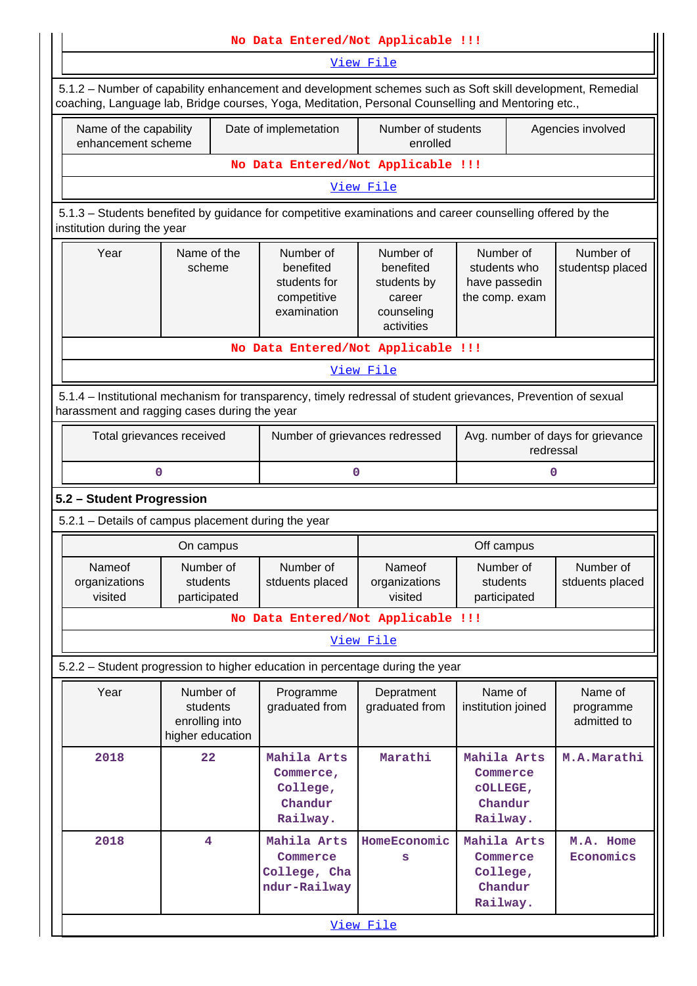|                                                     |                                                             | No Data Entered/Not Applicable !!!                                                                                                                                                                              |                                                                             |                                                              |                                     |  |  |  |  |  |
|-----------------------------------------------------|-------------------------------------------------------------|-----------------------------------------------------------------------------------------------------------------------------------------------------------------------------------------------------------------|-----------------------------------------------------------------------------|--------------------------------------------------------------|-------------------------------------|--|--|--|--|--|
|                                                     |                                                             |                                                                                                                                                                                                                 | View File                                                                   |                                                              |                                     |  |  |  |  |  |
|                                                     |                                                             | 5.1.2 - Number of capability enhancement and development schemes such as Soft skill development, Remedial<br>coaching, Language lab, Bridge courses, Yoga, Meditation, Personal Counselling and Mentoring etc., |                                                                             |                                                              |                                     |  |  |  |  |  |
| Name of the capability<br>enhancement scheme        |                                                             | Number of students<br>Date of implemetation<br>enrolled                                                                                                                                                         |                                                                             |                                                              | Agencies involved                   |  |  |  |  |  |
|                                                     |                                                             | No Data Entered/Not Applicable !!!                                                                                                                                                                              |                                                                             |                                                              |                                     |  |  |  |  |  |
|                                                     |                                                             |                                                                                                                                                                                                                 | View File                                                                   |                                                              |                                     |  |  |  |  |  |
| institution during the year                         |                                                             | 5.1.3 - Students benefited by guidance for competitive examinations and career counselling offered by the                                                                                                       |                                                                             |                                                              |                                     |  |  |  |  |  |
| Year                                                | Name of the<br>scheme                                       | Number of<br>benefited<br>students for<br>competitive<br>examination                                                                                                                                            | Number of<br>benefited<br>students by<br>career<br>counseling<br>activities | Number of<br>students who<br>have passedin<br>the comp. exam | Number of<br>studentsp placed       |  |  |  |  |  |
|                                                     |                                                             | No Data Entered/Not Applicable !!!                                                                                                                                                                              |                                                                             |                                                              |                                     |  |  |  |  |  |
| View File                                           |                                                             |                                                                                                                                                                                                                 |                                                                             |                                                              |                                     |  |  |  |  |  |
| harassment and ragging cases during the year        |                                                             | 5.1.4 – Institutional mechanism for transparency, timely redressal of student grievances, Prevention of sexual                                                                                                  |                                                                             |                                                              |                                     |  |  |  |  |  |
| Total grievances received                           |                                                             | Number of grievances redressed                                                                                                                                                                                  |                                                                             | Avg. number of days for grievance<br>redressal               |                                     |  |  |  |  |  |
| 0                                                   |                                                             | 0                                                                                                                                                                                                               |                                                                             |                                                              | 0                                   |  |  |  |  |  |
| 5.2 - Student Progression                           |                                                             |                                                                                                                                                                                                                 |                                                                             |                                                              |                                     |  |  |  |  |  |
| 5.2.1 - Details of campus placement during the year |                                                             |                                                                                                                                                                                                                 |                                                                             |                                                              |                                     |  |  |  |  |  |
|                                                     | On campus                                                   |                                                                                                                                                                                                                 |                                                                             | Off campus                                                   |                                     |  |  |  |  |  |
| Nameof<br>organizations<br>visited                  | Number of<br>students<br>participated                       | Number of<br>stduents placed                                                                                                                                                                                    | <b>Nameof</b><br>organizations<br>visited                                   | Number of<br>students<br>participated                        | Number of<br>stduents placed        |  |  |  |  |  |
|                                                     |                                                             | No Data Entered/Not Applicable !!!                                                                                                                                                                              |                                                                             |                                                              |                                     |  |  |  |  |  |
|                                                     |                                                             |                                                                                                                                                                                                                 | View File                                                                   |                                                              |                                     |  |  |  |  |  |
|                                                     |                                                             | 5.2.2 - Student progression to higher education in percentage during the year                                                                                                                                   |                                                                             |                                                              |                                     |  |  |  |  |  |
| Year                                                | Number of<br>students<br>enrolling into<br>higher education | Programme<br>graduated from                                                                                                                                                                                     | Depratment<br>graduated from                                                | Name of<br>institution joined                                | Name of<br>programme<br>admitted to |  |  |  |  |  |
| 2018                                                | 22                                                          | Mahila Arts<br>Commerce,<br>College,<br>Chandur<br>Railway.                                                                                                                                                     | Marathi                                                                     | Mahila Arts<br>Commerce<br>COLLEGE,<br>Chandur<br>Railway.   | M.A.Marathi                         |  |  |  |  |  |
| 2018                                                | 4                                                           | Mahila Arts<br>Commerce<br>College, Cha<br>ndur-Railway                                                                                                                                                         | HomeEconomic<br>s<br>View File                                              | Mahila Arts<br>Commerce<br>College,<br>Chandur<br>Railway.   | M.A. Home<br>Economics              |  |  |  |  |  |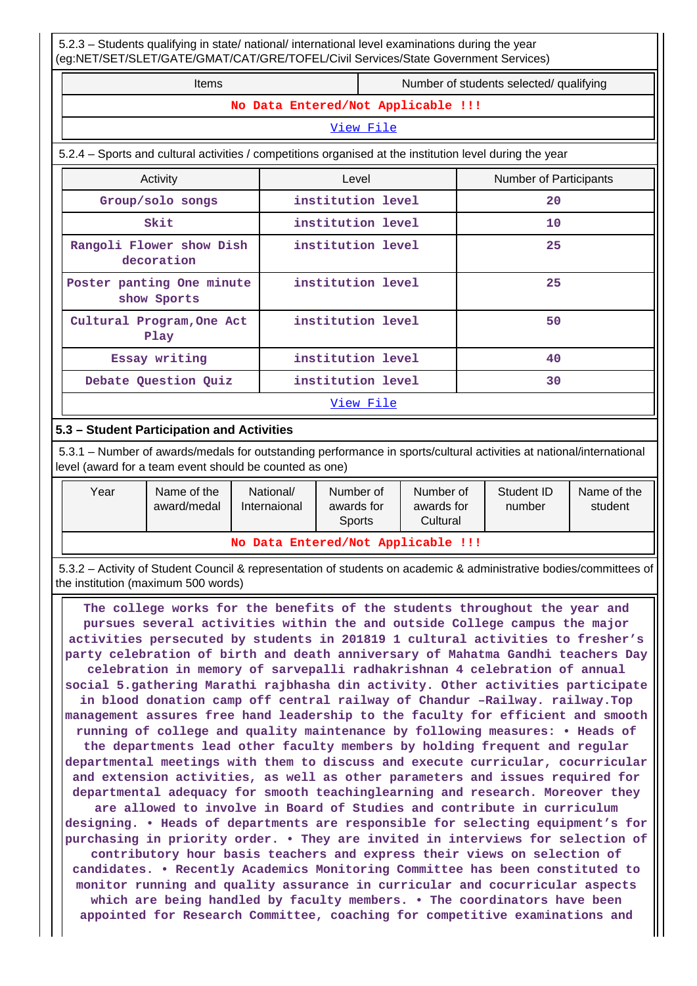5.2.3 – Students qualifying in state/ national/ international level examinations during the year (eg:NET/SET/SLET/GATE/GMAT/CAT/GRE/TOFEL/Civil Services/State Government Services)

Items **Number of students selected/ qualifying No Data Entered/Not Applicable !!!** [View File](https://assessmentonline.naac.gov.in/public/Postacc/Qualifying/1252_Qualifying_1571155871.xlsx) 5.2.4 – Sports and cultural activities / competitions organised at the institution level during the year Activity **Activity Level** Level **Number of Participants Group/solo songs institution level 20 Skit institution level 10 Rangoli Flower show Dish decoration institution level 25 Poster panting One minute show Sports institution level 25 Cultural Program,One Act Play institution level 50 Essay writing institution level 40 Debate Question Quiz institution level 30** [View File](https://assessmentonline.naac.gov.in/public/Postacc/Activities_Organised/1252_Activities_Organised_1571156856.xlsx)

# **5.3 – Student Participation and Activities**

 5.3.1 – Number of awards/medals for outstanding performance in sports/cultural activities at national/international level (award for a team event should be counted as one)

| Year                               | Name of the<br>award/medal | National/<br>Internaional | Number of<br>awards for<br><b>Sports</b> | Number of<br>awards for<br>Cultural | Student ID<br>number | Name of the<br>student |  |  |  |  |
|------------------------------------|----------------------------|---------------------------|------------------------------------------|-------------------------------------|----------------------|------------------------|--|--|--|--|
| No Data Entered/Not Applicable !!! |                            |                           |                                          |                                     |                      |                        |  |  |  |  |

 5.3.2 – Activity of Student Council & representation of students on academic & administrative bodies/committees of the institution (maximum 500 words)

 **The college works for the benefits of the students throughout the year and pursues several activities within the and outside College campus the major activities persecuted by students in 201819 1 cultural activities to fresher's party celebration of birth and death anniversary of Mahatma Gandhi teachers Day celebration in memory of sarvepalli radhakrishnan 4 celebration of annual social 5.gathering Marathi rajbhasha din activity. Other activities participate in blood donation camp off central railway of Chandur –Railway. railway.Top management assures free hand leadership to the faculty for efficient and smooth running of college and quality maintenance by following measures: • Heads of the departments lead other faculty members by holding frequent and regular departmental meetings with them to discuss and execute curricular, cocurricular and extension activities, as well as other parameters and issues required for departmental adequacy for smooth teachinglearning and research. Moreover they are allowed to involve in Board of Studies and contribute in curriculum designing. • Heads of departments are responsible for selecting equipment's for purchasing in priority order. • They are invited in interviews for selection of contributory hour basis teachers and express their views on selection of candidates. • Recently Academics Monitoring Committee has been constituted to monitor running and quality assurance in curricular and cocurricular aspects which are being handled by faculty members. • The coordinators have been appointed for Research Committee, coaching for competitive examinations and**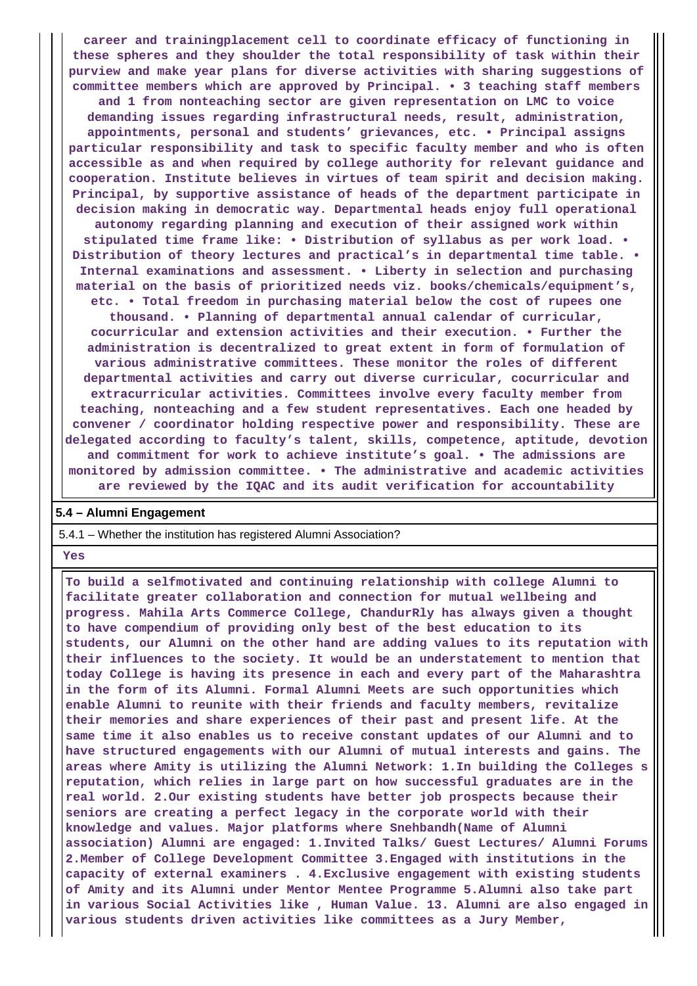**career and trainingplacement cell to coordinate efficacy of functioning in these spheres and they shoulder the total responsibility of task within their purview and make year plans for diverse activities with sharing suggestions of committee members which are approved by Principal. • 3 teaching staff members and 1 from nonteaching sector are given representation on LMC to voice demanding issues regarding infrastructural needs, result, administration, appointments, personal and students' grievances, etc. • Principal assigns particular responsibility and task to specific faculty member and who is often accessible as and when required by college authority for relevant guidance and cooperation. Institute believes in virtues of team spirit and decision making. Principal, by supportive assistance of heads of the department participate in decision making in democratic way. Departmental heads enjoy full operational autonomy regarding planning and execution of their assigned work within stipulated time frame like: • Distribution of syllabus as per work load. • Distribution of theory lectures and practical's in departmental time table. • Internal examinations and assessment. • Liberty in selection and purchasing material on the basis of prioritized needs viz. books/chemicals/equipment's, etc. • Total freedom in purchasing material below the cost of rupees one thousand. • Planning of departmental annual calendar of curricular, cocurricular and extension activities and their execution. • Further the administration is decentralized to great extent in form of formulation of various administrative committees. These monitor the roles of different departmental activities and carry out diverse curricular, cocurricular and extracurricular activities. Committees involve every faculty member from teaching, nonteaching and a few student representatives. Each one headed by convener / coordinator holding respective power and responsibility. These are delegated according to faculty's talent, skills, competence, aptitude, devotion and commitment for work to achieve institute's goal. • The admissions are monitored by admission committee. • The administrative and academic activities are reviewed by the IQAC and its audit verification for accountability**

#### **5.4 – Alumni Engagement**

#### 5.4.1 – Whether the institution has registered Alumni Association?

#### **Yes**

 **To build a selfmotivated and continuing relationship with college Alumni to facilitate greater collaboration and connection for mutual wellbeing and progress. Mahila Arts Commerce College, ChandurRly has always given a thought to have compendium of providing only best of the best education to its students, our Alumni on the other hand are adding values to its reputation with their influences to the society. It would be an understatement to mention that today College is having its presence in each and every part of the Maharashtra in the form of its Alumni. Formal Alumni Meets are such opportunities which enable Alumni to reunite with their friends and faculty members, revitalize their memories and share experiences of their past and present life. At the same time it also enables us to receive constant updates of our Alumni and to have structured engagements with our Alumni of mutual interests and gains. The areas where Amity is utilizing the Alumni Network: 1.In building the Colleges s reputation, which relies in large part on how successful graduates are in the real world. 2.Our existing students have better job prospects because their seniors are creating a perfect legacy in the corporate world with their knowledge and values. Major platforms where Snehbandh(Name of Alumni association) Alumni are engaged: 1.Invited Talks/ Guest Lectures/ Alumni Forums 2.Member of College Development Committee 3.Engaged with institutions in the capacity of external examiners . 4.Exclusive engagement with existing students of Amity and its Alumni under Mentor Mentee Programme 5.Alumni also take part in various Social Activities like , Human Value. 13. Alumni are also engaged in various students driven activities like committees as a Jury Member,**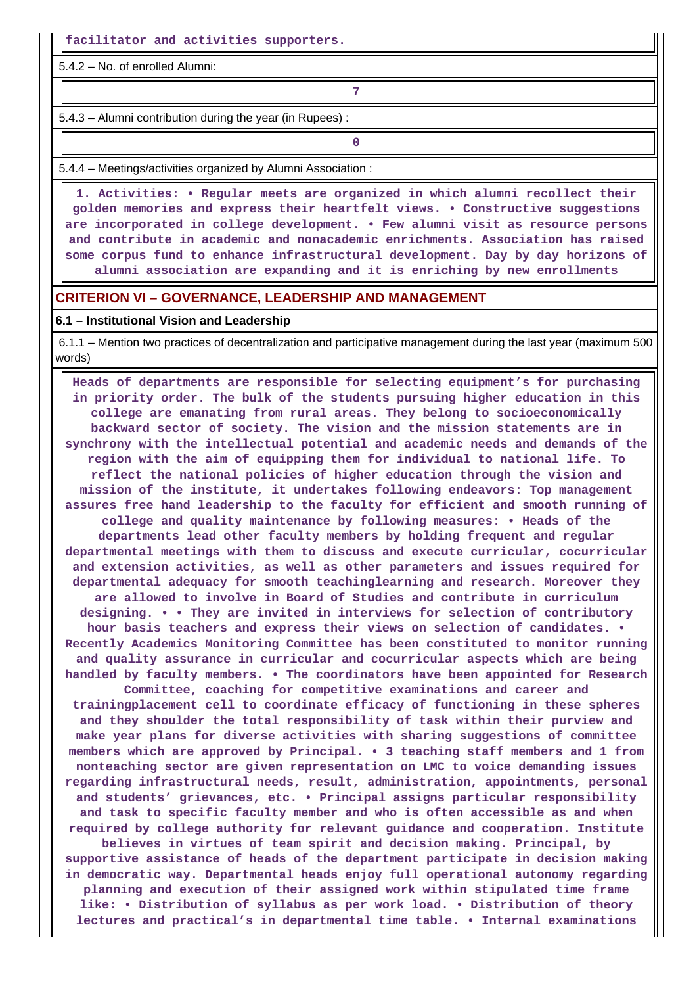**facilitator and activities supporters.**

5.4.2 – No. of enrolled Alumni:

**7**

5.4.3 – Alumni contribution during the year (in Rupees) :

**0**

5.4.4 – Meetings/activities organized by Alumni Association :

 **1. Activities: • Regular meets are organized in which alumni recollect their golden memories and express their heartfelt views. • Constructive suggestions are incorporated in college development. • Few alumni visit as resource persons and contribute in academic and nonacademic enrichments. Association has raised some corpus fund to enhance infrastructural development. Day by day horizons of alumni association are expanding and it is enriching by new enrollments**

## **CRITERION VI – GOVERNANCE, LEADERSHIP AND MANAGEMENT**

#### **6.1 – Institutional Vision and Leadership**

 6.1.1 – Mention two practices of decentralization and participative management during the last year (maximum 500 words)

 **Heads of departments are responsible for selecting equipment's for purchasing in priority order. The bulk of the students pursuing higher education in this college are emanating from rural areas. They belong to socioeconomically backward sector of society. The vision and the mission statements are in synchrony with the intellectual potential and academic needs and demands of the region with the aim of equipping them for individual to national life. To reflect the national policies of higher education through the vision and mission of the institute, it undertakes following endeavors: Top management assures free hand leadership to the faculty for efficient and smooth running of college and quality maintenance by following measures: • Heads of the departments lead other faculty members by holding frequent and regular departmental meetings with them to discuss and execute curricular, cocurricular and extension activities, as well as other parameters and issues required for departmental adequacy for smooth teachinglearning and research. Moreover they are allowed to involve in Board of Studies and contribute in curriculum designing. • • They are invited in interviews for selection of contributory hour basis teachers and express their views on selection of candidates. • Recently Academics Monitoring Committee has been constituted to monitor running and quality assurance in curricular and cocurricular aspects which are being handled by faculty members. • The coordinators have been appointed for Research Committee, coaching for competitive examinations and career and trainingplacement cell to coordinate efficacy of functioning in these spheres and they shoulder the total responsibility of task within their purview and make year plans for diverse activities with sharing suggestions of committee members which are approved by Principal. • 3 teaching staff members and 1 from nonteaching sector are given representation on LMC to voice demanding issues regarding infrastructural needs, result, administration, appointments, personal and students' grievances, etc. • Principal assigns particular responsibility and task to specific faculty member and who is often accessible as and when required by college authority for relevant guidance and cooperation. Institute believes in virtues of team spirit and decision making. Principal, by supportive assistance of heads of the department participate in decision making in democratic way. Departmental heads enjoy full operational autonomy regarding planning and execution of their assigned work within stipulated time frame like: • Distribution of syllabus as per work load. • Distribution of theory lectures and practical's in departmental time table. • Internal examinations**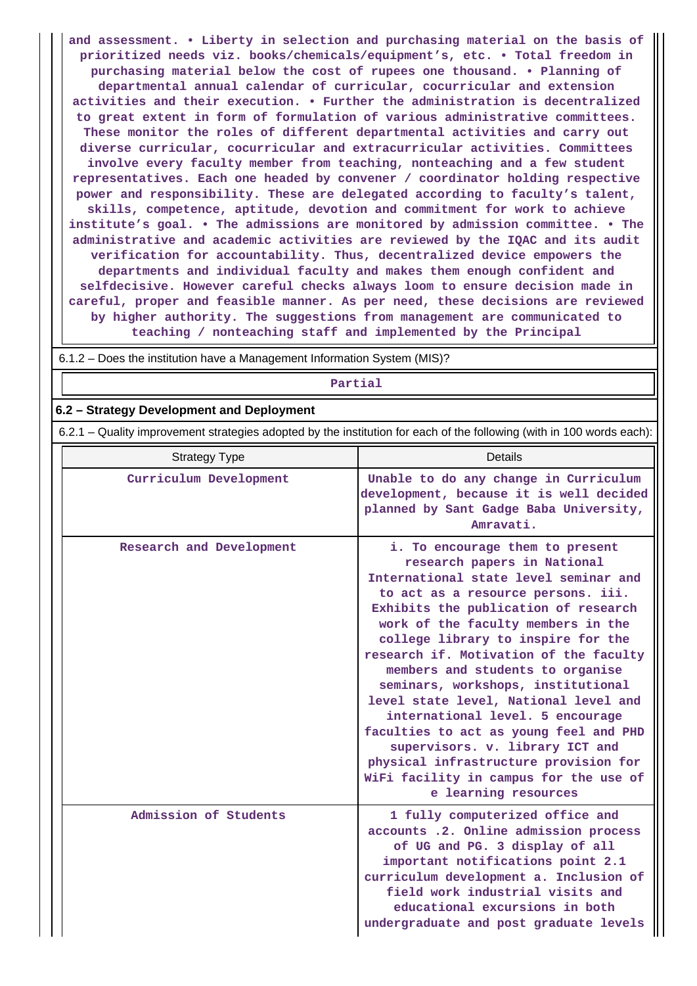**and assessment. • Liberty in selection and purchasing material on the basis of prioritized needs viz. books/chemicals/equipment's, etc. • Total freedom in purchasing material below the cost of rupees one thousand. • Planning of departmental annual calendar of curricular, cocurricular and extension activities and their execution. • Further the administration is decentralized to great extent in form of formulation of various administrative committees. These monitor the roles of different departmental activities and carry out diverse curricular, cocurricular and extracurricular activities. Committees involve every faculty member from teaching, nonteaching and a few student representatives. Each one headed by convener / coordinator holding respective power and responsibility. These are delegated according to faculty's talent, skills, competence, aptitude, devotion and commitment for work to achieve institute's goal. • The admissions are monitored by admission committee. • The administrative and academic activities are reviewed by the IQAC and its audit verification for accountability. Thus, decentralized device empowers the departments and individual faculty and makes them enough confident and selfdecisive. However careful checks always loom to ensure decision made in careful, proper and feasible manner. As per need, these decisions are reviewed by higher authority. The suggestions from management are communicated to teaching / nonteaching staff and implemented by the Principal**

6.1.2 – Does the institution have a Management Information System (MIS)?

#### **Partial**

### **6.2 – Strategy Development and Deployment**

6.2.1 – Quality improvement strategies adopted by the institution for each of the following (with in 100 words each):

| <b>Strategy Type</b>     | <b>Details</b>                                                                                                                                                                                                                                                                                                                                                                                                                                                                                                                                                                                                                                             |
|--------------------------|------------------------------------------------------------------------------------------------------------------------------------------------------------------------------------------------------------------------------------------------------------------------------------------------------------------------------------------------------------------------------------------------------------------------------------------------------------------------------------------------------------------------------------------------------------------------------------------------------------------------------------------------------------|
| Curriculum Development   | Unable to do any change in Curriculum<br>development, because it is well decided<br>planned by Sant Gadge Baba University,<br>Amravati.                                                                                                                                                                                                                                                                                                                                                                                                                                                                                                                    |
| Research and Development | i. To encourage them to present<br>research papers in National<br>International state level seminar and<br>to act as a resource persons. iii.<br>Exhibits the publication of research<br>work of the faculty members in the<br>college library to inspire for the<br>research if. Motivation of the faculty<br>members and students to organise<br>seminars, workshops, institutional<br>level state level, National level and<br>international level. 5 encourage<br>faculties to act as young feel and PHD<br>supervisors. v. library ICT and<br>physical infrastructure provision for<br>WiFi facility in campus for the use of<br>e learning resources |
| Admission of Students    | 1 fully computerized office and<br>accounts .2. Online admission process<br>of UG and PG. 3 display of all<br>important notifications point 2.1<br>curriculum development a. Inclusion of<br>field work industrial visits and<br>educational excursions in both<br>undergraduate and post graduate levels                                                                                                                                                                                                                                                                                                                                                  |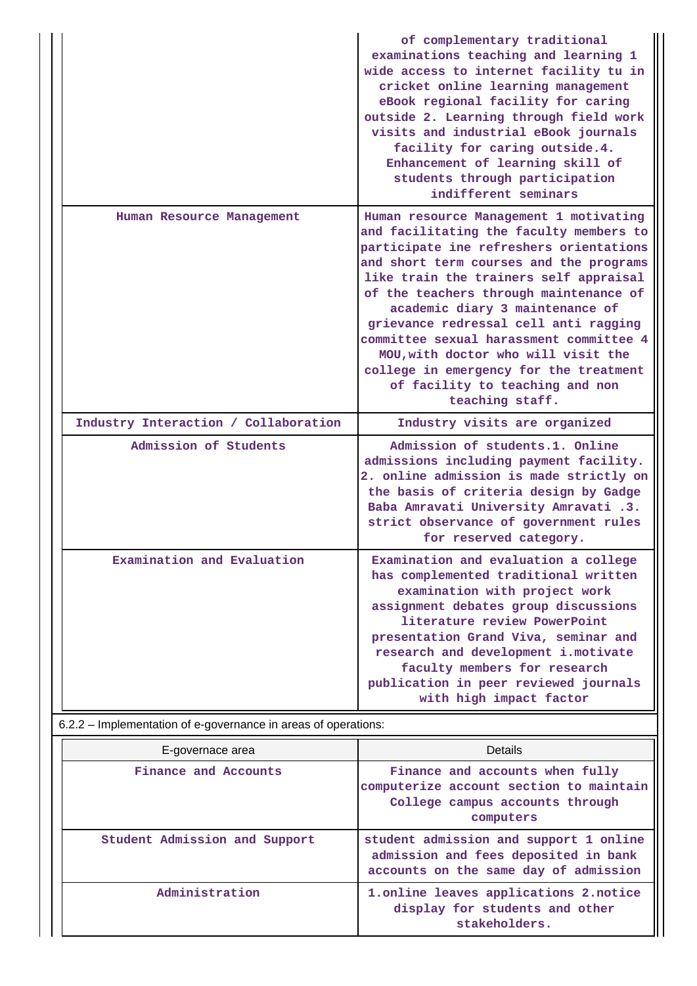|                                                                | of complementary traditional<br>examinations teaching and learning 1<br>wide access to internet facility tu in<br>cricket online learning management<br>eBook regional facility for caring<br>outside 2. Learning through field work<br>visits and industrial eBook journals<br>facility for caring outside.4.<br>Enhancement of learning skill of<br>students through participation<br>indifferent seminars                                                                                                              |
|----------------------------------------------------------------|---------------------------------------------------------------------------------------------------------------------------------------------------------------------------------------------------------------------------------------------------------------------------------------------------------------------------------------------------------------------------------------------------------------------------------------------------------------------------------------------------------------------------|
| Human Resource Management                                      | Human resource Management 1 motivating<br>and facilitating the faculty members to<br>participate ine refreshers orientations<br>and short term courses and the programs<br>like train the trainers self appraisal<br>of the teachers through maintenance of<br>academic diary 3 maintenance of<br>grievance redressal cell anti ragging<br>committee sexual harassment committee 4<br>MOU, with doctor who will visit the<br>college in emergency for the treatment<br>of facility to teaching and non<br>teaching staff. |
| Industry Interaction / Collaboration                           | Industry visits are organized                                                                                                                                                                                                                                                                                                                                                                                                                                                                                             |
| Admission of Students                                          | Admission of students.1. Online<br>admissions including payment facility.<br>2. online admission is made strictly on<br>the basis of criteria design by Gadge<br>Baba Amravati University Amravati .3.<br>strict observance of government rules<br>for reserved category.                                                                                                                                                                                                                                                 |
| Examination and Evaluation                                     | Examination and evaluation a college<br>has complemented traditional written<br>examination with project work<br>assignment debates group discussions<br>literature review PowerPoint<br>presentation Grand Viva, seminar and<br>research and development i.motivate<br>faculty members for research<br>publication in peer reviewed journals<br>with high impact factor                                                                                                                                                  |
| 6.2.2 - Implementation of e-governance in areas of operations: |                                                                                                                                                                                                                                                                                                                                                                                                                                                                                                                           |
| E-governace area                                               | <b>Details</b>                                                                                                                                                                                                                                                                                                                                                                                                                                                                                                            |
| Finance and Accounts                                           | Finance and accounts when fully<br>computerize account section to maintain<br>College campus accounts through<br>computers                                                                                                                                                                                                                                                                                                                                                                                                |
| Student Admission and Support                                  | student admission and support 1 online<br>admission and fees deposited in bank<br>accounts on the same day of admission                                                                                                                                                                                                                                                                                                                                                                                                   |
| Administration                                                 | 1.online leaves applications 2.notice<br>display for students and other                                                                                                                                                                                                                                                                                                                                                                                                                                                   |

**stakeholders.**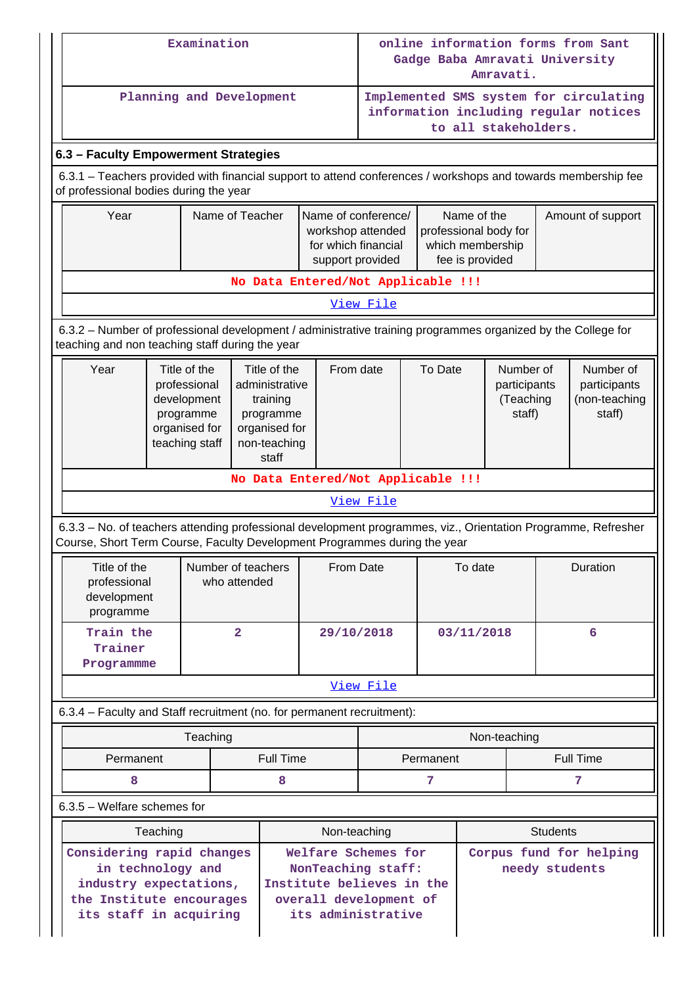|                                                                                                                                                                                            |  | Examination              |                         |                                                                                                   |                                                                                                                        | online information forms from Sant<br>Gadge Baba Amravati University<br>Amravati.                                                                                  |           |                                                  |                      |                                                      |                                                                                 |
|--------------------------------------------------------------------------------------------------------------------------------------------------------------------------------------------|--|--------------------------|-------------------------|---------------------------------------------------------------------------------------------------|------------------------------------------------------------------------------------------------------------------------|--------------------------------------------------------------------------------------------------------------------------------------------------------------------|-----------|--------------------------------------------------|----------------------|------------------------------------------------------|---------------------------------------------------------------------------------|
|                                                                                                                                                                                            |  | Planning and Development |                         |                                                                                                   |                                                                                                                        |                                                                                                                                                                    |           |                                                  | to all stakeholders. |                                                      | Implemented SMS system for circulating<br>information including regular notices |
| 6.3 - Faculty Empowerment Strategies                                                                                                                                                       |  |                          |                         |                                                                                                   |                                                                                                                        |                                                                                                                                                                    |           |                                                  |                      |                                                      |                                                                                 |
| 6.3.1 - Teachers provided with financial support to attend conferences / workshops and towards membership fee<br>of professional bodies during the year                                    |  |                          |                         |                                                                                                   |                                                                                                                        |                                                                                                                                                                    |           |                                                  |                      |                                                      |                                                                                 |
| Year                                                                                                                                                                                       |  | Name of Teacher          |                         |                                                                                                   |                                                                                                                        | Name of the<br>Name of conference/<br>professional body for<br>workshop attended<br>for which financial<br>which membership<br>fee is provided<br>support provided |           |                                                  |                      |                                                      | Amount of support                                                               |
|                                                                                                                                                                                            |  |                          |                         |                                                                                                   | No Data Entered/Not Applicable !!!                                                                                     |                                                                                                                                                                    |           |                                                  |                      |                                                      |                                                                                 |
|                                                                                                                                                                                            |  |                          |                         |                                                                                                   |                                                                                                                        | View File                                                                                                                                                          |           |                                                  |                      |                                                      |                                                                                 |
| 6.3.2 - Number of professional development / administrative training programmes organized by the College for<br>teaching and non teaching staff during the year                            |  |                          |                         |                                                                                                   |                                                                                                                        |                                                                                                                                                                    |           |                                                  |                      |                                                      |                                                                                 |
| Year<br>Title of the<br>professional<br>development<br>programme<br>organised for<br>teaching staff                                                                                        |  |                          |                         | Title of the<br>administrative<br>training<br>programme<br>organised for<br>non-teaching<br>staff | From date                                                                                                              | To Date                                                                                                                                                            |           | Number of<br>participants<br>(Teaching<br>staff) |                      | Number of<br>participants<br>(non-teaching<br>staff) |                                                                                 |
|                                                                                                                                                                                            |  |                          |                         |                                                                                                   | No Data Entered/Not Applicable !!!                                                                                     |                                                                                                                                                                    |           |                                                  |                      |                                                      |                                                                                 |
|                                                                                                                                                                                            |  |                          |                         |                                                                                                   |                                                                                                                        | View File                                                                                                                                                          |           |                                                  |                      |                                                      |                                                                                 |
| 6.3.3 - No. of teachers attending professional development programmes, viz., Orientation Programme, Refresher<br>Course, Short Term Course, Faculty Development Programmes during the year |  |                          |                         |                                                                                                   |                                                                                                                        |                                                                                                                                                                    |           |                                                  |                      |                                                      |                                                                                 |
| Title of the<br>professional<br>development<br>programme                                                                                                                                   |  | Number of teachers       | who attended            |                                                                                                   | From Date                                                                                                              |                                                                                                                                                                    | To date   |                                                  |                      | Duration                                             |                                                                                 |
| Train the<br>Trainer<br>Programmme                                                                                                                                                         |  |                          | $\overline{\mathbf{2}}$ |                                                                                                   | 29/10/2018                                                                                                             |                                                                                                                                                                    |           | 03/11/2018                                       |                      |                                                      | 6                                                                               |
|                                                                                                                                                                                            |  |                          |                         |                                                                                                   |                                                                                                                        | View File                                                                                                                                                          |           |                                                  |                      |                                                      |                                                                                 |
| 6.3.4 - Faculty and Staff recruitment (no. for permanent recruitment):                                                                                                                     |  |                          |                         |                                                                                                   |                                                                                                                        |                                                                                                                                                                    |           |                                                  |                      |                                                      |                                                                                 |
|                                                                                                                                                                                            |  | Teaching                 |                         |                                                                                                   |                                                                                                                        |                                                                                                                                                                    |           |                                                  | Non-teaching         |                                                      |                                                                                 |
| Permanent                                                                                                                                                                                  |  |                          |                         | <b>Full Time</b>                                                                                  |                                                                                                                        |                                                                                                                                                                    | Permanent |                                                  |                      |                                                      | <b>Full Time</b>                                                                |
| 8                                                                                                                                                                                          |  |                          |                         | 8                                                                                                 |                                                                                                                        |                                                                                                                                                                    | 7         |                                                  |                      |                                                      | 7                                                                               |
| $6.3.5$ – Welfare schemes for                                                                                                                                                              |  |                          |                         |                                                                                                   |                                                                                                                        |                                                                                                                                                                    |           |                                                  |                      |                                                      |                                                                                 |
|                                                                                                                                                                                            |  |                          |                         |                                                                                                   | Non-teaching                                                                                                           |                                                                                                                                                                    |           |                                                  |                      | <b>Students</b>                                      |                                                                                 |
| Teaching<br>Considering rapid changes<br>in technology and<br>industry expectations,<br>the Institute encourages<br>its staff in acquiring                                                 |  |                          |                         |                                                                                                   | Welfare Schemes for<br>NonTeaching staff:<br>Institute believes in the<br>overall development of<br>its administrative |                                                                                                                                                                    |           | Corpus fund for helping<br>needy students        |                      |                                                      |                                                                                 |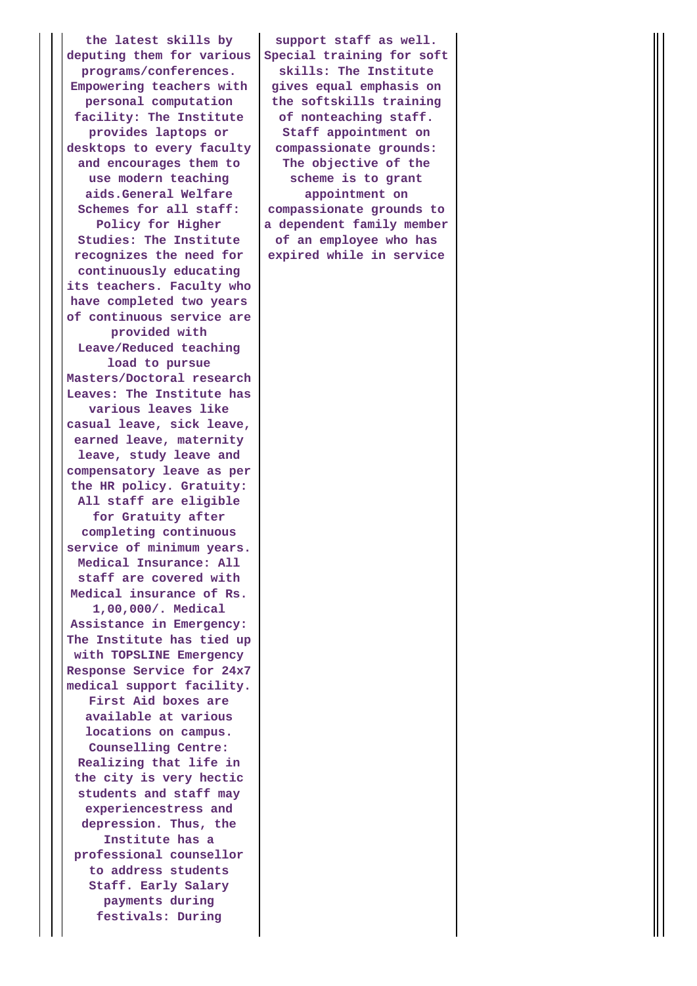**the latest skills by deputing them for various programs/conferences. Empowering teachers with personal computation facility: The Institute provides laptops or desktops to every faculty and encourages them to use modern teaching aids.General Welfare Schemes for all staff: Policy for Higher Studies: The Institute recognizes the need for continuously educating its teachers. Faculty who have completed two years of continuous service are provided with Leave/Reduced teaching load to pursue Masters/Doctoral research Leaves: The Institute has various leaves like casual leave, sick leave, earned leave, maternity leave, study leave and compensatory leave as per the HR policy. Gratuity: All staff are eligible for Gratuity after completing continuous service of minimum years. Medical Insurance: All staff are covered with Medical insurance of Rs. 1,00,000/. Medical Assistance in Emergency: The Institute has tied up with TOPSLINE Emergency Response Service for 24x7 medical support facility. First Aid boxes are available at various locations on campus. Counselling Centre: Realizing that life in the city is very hectic students and staff may experiencestress and depression. Thus, the Institute has a professional counsellor to address students Staff. Early Salary payments during festivals: During**

**support staff as well. Special training for soft skills: The Institute gives equal emphasis on the softskills training of nonteaching staff. Staff appointment on compassionate grounds: The objective of the scheme is to grant appointment on compassionate grounds to a dependent family member of an employee who has expired while in service**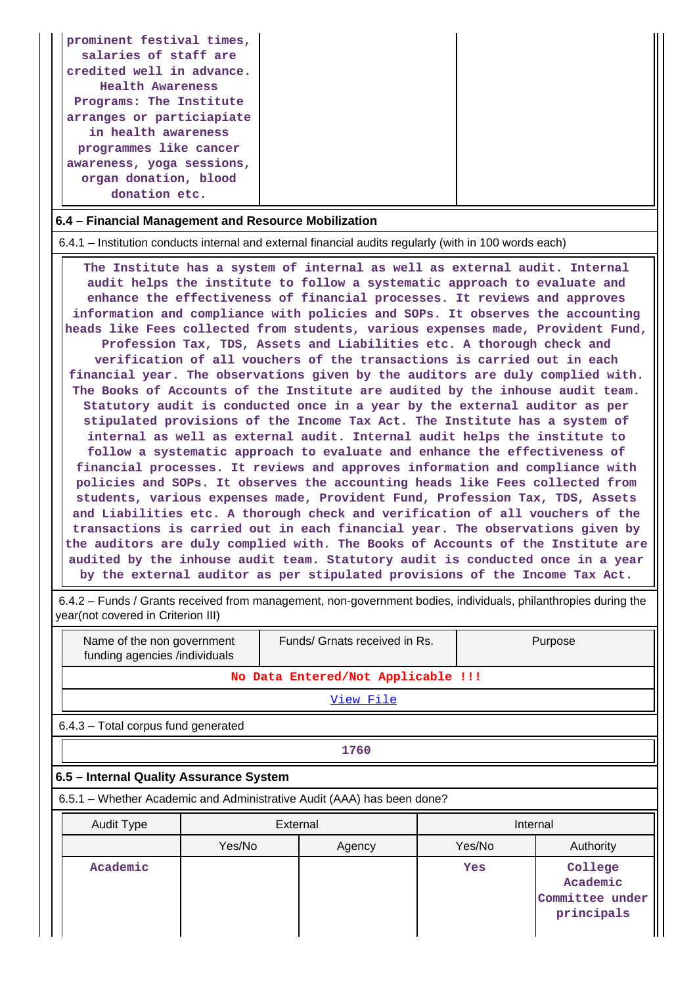| prominent festival times,<br>salaries of staff are<br>credited well in advance.<br>Health Awareness<br>Programs: The Institute<br>arranges or particiapiate<br>in health awareness<br>programmes like cancer<br>awareness, yoga sessions,<br>organ donation, blood<br>donation etc. |
|-------------------------------------------------------------------------------------------------------------------------------------------------------------------------------------------------------------------------------------------------------------------------------------|
|-------------------------------------------------------------------------------------------------------------------------------------------------------------------------------------------------------------------------------------------------------------------------------------|

# **6.4 – Financial Management and Resource Mobilization**

6.4.1 – Institution conducts internal and external financial audits regularly (with in 100 words each)

 **The Institute has a system of internal as well as external audit. Internal audit helps the institute to follow a systematic approach to evaluate and enhance the effectiveness of financial processes. It reviews and approves information and compliance with policies and SOPs. It observes the accounting heads like Fees collected from students, various expenses made, Provident Fund, Profession Tax, TDS, Assets and Liabilities etc. A thorough check and verification of all vouchers of the transactions is carried out in each financial year. The observations given by the auditors are duly complied with. The Books of Accounts of the Institute are audited by the inhouse audit team. Statutory audit is conducted once in a year by the external auditor as per stipulated provisions of the Income Tax Act. The Institute has a system of internal as well as external audit. Internal audit helps the institute to follow a systematic approach to evaluate and enhance the effectiveness of financial processes. It reviews and approves information and compliance with policies and SOPs. It observes the accounting heads like Fees collected from students, various expenses made, Provident Fund, Profession Tax, TDS, Assets and Liabilities etc. A thorough check and verification of all vouchers of the transactions is carried out in each financial year. The observations given by the auditors are duly complied with. The Books of Accounts of the Institute are audited by the inhouse audit team. Statutory audit is conducted once in a year by the external auditor as per stipulated provisions of the Income Tax Act.**

 6.4.2 – Funds / Grants received from management, non-government bodies, individuals, philanthropies during the year(not covered in Criterion III)

| Name of the non government<br>funding agencies /individuals            |        |          | Funds/ Grnats received in Rs.      |  | Purpose  |                                                      |  |  |  |  |
|------------------------------------------------------------------------|--------|----------|------------------------------------|--|----------|------------------------------------------------------|--|--|--|--|
|                                                                        |        |          | No Data Entered/Not Applicable !!! |  |          |                                                      |  |  |  |  |
|                                                                        |        |          | <u>View File</u>                   |  |          |                                                      |  |  |  |  |
| 6.4.3 - Total corpus fund generated                                    |        |          |                                    |  |          |                                                      |  |  |  |  |
| 1760                                                                   |        |          |                                    |  |          |                                                      |  |  |  |  |
| 6.5 - Internal Quality Assurance System                                |        |          |                                    |  |          |                                                      |  |  |  |  |
| 6.5.1 – Whether Academic and Administrative Audit (AAA) has been done? |        |          |                                    |  |          |                                                      |  |  |  |  |
| <b>Audit Type</b>                                                      |        | External |                                    |  | Internal |                                                      |  |  |  |  |
|                                                                        | Yes/No |          | Agency                             |  | Yes/No   | Authority                                            |  |  |  |  |
| Academic                                                               |        |          |                                    |  | Yes      | College<br>Academic<br>Committee under<br>principals |  |  |  |  |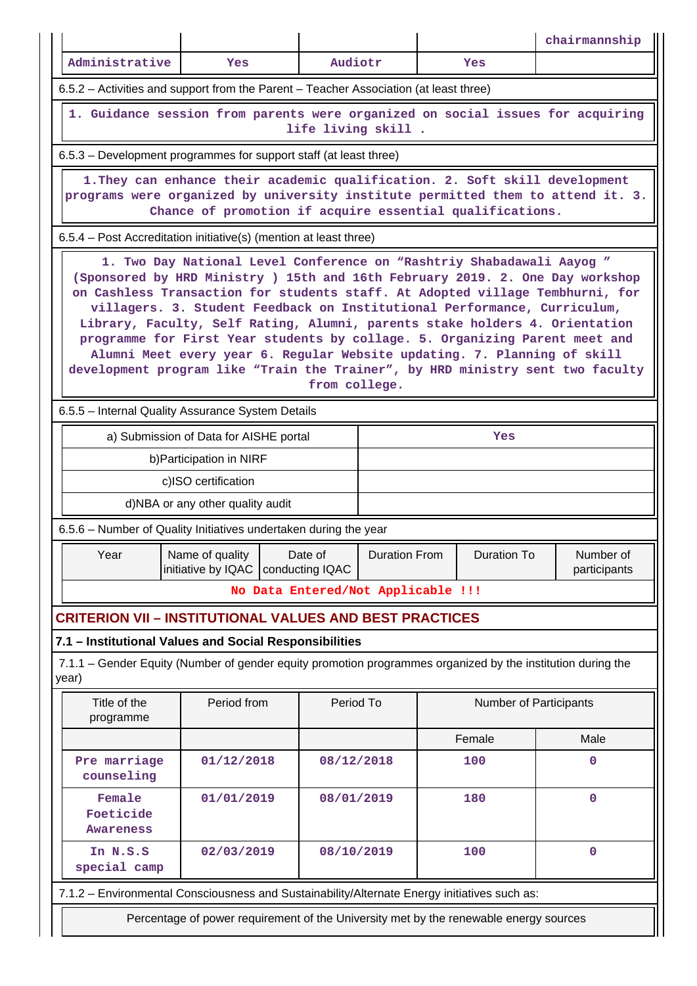|                                  |                                                                                                                                                                                                                                                                                                                                                                                                                                                                                                                                                                                                                                                 |               |                      |  |                        | chairmannship             |
|----------------------------------|-------------------------------------------------------------------------------------------------------------------------------------------------------------------------------------------------------------------------------------------------------------------------------------------------------------------------------------------------------------------------------------------------------------------------------------------------------------------------------------------------------------------------------------------------------------------------------------------------------------------------------------------------|---------------|----------------------|--|------------------------|---------------------------|
| Administrative                   | Yes                                                                                                                                                                                                                                                                                                                                                                                                                                                                                                                                                                                                                                             | Audiotr       |                      |  | Yes                    |                           |
|                                  | 6.5.2 – Activities and support from the Parent – Teacher Association (at least three)                                                                                                                                                                                                                                                                                                                                                                                                                                                                                                                                                           |               |                      |  |                        |                           |
|                                  | 1. Guidance session from parents were organized on social issues for acquiring                                                                                                                                                                                                                                                                                                                                                                                                                                                                                                                                                                  |               | life living skill.   |  |                        |                           |
|                                  | 6.5.3 – Development programmes for support staff (at least three)                                                                                                                                                                                                                                                                                                                                                                                                                                                                                                                                                                               |               |                      |  |                        |                           |
|                                  | 1. They can enhance their academic qualification. 2. Soft skill development<br>programs were organized by university institute permitted them to attend it. 3.<br>Chance of promotion if acquire essential qualifications.                                                                                                                                                                                                                                                                                                                                                                                                                      |               |                      |  |                        |                           |
|                                  | 6.5.4 – Post Accreditation initiative(s) (mention at least three)                                                                                                                                                                                                                                                                                                                                                                                                                                                                                                                                                                               |               |                      |  |                        |                           |
|                                  | 1. Two Day National Level Conference on "Rashtriy Shabadawali Aayog "<br>(Sponsored by HRD Ministry ) 15th and 16th February 2019. 2. One Day workshop<br>on Cashless Transaction for students staff. At Adopted village Tembhurni, for<br>villagers. 3. Student Feedback on Institutional Performance, Curriculum,<br>Library, Faculty, Self Rating, Alumni, parents stake holders 4. Orientation<br>programme for First Year students by collage. 5. Organizing Parent meet and<br>Alumni Meet every year 6. Regular Website updating. 7. Planning of skill<br>development program like "Train the Trainer", by HRD ministry sent two faculty | from college. |                      |  |                        |                           |
|                                  | 6.5.5 - Internal Quality Assurance System Details                                                                                                                                                                                                                                                                                                                                                                                                                                                                                                                                                                                               |               |                      |  |                        |                           |
|                                  | a) Submission of Data for AISHE portal                                                                                                                                                                                                                                                                                                                                                                                                                                                                                                                                                                                                          |               |                      |  | Yes                    |                           |
|                                  | b) Participation in NIRF                                                                                                                                                                                                                                                                                                                                                                                                                                                                                                                                                                                                                        |               |                      |  |                        |                           |
|                                  | c)ISO certification                                                                                                                                                                                                                                                                                                                                                                                                                                                                                                                                                                                                                             |               |                      |  |                        |                           |
|                                  | d)NBA or any other quality audit                                                                                                                                                                                                                                                                                                                                                                                                                                                                                                                                                                                                                |               |                      |  |                        |                           |
|                                  | 6.5.6 - Number of Quality Initiatives undertaken during the year                                                                                                                                                                                                                                                                                                                                                                                                                                                                                                                                                                                |               |                      |  |                        |                           |
| Year                             | Name of quality<br>initiative by IQAC   conducting IQAC                                                                                                                                                                                                                                                                                                                                                                                                                                                                                                                                                                                         | Date of       | <b>Duration From</b> |  | <b>Duration To</b>     | Number of<br>participants |
|                                  | No Data Entered/Not Applicable !!!                                                                                                                                                                                                                                                                                                                                                                                                                                                                                                                                                                                                              |               |                      |  |                        |                           |
|                                  | <b>CRITERION VII - INSTITUTIONAL VALUES AND BEST PRACTICES</b>                                                                                                                                                                                                                                                                                                                                                                                                                                                                                                                                                                                  |               |                      |  |                        |                           |
| year)                            | 7.1 - Institutional Values and Social Responsibilities<br>7.1.1 – Gender Equity (Number of gender equity promotion programmes organized by the institution during the                                                                                                                                                                                                                                                                                                                                                                                                                                                                           |               |                      |  |                        |                           |
| Title of the<br>programme        | Period from                                                                                                                                                                                                                                                                                                                                                                                                                                                                                                                                                                                                                                     | Period To     |                      |  | Number of Participants |                           |
|                                  |                                                                                                                                                                                                                                                                                                                                                                                                                                                                                                                                                                                                                                                 |               |                      |  | Female                 | Male                      |
| Pre marriage<br>counseling       | 01/12/2018                                                                                                                                                                                                                                                                                                                                                                                                                                                                                                                                                                                                                                      | 08/12/2018    |                      |  | 100                    | $\Omega$                  |
| Female<br>Foeticide<br>Awareness | 01/01/2019                                                                                                                                                                                                                                                                                                                                                                                                                                                                                                                                                                                                                                      |               | 08/01/2019<br>180    |  | $\mathbf 0$            |                           |
| In N.S.S<br>special camp         | 02/03/2019                                                                                                                                                                                                                                                                                                                                                                                                                                                                                                                                                                                                                                      | 08/10/2019    |                      |  | 100                    | $\mathbf 0$               |
|                                  | 7.1.2 - Environmental Consciousness and Sustainability/Alternate Energy initiatives such as:                                                                                                                                                                                                                                                                                                                                                                                                                                                                                                                                                    |               |                      |  |                        |                           |
|                                  | Percentage of power requirement of the University met by the renewable energy sources                                                                                                                                                                                                                                                                                                                                                                                                                                                                                                                                                           |               |                      |  |                        |                           |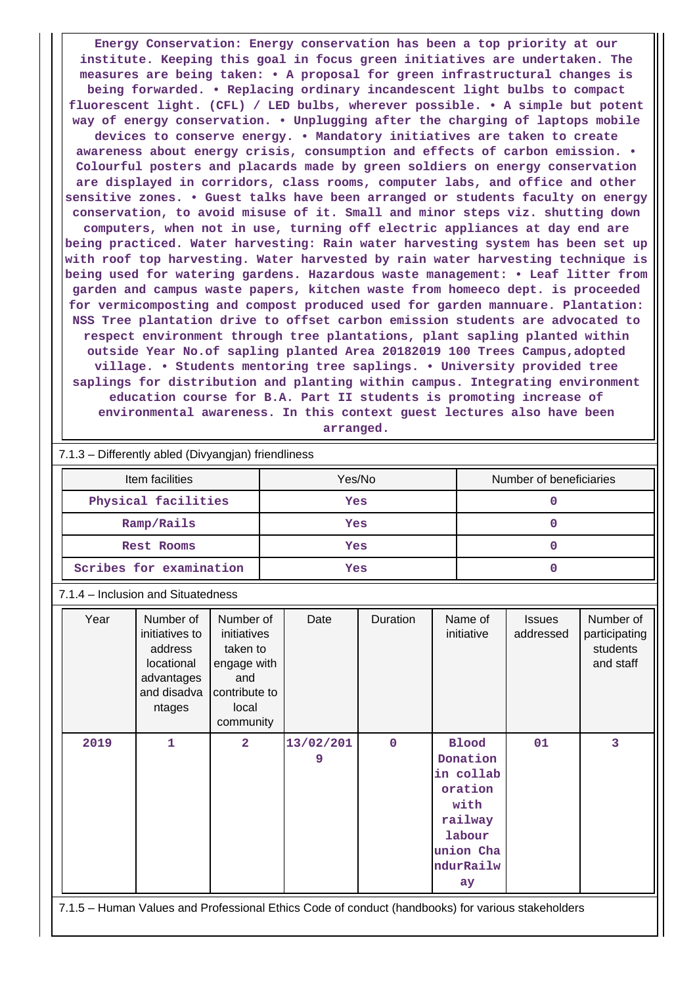**Energy Conservation: Energy conservation has been a top priority at our institute. Keeping this goal in focus green initiatives are undertaken. The measures are being taken: • A proposal for green infrastructural changes is being forwarded. • Replacing ordinary incandescent light bulbs to compact fluorescent light. (CFL) / LED bulbs, wherever possible. • A simple but potent way of energy conservation. • Unplugging after the charging of laptops mobile devices to conserve energy. • Mandatory initiatives are taken to create awareness about energy crisis, consumption and effects of carbon emission. • Colourful posters and placards made by green soldiers on energy conservation are displayed in corridors, class rooms, computer labs, and office and other sensitive zones. • Guest talks have been arranged or students faculty on energy conservation, to avoid misuse of it. Small and minor steps viz. shutting down computers, when not in use, turning off electric appliances at day end are being practiced. Water harvesting: Rain water harvesting system has been set up with roof top harvesting. Water harvested by rain water harvesting technique is being used for watering gardens. Hazardous waste management: • Leaf litter from garden and campus waste papers, kitchen waste from homeeco dept. is proceeded for vermicomposting and compost produced used for garden mannuare. Plantation: NSS Tree plantation drive to offset carbon emission students are advocated to respect environment through tree plantations, plant sapling planted within outside Year No.of sapling planted Area 20182019 100 Trees Campus,adopted village. • Students mentoring tree saplings. • University provided tree saplings for distribution and planting within campus. Integrating environment education course for B.A. Part II students is promoting increase of environmental awareness. In this context guest lectures also have been arranged.**

| Item facilities                                                                                     |                                                                                                    |                | Yes/No      |              |                                                                                                               | Number of beneficiaries |   |  |  |  |  |
|-----------------------------------------------------------------------------------------------------|----------------------------------------------------------------------------------------------------|----------------|-------------|--------------|---------------------------------------------------------------------------------------------------------------|-------------------------|---|--|--|--|--|
| Physical facilities                                                                                 |                                                                                                    |                | Yes         |              | 0                                                                                                             |                         |   |  |  |  |  |
| Ramp/Rails                                                                                          |                                                                                                    |                | Yes         | $\mathbf{O}$ |                                                                                                               |                         |   |  |  |  |  |
| <b>Rest Rooms</b>                                                                                   |                                                                                                    |                | Yes         |              | $\mathbf{O}$                                                                                                  |                         |   |  |  |  |  |
| Scribes for examination                                                                             |                                                                                                    |                | Yes         |              | $\overline{0}$                                                                                                |                         |   |  |  |  |  |
| 7.1.4 - Inclusion and Situatedness                                                                  |                                                                                                    |                |             |              |                                                                                                               |                         |   |  |  |  |  |
| Year<br>Number of<br>initiatives to<br>address<br>locational<br>advantages<br>and disadva<br>ntages | Number of<br>Date<br>initiatives<br>taken to<br>engage with<br>contribute to<br>local<br>community |                | Duration    |              | Name of<br><b>Issues</b><br>initiative<br>addressed<br>participating                                          |                         |   |  |  |  |  |
| 2019<br>$\mathbf{1}$                                                                                | $\overline{2}$                                                                                     | 13/02/201<br>9 | $\mathbf 0$ |              | <b>Blood</b><br>Donation<br>in collab<br>oration<br>with<br>railway<br>labour<br>union Cha<br>ndurRailw<br>ay | 01                      | 3 |  |  |  |  |

 $\mathbf{H}$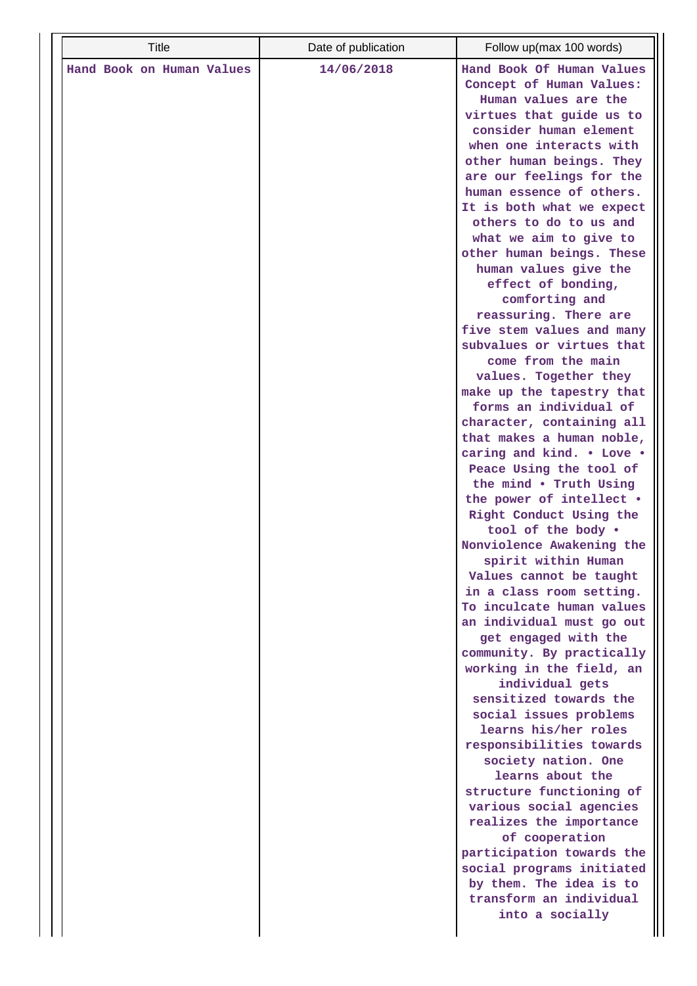| Hand Book Of Human Values<br>Hand Book on Human Values<br>14/06/2018<br>Concept of Human Values:<br>Human values are the<br>virtues that guide us to<br>consider human element<br>when one interacts with<br>other human beings. They<br>are our feelings for the<br>human essence of others.<br>It is both what we expect<br>others to do to us and<br>what we aim to give to<br>other human beings. These<br>human values give the<br>effect of bonding,<br>comforting and<br>reassuring. There are<br>five stem values and many<br>subvalues or virtues that<br>come from the main<br>values. Together they<br>make up the tapestry that<br>forms an individual of<br>character, containing all<br>that makes a human noble,<br>caring and kind. . Love .<br>Peace Using the tool of<br>the mind . Truth Using<br>the power of intellect .<br>Right Conduct Using the<br>tool of the body .<br>Nonviolence Awakening the<br>spirit within Human<br>Values cannot be taught<br>in a class room setting.<br>To inculcate human values<br>an individual must go out<br>get engaged with the<br>community. By practically<br>working in the field, an<br>individual gets<br>sensitized towards the<br>social issues problems<br>learns his/her roles<br>responsibilities towards |
|---------------------------------------------------------------------------------------------------------------------------------------------------------------------------------------------------------------------------------------------------------------------------------------------------------------------------------------------------------------------------------------------------------------------------------------------------------------------------------------------------------------------------------------------------------------------------------------------------------------------------------------------------------------------------------------------------------------------------------------------------------------------------------------------------------------------------------------------------------------------------------------------------------------------------------------------------------------------------------------------------------------------------------------------------------------------------------------------------------------------------------------------------------------------------------------------------------------------------------------------------------------------------------|
| society nation. One<br>learns about the<br>structure functioning of<br>various social agencies<br>realizes the importance<br>of cooperation<br>participation towards the<br>social programs initiated<br>by them. The idea is to<br>transform an individual<br>into a socially                                                                                                                                                                                                                                                                                                                                                                                                                                                                                                                                                                                                                                                                                                                                                                                                                                                                                                                                                                                                  |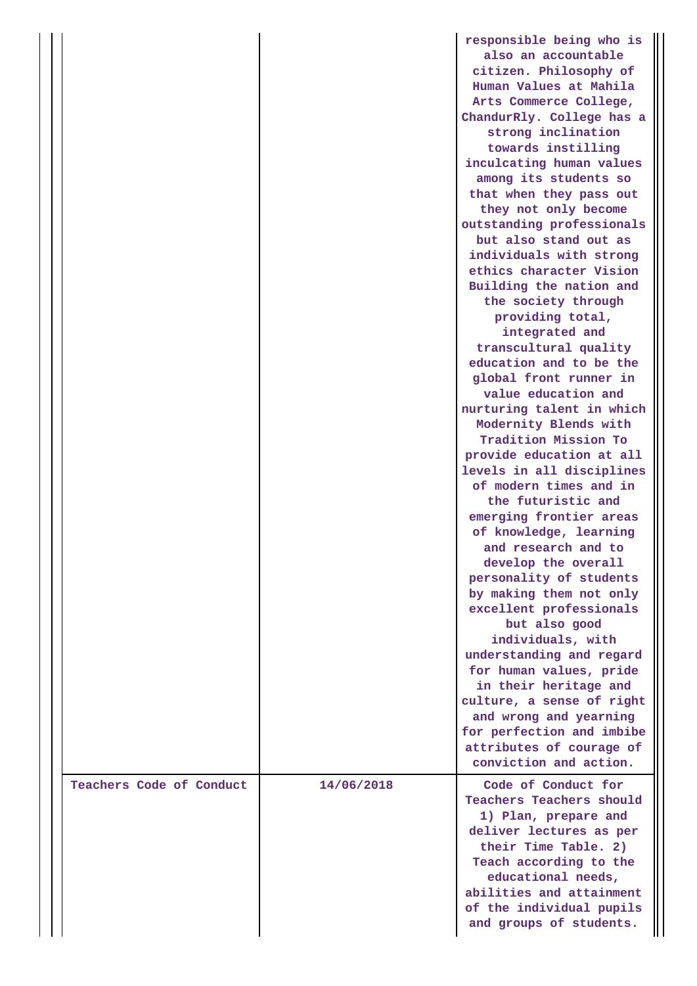|                          |            | responsible being who is<br>also an accountable<br>citizen. Philosophy of<br>Human Values at Mahila<br>Arts Commerce College,<br>ChandurRly. College has a<br>strong inclination<br>towards instilling<br>inculcating human values<br>among its students so<br>that when they pass out<br>they not only become<br>outstanding professionals<br>but also stand out as<br>individuals with strong<br>ethics character Vision<br>Building the nation and<br>the society through<br>providing total,<br>integrated and<br>transcultural quality<br>education and to be the<br>global front runner in<br>value education and<br>nurturing talent in which<br>Modernity Blends with<br>Tradition Mission To<br>provide education at all<br>levels in all disciplines<br>of modern times and in<br>the futuristic and<br>emerging frontier areas<br>of knowledge, learning<br>and research and to<br>develop the overall<br>personality of students<br>by making them not only<br>excellent professionals<br>but also good<br>individuals, with<br>understanding and regard<br>for human values, pride<br>in their heritage and<br>culture, a sense of right<br>and wrong and yearning<br>for perfection and imbibe<br>attributes of courage of<br>conviction and action. |
|--------------------------|------------|--------------------------------------------------------------------------------------------------------------------------------------------------------------------------------------------------------------------------------------------------------------------------------------------------------------------------------------------------------------------------------------------------------------------------------------------------------------------------------------------------------------------------------------------------------------------------------------------------------------------------------------------------------------------------------------------------------------------------------------------------------------------------------------------------------------------------------------------------------------------------------------------------------------------------------------------------------------------------------------------------------------------------------------------------------------------------------------------------------------------------------------------------------------------------------------------------------------------------------------------------------------------|
| Teachers Code of Conduct | 14/06/2018 | Code of Conduct for<br><b>Teachers Teachers should</b><br>1) Plan, prepare and<br>deliver lectures as per<br>their Time Table. 2)<br>Teach according to the<br>educational needs,<br>abilities and attainment<br>of the individual pupils                                                                                                                                                                                                                                                                                                                                                                                                                                                                                                                                                                                                                                                                                                                                                                                                                                                                                                                                                                                                                          |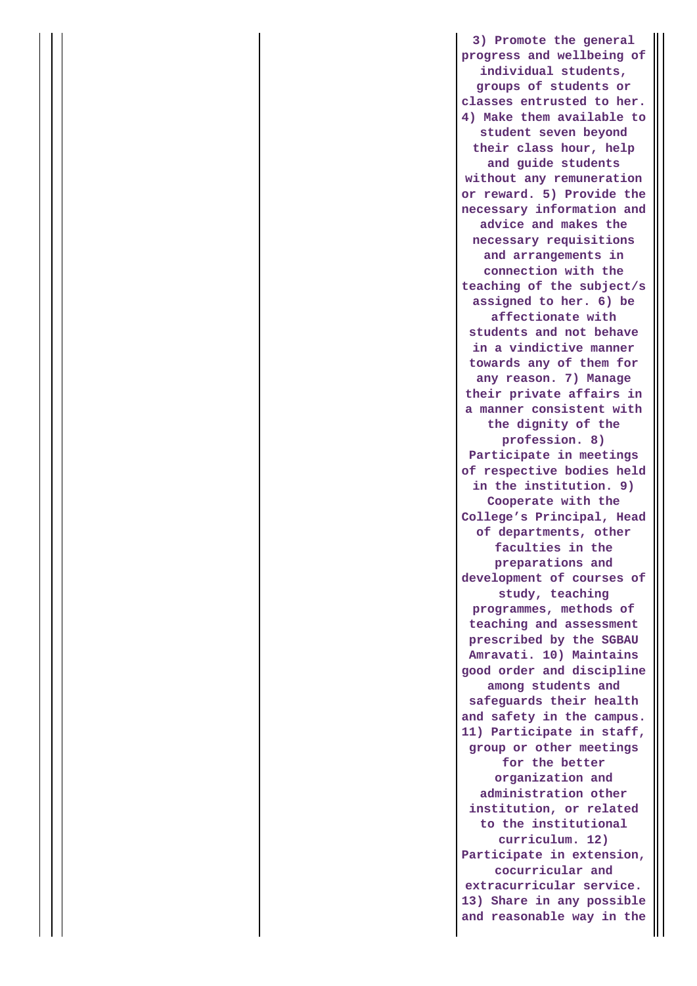**3) Promote the general progress and wellbeing of individual students, groups of students or classes entrusted to her. 4) Make them available to student seven beyond their class hour, help and guide students without any remuneration or reward. 5) Provide the necessary information and advice and makes the necessary requisitions and arrangements in connection with the teaching of the subject/s assigned to her. 6) be affectionate with students and not behave in a vindictive manner towards any of them for any reason. 7) Manage their private affairs in a manner consistent with the dignity of the profession. 8) Participate in meetings of respective bodies held in the institution. 9) Cooperate with the College's Principal, Head of departments, other faculties in the preparations and development of courses of study, teaching programmes, methods of teaching and assessment prescribed by the SGBAU Amravati. 10) Maintains good order and discipline among students and safeguards their health and safety in the campus. 11) Participate in staff, group or other meetings for the better organization and administration other institution, or related to the institutional curriculum. 12) Participate in extension, cocurricular and extracurricular service. 13) Share in any possible and reasonable way in the**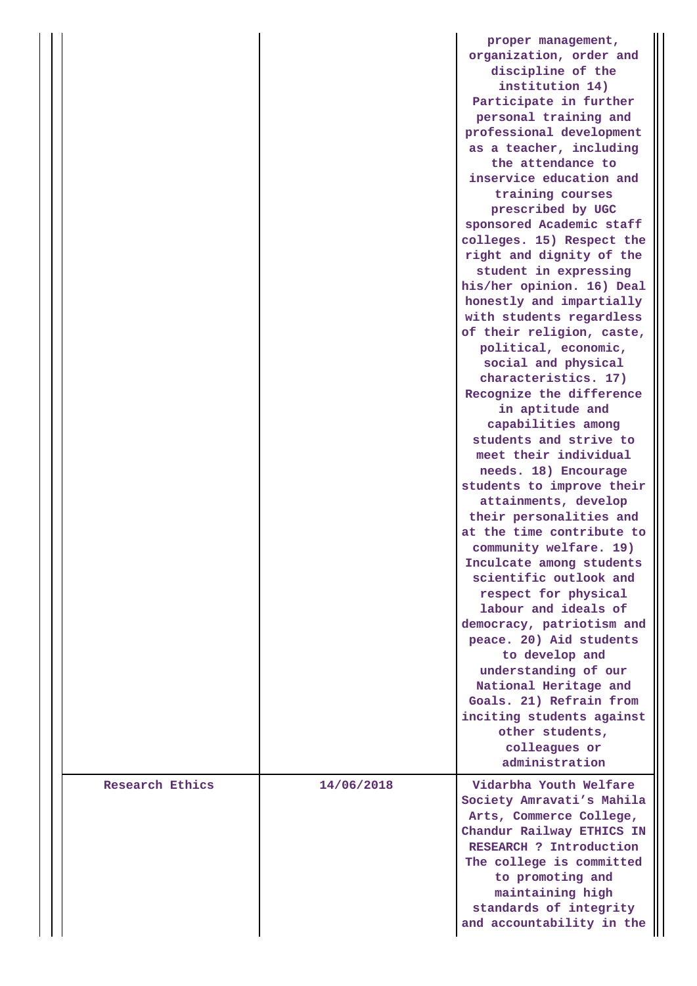|                 |            | proper management,<br>organization, order and<br>discipline of the<br>institution 14)<br>Participate in further<br>personal training and<br>professional development<br>as a teacher, including<br>the attendance to<br>inservice education and<br>training courses<br>prescribed by UGC<br>sponsored Academic staff<br>colleges. 15) Respect the<br>right and dignity of the<br>student in expressing<br>his/her opinion. 16) Deal<br>honestly and impartially<br>with students regardless<br>of their religion, caste,<br>political, economic,<br>social and physical<br>characteristics. 17)<br>Recognize the difference<br>in aptitude and<br>capabilities among<br>students and strive to<br>meet their individual<br>needs. 18) Encourage<br>students to improve their<br>attainments, develop<br>their personalities and<br>at the time contribute to<br>community welfare. 19)<br>Inculcate among students<br>scientific outlook and<br>respect for physical<br>labour and ideals of<br>democracy, patriotism and<br>peace. 20) Aid students<br>to develop and<br>understanding of our<br>National Heritage and<br>Goals. 21) Refrain from<br>inciting students against<br>other students, |
|-----------------|------------|----------------------------------------------------------------------------------------------------------------------------------------------------------------------------------------------------------------------------------------------------------------------------------------------------------------------------------------------------------------------------------------------------------------------------------------------------------------------------------------------------------------------------------------------------------------------------------------------------------------------------------------------------------------------------------------------------------------------------------------------------------------------------------------------------------------------------------------------------------------------------------------------------------------------------------------------------------------------------------------------------------------------------------------------------------------------------------------------------------------------------------------------------------------------------------------------------|
|                 |            | colleagues or<br>administration                                                                                                                                                                                                                                                                                                                                                                                                                                                                                                                                                                                                                                                                                                                                                                                                                                                                                                                                                                                                                                                                                                                                                                    |
| Research Ethics | 14/06/2018 | Vidarbha Youth Welfare<br>Society Amravati's Mahila<br>Arts, Commerce College,<br>Chandur Railway ETHICS IN<br>RESEARCH ? Introduction<br>The college is committed<br>to promoting and<br>maintaining high<br>standards of integrity<br>and accountability in the                                                                                                                                                                                                                                                                                                                                                                                                                                                                                                                                                                                                                                                                                                                                                                                                                                                                                                                                  |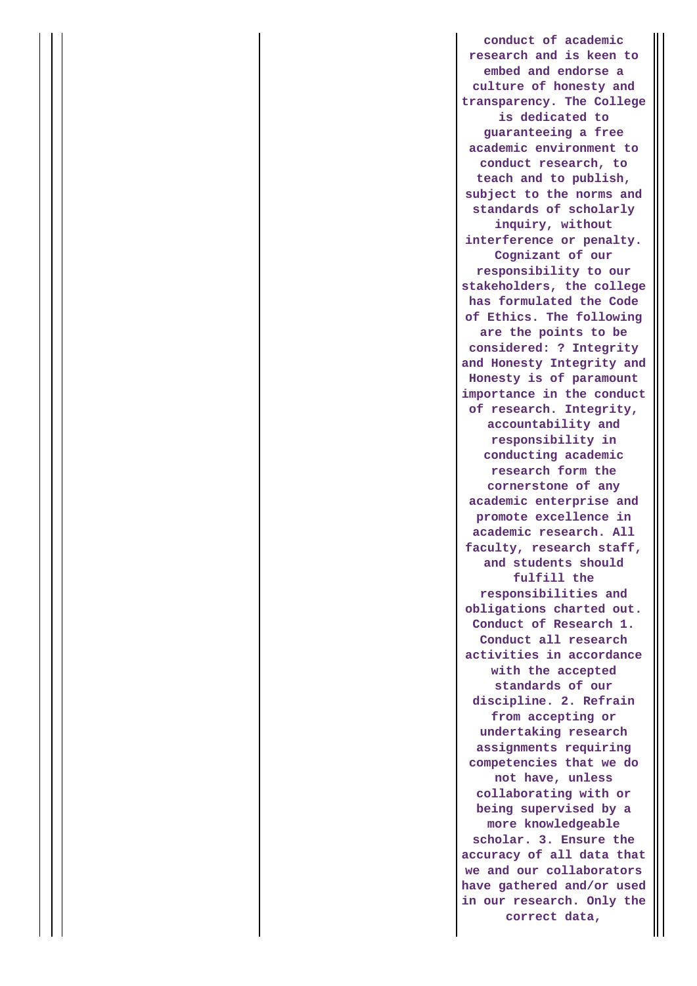**conduct of academic research and is keen to embed and endorse a culture of honesty and transparency. The College is dedicated to guaranteeing a free academic environment to conduct research, to teach and to publish, subject to the norms and standards of scholarly inquiry, without interference or penalty. Cognizant of our responsibility to our stakeholders, the college has formulated the Code of Ethics. The following are the points to be considered: ? Integrity and Honesty Integrity and Honesty is of paramount importance in the conduct of research. Integrity, accountability and responsibility in conducting academic research form the cornerstone of any academic enterprise and promote excellence in academic research. All faculty, research staff, and students should fulfill the responsibilities and obligations charted out. Conduct of Research 1. Conduct all research activities in accordance with the accepted standards of our discipline. 2. Refrain from accepting or undertaking research assignments requiring competencies that we do not have, unless collaborating with or being supervised by a more knowledgeable scholar. 3. Ensure the accuracy of all data that we and our collaborators have gathered and/or used in our research. Only the correct data,**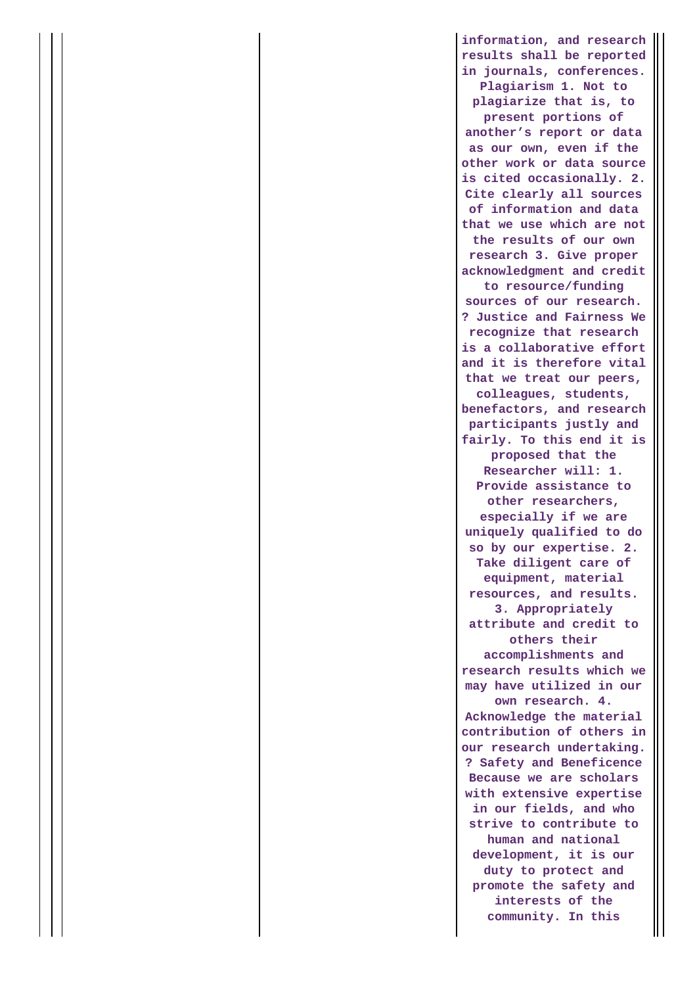**information, and research results shall be reported in journals, conferences. Plagiarism 1. Not to plagiarize that is, to present portions of another's report or data as our own, even if the other work or data source is cited occasionally. 2. Cite clearly all sources of information and data that we use which are not the results of our own research 3. Give proper acknowledgment and credit to resource/funding sources of our research. ? Justice and Fairness We recognize that research is a collaborative effort and it is therefore vital that we treat our peers, colleagues, students, benefactors, and research participants justly and fairly. To this end it is proposed that the Researcher will: 1. Provide assistance to other researchers, especially if we are uniquely qualified to do so by our expertise. 2. Take diligent care of equipment, material resources, and results. 3. Appropriately attribute and credit to others their accomplishments and research results which we may have utilized in our own research. 4. Acknowledge the material contribution of others in our research undertaking. ? Safety and Beneficence Because we are scholars with extensive expertise in our fields, and who strive to contribute to human and national development, it is our duty to protect and promote the safety and interests of the community. In this**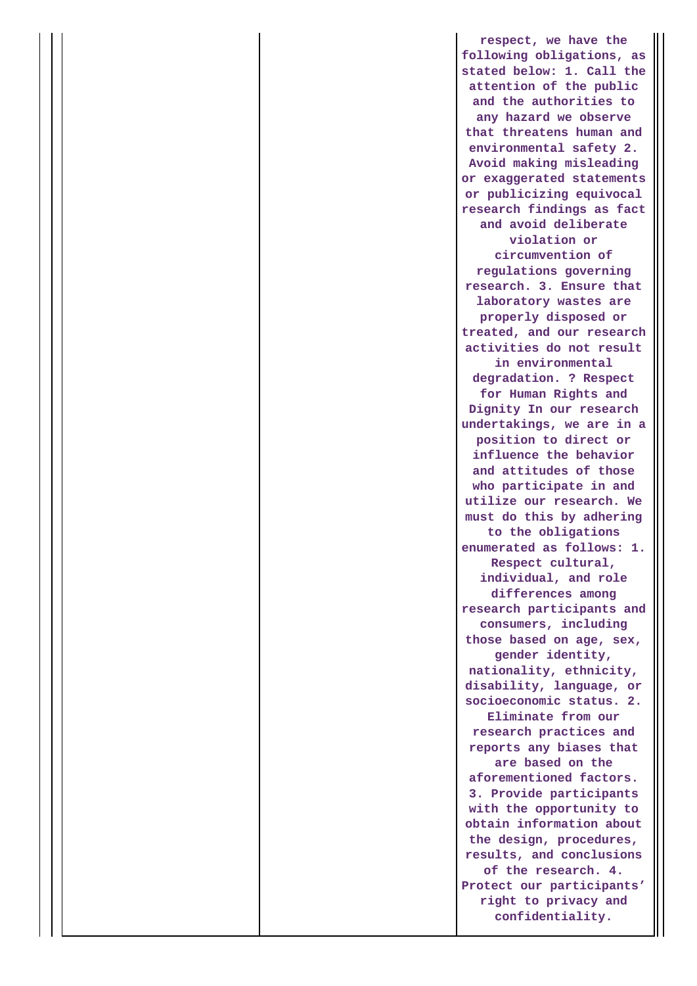**respect, we have the following obligations, as stated below: 1. Call the attention of the public and the authorities to any hazard we observe that threatens human and environmental safety 2. Avoid making misleading or exaggerated statements or publicizing equivocal research findings as fact and avoid deliberate violation or circumvention of regulations governing research. 3. Ensure that laboratory wastes are properly disposed or treated, and our research activities do not result in environmental degradation. ? Respect for Human Rights and Dignity In our research undertakings, we are in a position to direct or influence the behavior and attitudes of those who participate in and utilize our research. We must do this by adhering to the obligations enumerated as follows: 1. Respect cultural, individual, and role differences among research participants and consumers, including those based on age, sex, gender identity, nationality, ethnicity, disability, language, or socioeconomic status. 2. Eliminate from our research practices and reports any biases that are based on the aforementioned factors. 3. Provide participants with the opportunity to obtain information about the design, procedures, results, and conclusions of the research. 4. Protect our participants' right to privacy and confidentiality.**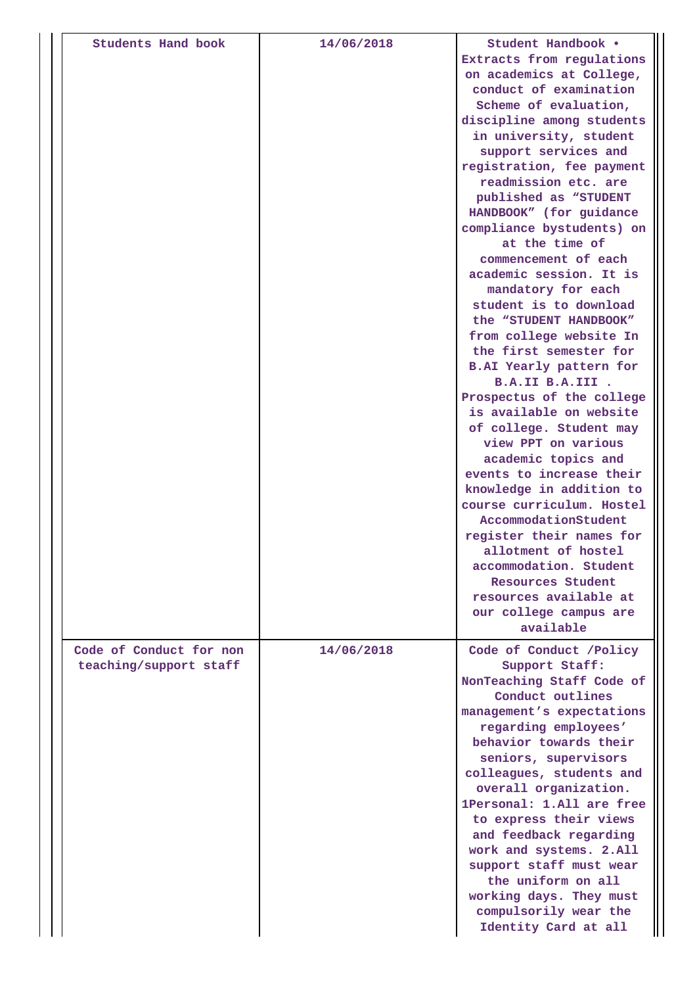| Students Hand book      | 14/06/2018 | Student Handbook .                                    |
|-------------------------|------------|-------------------------------------------------------|
|                         |            | Extracts from regulations<br>on academics at College, |
|                         |            | conduct of examination                                |
|                         |            | Scheme of evaluation,                                 |
|                         |            | discipline among students                             |
|                         |            | in university, student                                |
|                         |            | support services and                                  |
|                         |            | registration, fee payment                             |
|                         |            | readmission etc. are                                  |
|                         |            | published as "STUDENT                                 |
|                         |            | HANDBOOK" (for guidance<br>compliance bystudents) on  |
|                         |            | at the time of                                        |
|                         |            | commencement of each<br>academic session. It is       |
|                         |            | mandatory for each                                    |
|                         |            | student is to download                                |
|                         |            | the "STUDENT HANDBOOK"                                |
|                         |            | from college website In                               |
|                         |            | the first semester for                                |
|                         |            | <b>B.AI Yearly pattern for</b>                        |
|                         |            | B.A.II B.A.III .                                      |
|                         |            | Prospectus of the college<br>is available on website  |
|                         |            | of college. Student may                               |
|                         |            | view PPT on various                                   |
|                         |            | academic topics and                                   |
|                         |            | events to increase their                              |
|                         |            | knowledge in addition to                              |
|                         |            | course curriculum. Hostel                             |
|                         |            | AccommodationStudent<br>register their names for      |
|                         |            | allotment of hostel                                   |
|                         |            | accommodation. Student                                |
|                         |            | Resources Student                                     |
|                         |            | resources available at                                |
|                         |            | our college campus are                                |
|                         |            | available                                             |
| Code of Conduct for non | 14/06/2018 | Code of Conduct /Policy                               |
| teaching/support staff  |            | Support Staff:                                        |
|                         |            | NonTeaching Staff Code of<br>Conduct outlines         |
|                         |            | management's expectations                             |
|                         |            | regarding employees'                                  |
|                         |            | behavior towards their                                |
|                         |            | seniors, supervisors                                  |
|                         |            | colleagues, students and                              |
|                         |            | overall organization.                                 |
|                         |            | 1Personal: 1.All are free<br>to express their views   |
|                         |            | and feedback regarding                                |
|                         |            | work and systems. 2.All                               |
|                         |            | support staff must wear                               |
|                         |            | the uniform on all                                    |
|                         |            | working days. They must                               |
|                         |            | compulsorily wear the                                 |
|                         |            | Identity Card at all                                  |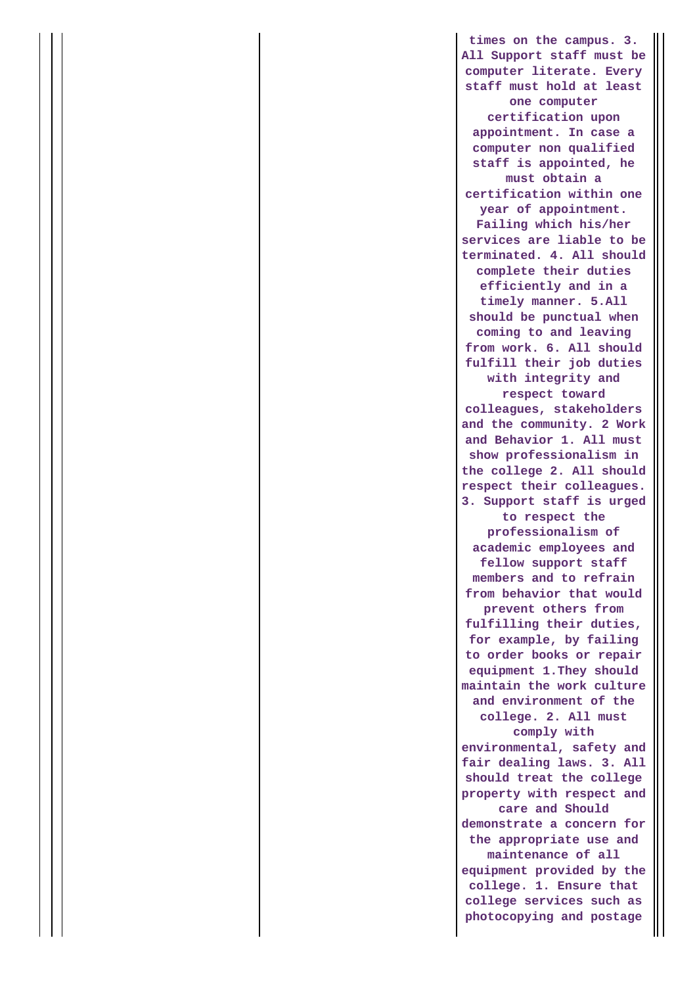**times on the campus. 3. All Support staff must be computer literate. Every staff must hold at least one computer certification upon appointment. In case a computer non qualified staff is appointed, he must obtain a certification within one year of appointment. Failing which his/her services are liable to be terminated. 4. All should complete their duties efficiently and in a timely manner. 5.All should be punctual when coming to and leaving from work. 6. All should fulfill their job duties with integrity and respect toward colleagues, stakeholders and the community. 2 Work and Behavior 1. All must show professionalism in the college 2. All should respect their colleagues. 3. Support staff is urged to respect the professionalism of academic employees and fellow support staff members and to refrain from behavior that would prevent others from fulfilling their duties, for example, by failing to order books or repair equipment 1.They should maintain the work culture and environment of the college. 2. All must comply with environmental, safety and fair dealing laws. 3. All should treat the college property with respect and care and Should demonstrate a concern for the appropriate use and maintenance of all equipment provided by the college. 1. Ensure that college services such as photocopying and postage**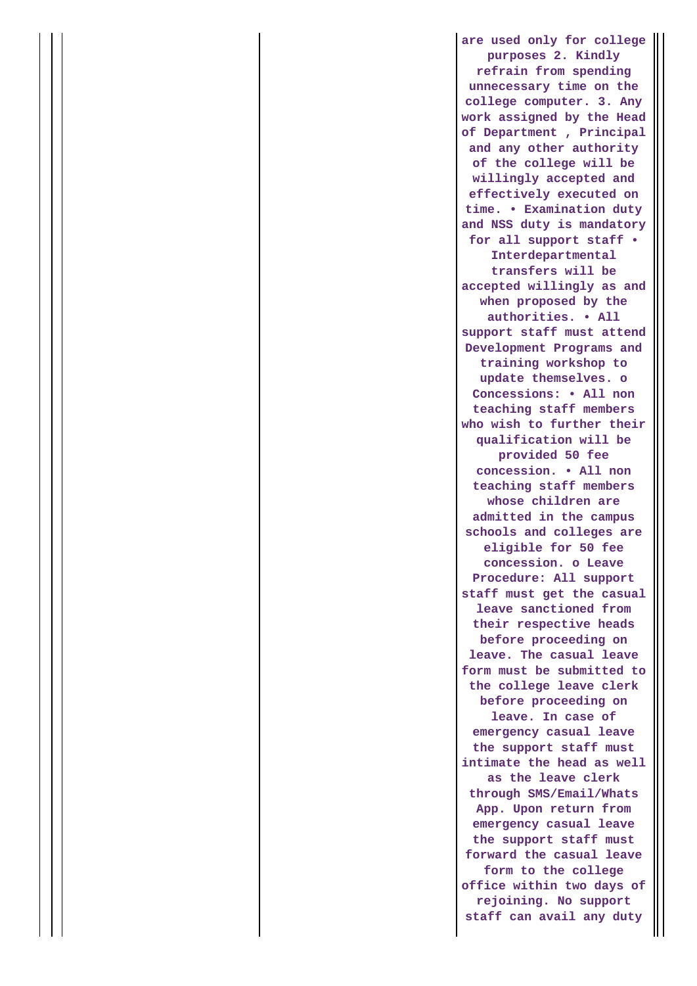**are used only for college purposes 2. Kindly refrain from spending unnecessary time on the college computer. 3. Any work assigned by the Head of Department , Principal and any other authority of the college will be willingly accepted and effectively executed on time. • Examination duty and NSS duty is mandatory for all support staff • Interdepartmental transfers will be accepted willingly as and when proposed by the authorities. • All support staff must attend Development Programs and training workshop to update themselves. o Concessions: • All non teaching staff members who wish to further their qualification will be provided 50 fee concession. • All non teaching staff members whose children are admitted in the campus schools and colleges are eligible for 50 fee concession. o Leave Procedure: All support staff must get the casual leave sanctioned from their respective heads before proceeding on leave. The casual leave form must be submitted to the college leave clerk before proceeding on leave. In case of emergency casual leave the support staff must intimate the head as well as the leave clerk through SMS/Email/Whats App. Upon return from emergency casual leave the support staff must forward the casual leave form to the college office within two days of rejoining. No support staff can avail any duty**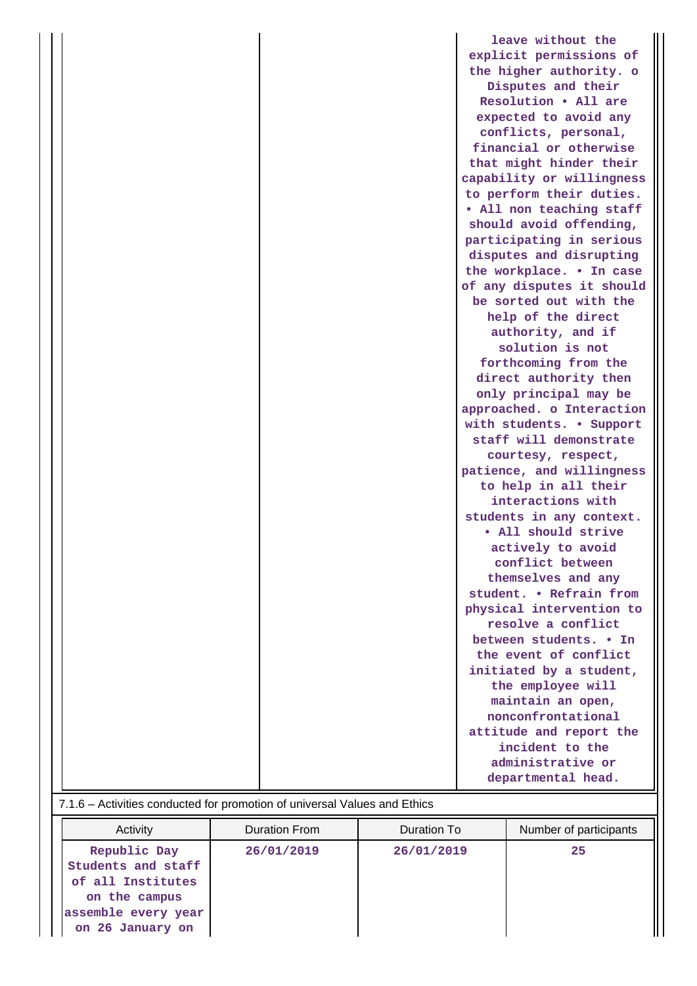|                                                                           | leave without the         |
|---------------------------------------------------------------------------|---------------------------|
|                                                                           | explicit permissions of   |
|                                                                           | the higher authority. o   |
|                                                                           | Disputes and their        |
|                                                                           | Resolution . All are      |
|                                                                           | expected to avoid any     |
|                                                                           | conflicts, personal,      |
|                                                                           | financial or otherwise    |
|                                                                           | that might hinder their   |
|                                                                           | capability or willingness |
|                                                                           | to perform their duties.  |
|                                                                           | . All non teaching staff  |
|                                                                           | should avoid offending,   |
|                                                                           | participating in serious  |
|                                                                           | disputes and disrupting   |
|                                                                           | the workplace. . In case  |
|                                                                           | of any disputes it should |
|                                                                           | be sorted out with the    |
|                                                                           | help of the direct        |
|                                                                           | authority, and if         |
|                                                                           | solution is not           |
|                                                                           | forthcoming from the      |
|                                                                           | direct authority then     |
|                                                                           | only principal may be     |
|                                                                           | approached. o Interaction |
|                                                                           | with students. • Support  |
|                                                                           | staff will demonstrate    |
|                                                                           | courtesy, respect,        |
|                                                                           | patience, and willingness |
|                                                                           | to help in all their      |
|                                                                           | interactions with         |
|                                                                           | students in any context.  |
|                                                                           | · All should strive       |
|                                                                           | actively to avoid         |
|                                                                           | conflict between          |
|                                                                           | themselves and any        |
|                                                                           | student. . Refrain from   |
|                                                                           | physical intervention to  |
|                                                                           | resolve a conflict        |
|                                                                           | between students. . In    |
|                                                                           | the event of conflict     |
|                                                                           | initiated by a student,   |
|                                                                           | the employee will         |
|                                                                           | maintain an open,         |
|                                                                           | nonconfrontational        |
|                                                                           | attitude and report the   |
|                                                                           | incident to the           |
|                                                                           | administrative or         |
|                                                                           | departmental head.        |
| 7.1.6 - Activities conducted for promotion of universal Values and Ethics |                           |

| <b>T.I.O.</b> Trouvince conducted for promotion or difference and conduction                                        |               |             |                        |  |
|---------------------------------------------------------------------------------------------------------------------|---------------|-------------|------------------------|--|
| Activity                                                                                                            | Duration From | Duration To | Number of participants |  |
| Republic Day<br>Students and staff<br>of all Institutes<br>on the campus<br>assemble every year<br>on 26 January on | 26/01/2019    | 26/01/2019  | 25                     |  |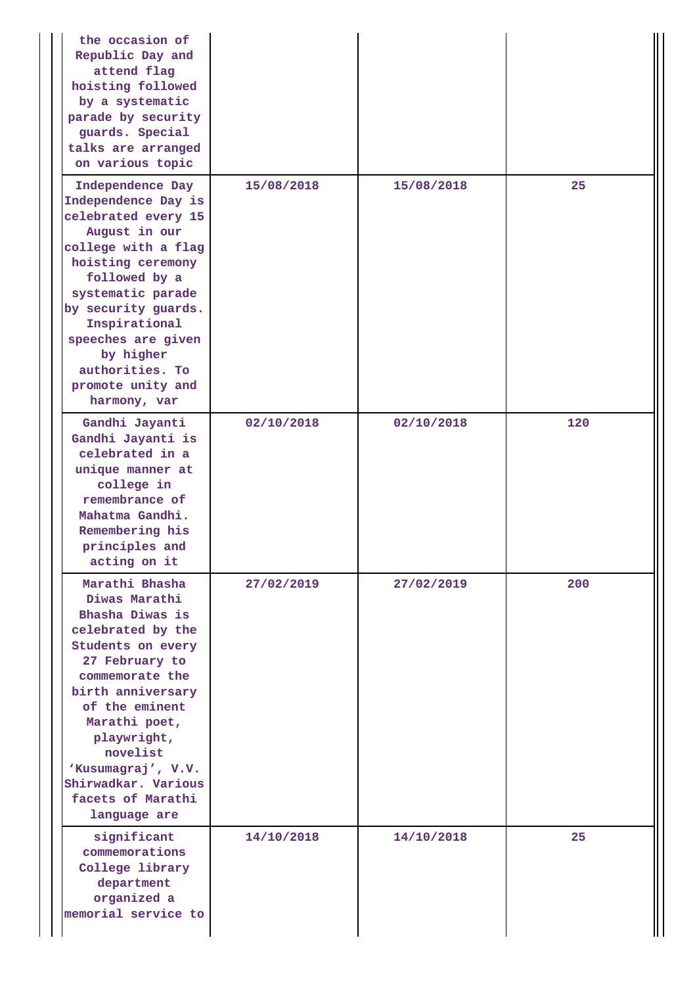| the occasion of<br>Republic Day and<br>attend flag<br>hoisting followed<br>by a systematic<br>parade by security<br>guards. Special<br>talks are arranged<br>on various topic                                                                                                                          |            |            |     |
|--------------------------------------------------------------------------------------------------------------------------------------------------------------------------------------------------------------------------------------------------------------------------------------------------------|------------|------------|-----|
| Independence Day<br>Independence Day is<br>celebrated every 15<br>August in our<br>college with a flag<br>hoisting ceremony<br>followed by a<br>systematic parade<br>by security guards.<br>Inspirational<br>speeches are given<br>by higher<br>authorities. To<br>promote unity and<br>harmony, var   | 15/08/2018 | 15/08/2018 | 25  |
| Gandhi Jayanti<br>Gandhi Jayanti is<br>celebrated in a<br>unique manner at<br>college in<br>remembrance of<br>Mahatma Gandhi.<br>Remembering his<br>principles and<br>acting on it                                                                                                                     | 02/10/2018 | 02/10/2018 | 120 |
| Marathi Bhasha<br>Diwas Marathi<br>Bhasha Diwas is<br>celebrated by the<br>Students on every<br>27 February to<br>commemorate the<br>birth anniversary<br>of the eminent<br>Marathi poet,<br>playwright,<br>novelist<br>'Kusumagraj', V.V.<br>Shirwadkar. Various<br>facets of Marathi<br>language are | 27/02/2019 | 27/02/2019 | 200 |
| significant<br>commemorations<br>College library<br>department<br>organized a<br>memorial service to                                                                                                                                                                                                   | 14/10/2018 | 14/10/2018 | 25  |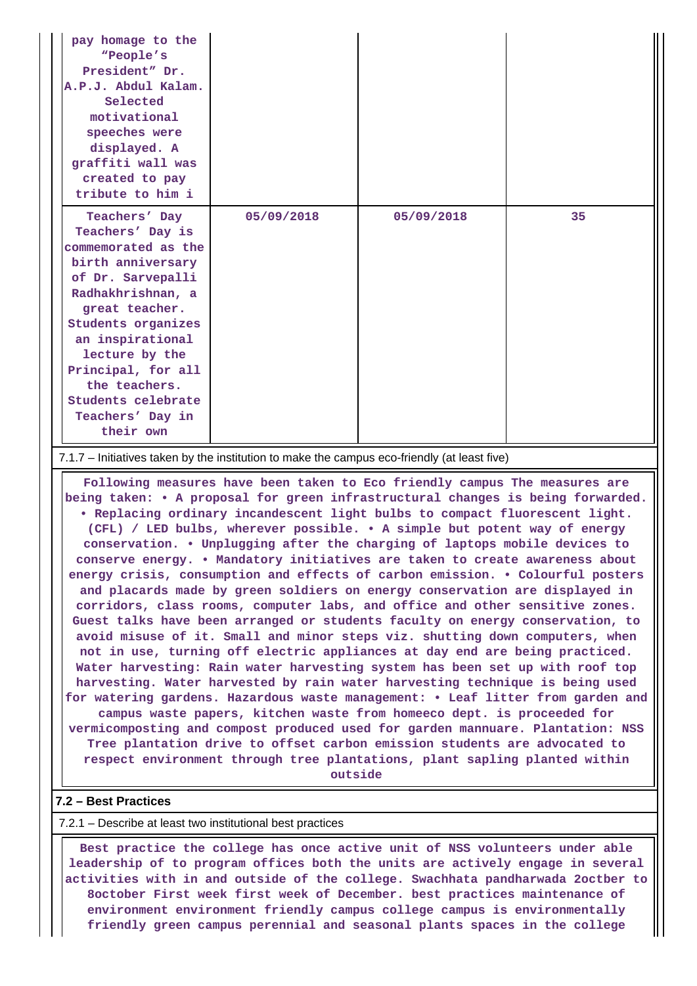| pay homage to the<br>"People's<br>President" Dr.<br>A.P.J. Abdul Kalam.<br>Selected<br>motivational<br>speeches were<br>displayed. A<br>graffiti wall was<br>created to pay<br>tribute to him i                                                                                                     |            |            |    |
|-----------------------------------------------------------------------------------------------------------------------------------------------------------------------------------------------------------------------------------------------------------------------------------------------------|------------|------------|----|
| Teachers' Day<br>Teachers' Day is<br>commemorated as the<br>birth anniversary<br>of Dr. Sarvepalli<br>Radhakhrishnan, a<br>great teacher.<br>Students organizes<br>an inspirational<br>lecture by the<br>Principal, for all<br>the teachers.<br>Students celebrate<br>Teachers' Day in<br>their own | 05/09/2018 | 05/09/2018 | 35 |
| 7.1.7 – Initiatives taken by the institution to make the campus eco-friendly (at least five)                                                                                                                                                                                                        |            |            |    |
| Following measures have been taken to Eco friendly campus The measures are                                                                                                                                                                                                                          |            |            |    |

**being taken: • A proposal for green infrastructural changes is being forwarded. • Replacing ordinary incandescent light bulbs to compact fluorescent light. (CFL) / LED bulbs, wherever possible. • A simple but potent way of energy conservation. • Unplugging after the charging of laptops mobile devices to conserve energy. • Mandatory initiatives are taken to create awareness about energy crisis, consumption and effects of carbon emission. • Colourful posters and placards made by green soldiers on energy conservation are displayed in corridors, class rooms, computer labs, and office and other sensitive zones. Guest talks have been arranged or students faculty on energy conservation, to avoid misuse of it. Small and minor steps viz. shutting down computers, when not in use, turning off electric appliances at day end are being practiced. Water harvesting: Rain water harvesting system has been set up with roof top harvesting. Water harvested by rain water harvesting technique is being used for watering gardens. Hazardous waste management: • Leaf litter from garden and campus waste papers, kitchen waste from homeeco dept. is proceeded for vermicomposting and compost produced used for garden mannuare. Plantation: NSS Tree plantation drive to offset carbon emission students are advocated to respect environment through tree plantations, plant sapling planted within**

**outside**

### **7.2 – Best Practices**

#### 7.2.1 – Describe at least two institutional best practices

 **Best practice the college has once active unit of NSS volunteers under able leadership of to program offices both the units are actively engage in several activities with in and outside of the college. Swachhata pandharwada 2octber to 8october First week first week of December. best practices maintenance of environment environment friendly campus college campus is environmentally friendly green campus perennial and seasonal plants spaces in the college**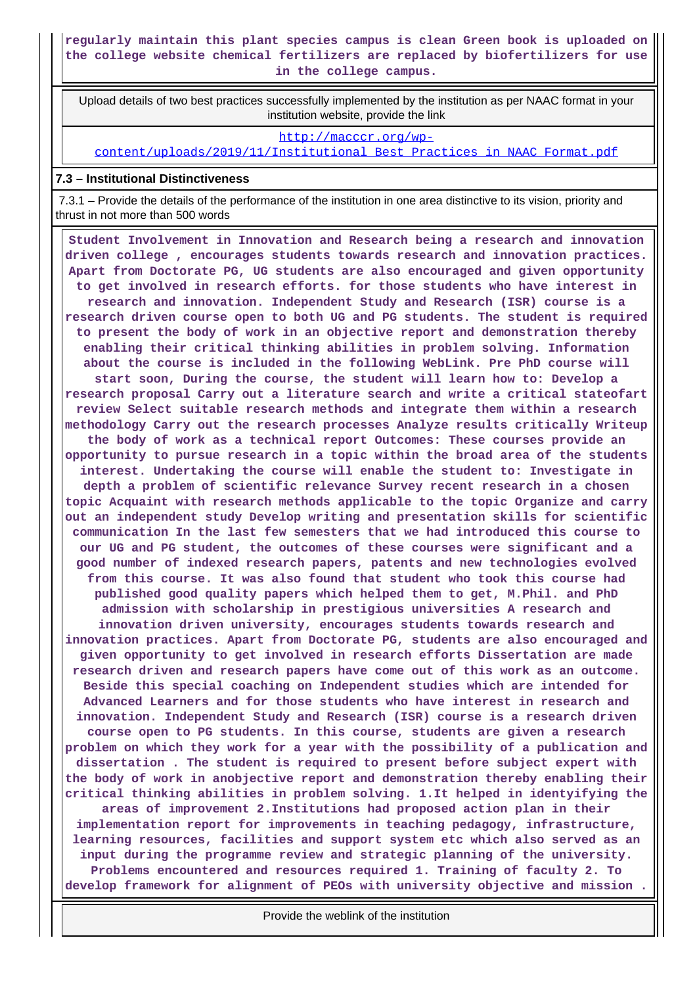# **regularly maintain this plant species campus is clean Green book is uploaded on the college website chemical fertilizers are replaced by biofertilizers for use in the college campus.**

 Upload details of two best practices successfully implemented by the institution as per NAAC format in your institution website, provide the link

[http://macccr.org/wp-](http://macccr.org/wp-content/uploads/2019/11/Institutional_Best_Practices_in_NAAC_Format.pdf)

[content/uploads/2019/11/Institutional\\_Best\\_Practices\\_in\\_NAAC\\_Format.pdf](http://macccr.org/wp-content/uploads/2019/11/Institutional_Best_Practices_in_NAAC_Format.pdf)

### **7.3 – Institutional Distinctiveness**

 7.3.1 – Provide the details of the performance of the institution in one area distinctive to its vision, priority and thrust in not more than 500 words

 **Student Involvement in Innovation and Research being a research and innovation driven college , encourages students towards research and innovation practices. Apart from Doctorate PG, UG students are also encouraged and given opportunity to get involved in research efforts. for those students who have interest in research and innovation. Independent Study and Research (ISR) course is a research driven course open to both UG and PG students. The student is required to present the body of work in an objective report and demonstration thereby enabling their critical thinking abilities in problem solving. Information about the course is included in the following WebLink. Pre PhD course will start soon, During the course, the student will learn how to: Develop a research proposal Carry out a literature search and write a critical stateofart review Select suitable research methods and integrate them within a research methodology Carry out the research processes Analyze results critically Writeup the body of work as a technical report Outcomes: These courses provide an opportunity to pursue research in a topic within the broad area of the students interest. Undertaking the course will enable the student to: Investigate in depth a problem of scientific relevance Survey recent research in a chosen topic Acquaint with research methods applicable to the topic Organize and carry out an independent study Develop writing and presentation skills for scientific communication In the last few semesters that we had introduced this course to our UG and PG student, the outcomes of these courses were significant and a good number of indexed research papers, patents and new technologies evolved from this course. It was also found that student who took this course had published good quality papers which helped them to get, M.Phil. and PhD admission with scholarship in prestigious universities A research and innovation driven university, encourages students towards research and innovation practices. Apart from Doctorate PG, students are also encouraged and given opportunity to get involved in research efforts Dissertation are made research driven and research papers have come out of this work as an outcome. Beside this special coaching on Independent studies which are intended for Advanced Learners and for those students who have interest in research and innovation. Independent Study and Research (ISR) course is a research driven course open to PG students. In this course, students are given a research problem on which they work for a year with the possibility of a publication and dissertation . The student is required to present before subject expert with the body of work in anobjective report and demonstration thereby enabling their critical thinking abilities in problem solving. 1.It helped in identyifying the areas of improvement 2.Institutions had proposed action plan in their implementation report for improvements in teaching pedagogy, infrastructure, learning resources, facilities and support system etc which also served as an input during the programme review and strategic planning of the university. Problems encountered and resources required 1. Training of faculty 2. To develop framework for alignment of PEOs with university objective and mission .**

Provide the weblink of the institution